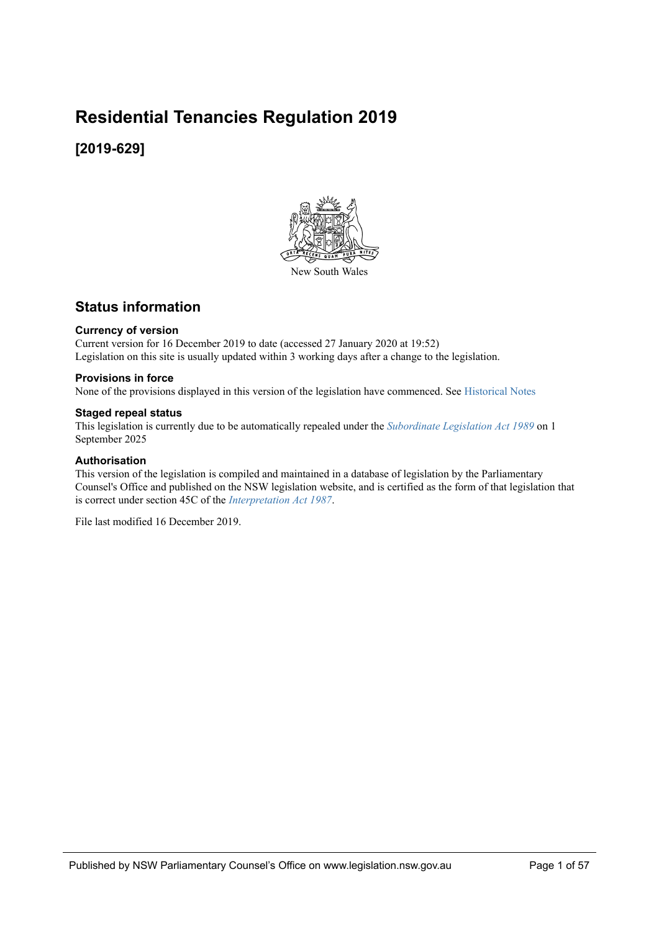# **Residential Tenancies Regulation 2019**

## **[2019-629]**



## **Status information**

### **Currency of version**

Current version for 16 December 2019 to date (accessed 27 January 2020 at 19:52) Legislation on this site is usually updated within 3 working days after a change to the legislation.

### **Provisions in force**

None of the provisions displayed in this version of the legislation have commenced. See [Historical Notes](#page-56-0)

### **Staged repeal status**

This legislation is currently due to be automatically repealed under the *Subordinate Legislation Act 1989* on 1 September 2025

### **Authorisation**

This version of the legislation is compiled and maintained in a database of legislation by the Parliamentary Counsel's Office and published on the NSW legislation website, and is certified as the form of that legislation that is correct under section 45C of the *Interpretation Act 1987*.

File last modified 16 December 2019.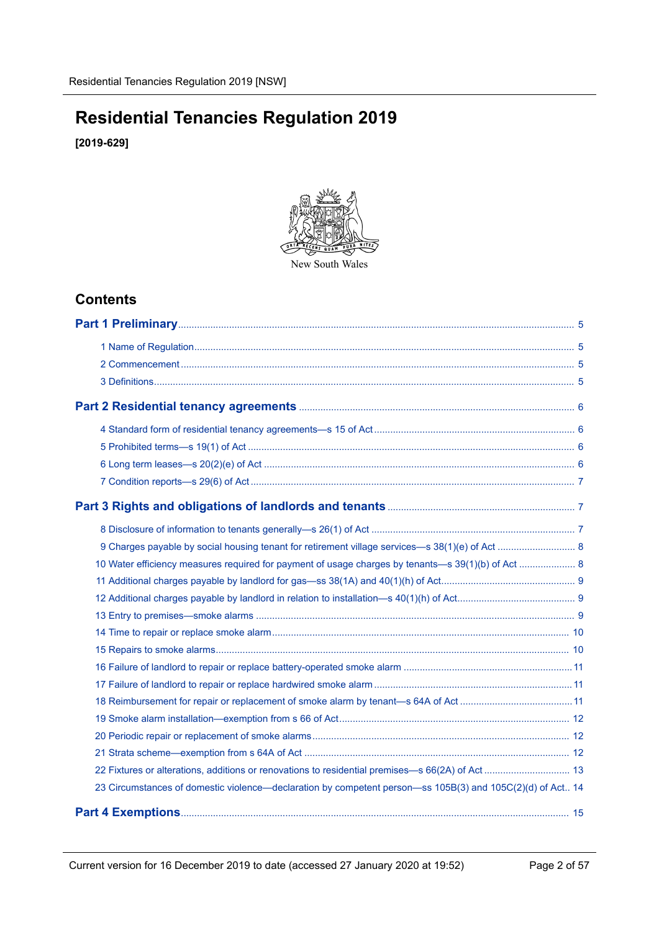# **Residential Tenancies Regulation 2019**

**[2019-629]**



New South Wales

## **Contents**

| 10 Water efficiency measures required for payment of usage charges by tenants—s 39(1)(b) of Act  8        |  |
|-----------------------------------------------------------------------------------------------------------|--|
|                                                                                                           |  |
|                                                                                                           |  |
|                                                                                                           |  |
|                                                                                                           |  |
|                                                                                                           |  |
|                                                                                                           |  |
|                                                                                                           |  |
|                                                                                                           |  |
|                                                                                                           |  |
|                                                                                                           |  |
|                                                                                                           |  |
|                                                                                                           |  |
| 23 Circumstances of domestic violence—declaration by competent person—ss 105B(3) and 105C(2)(d) of Act 14 |  |
|                                                                                                           |  |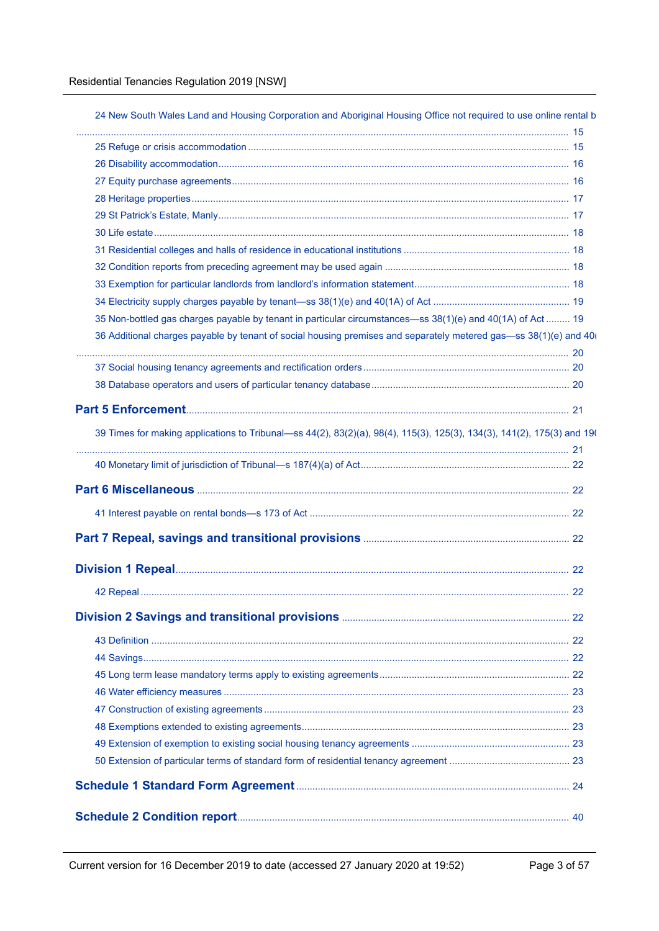| 35 Non-bottled gas charges payable by tenant in particular circumstances—ss 38(1)(e) and 40(1A) of Act  19             |    |
|------------------------------------------------------------------------------------------------------------------------|----|
| 36 Additional charges payable by tenant of social housing premises and separately metered gas—ss 38(1)(e) and 40(      |    |
|                                                                                                                        |    |
|                                                                                                                        |    |
|                                                                                                                        |    |
|                                                                                                                        |    |
| 39 Times for making applications to Tribunal—ss 44(2), 83(2)(a), 98(4), 115(3), 125(3), 134(3), 141(2), 175(3) and 19( |    |
|                                                                                                                        |    |
|                                                                                                                        |    |
|                                                                                                                        |    |
|                                                                                                                        |    |
|                                                                                                                        |    |
|                                                                                                                        | 22 |
|                                                                                                                        |    |
|                                                                                                                        |    |
|                                                                                                                        |    |
|                                                                                                                        |    |
|                                                                                                                        |    |
|                                                                                                                        |    |
|                                                                                                                        |    |
|                                                                                                                        |    |
|                                                                                                                        |    |
|                                                                                                                        |    |
|                                                                                                                        |    |
|                                                                                                                        |    |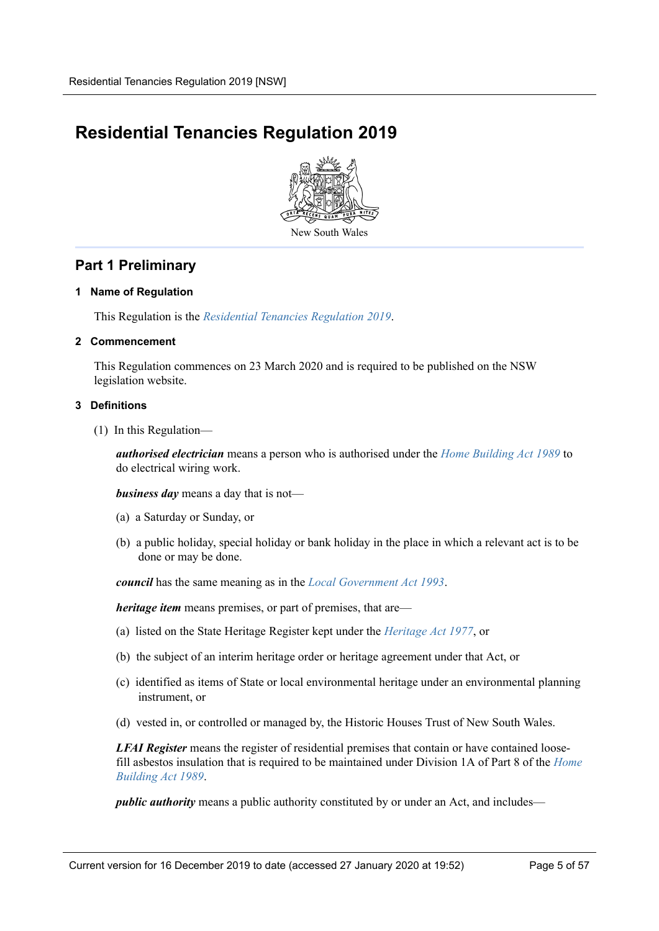# **Residential Tenancies Regulation 2019**



## <span id="page-4-0"></span>**Part 1 Preliminary**

### <span id="page-4-1"></span>**1 Name of Regulation**

This Regulation is the *Residential Tenancies Regulation 2019*.

### <span id="page-4-2"></span>**2 Commencement**

This Regulation commences on 23 March 2020 and is required to be published on the NSW legislation website.

### <span id="page-4-3"></span>**3 Definitions**

(1) In this Regulation—

*authorised electrician* means a person who is authorised under the *Home Building Act 1989* to do electrical wiring work.

*business day* means a day that is not—

- (a) a Saturday or Sunday, or
- (b) a public holiday, special holiday or bank holiday in the place in which a relevant act is to be done or may be done.

*council* has the same meaning as in the *Local Government Act 1993*.

*heritage item* means premises, or part of premises, that are—

- (a) listed on the State Heritage Register kept under the *Heritage Act 1977*, or
- (b) the subject of an interim heritage order or heritage agreement under that Act, or
- (c) identified as items of State or local environmental heritage under an environmental planning instrument, or
- (d) vested in, or controlled or managed by, the Historic Houses Trust of New South Wales.

*LFAI Register* means the register of residential premises that contain or have contained loosefill asbestos insulation that is required to be maintained under Division 1A of Part 8 of the *Home Building Act 1989*.

*public authority* means a public authority constituted by or under an Act, and includes—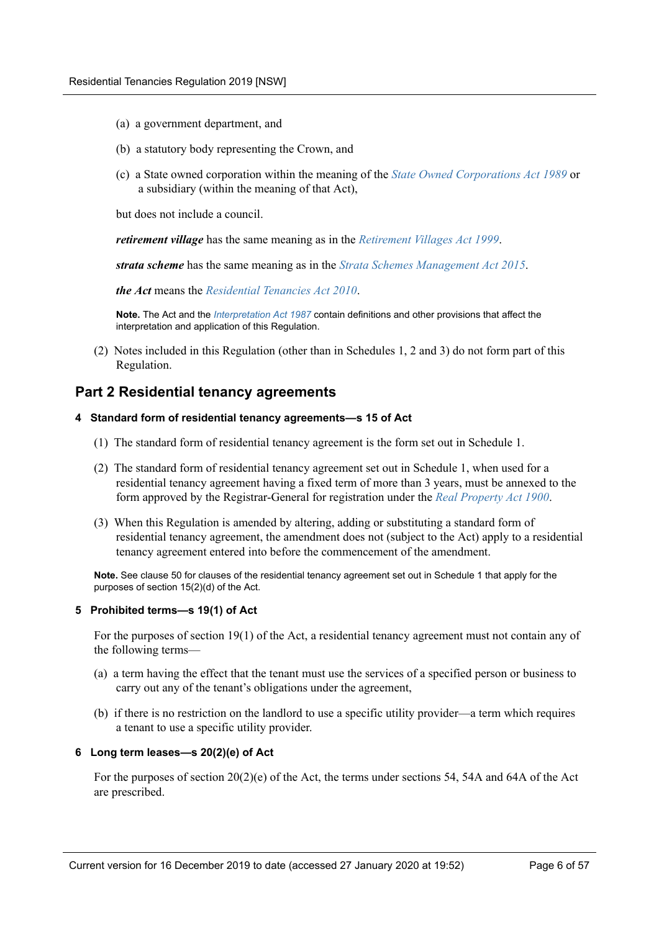- (a) a government department, and
- (b) a statutory body representing the Crown, and
- (c) a State owned corporation within the meaning of the *State Owned Corporations Act 1989* or a subsidiary (within the meaning of that Act),

but does not include a council.

*retirement village* has the same meaning as in the *Retirement Villages Act 1999*.

*strata scheme* has the same meaning as in the *Strata Schemes Management Act 2015*.

*the Act* means the *Residential Tenancies Act 2010*.

**Note.** The Act and the *Interpretation Act 1987* contain definitions and other provisions that affect the interpretation and application of this Regulation.

(2) Notes included in this Regulation (other than in Schedules 1, 2 and 3) do not form part of this Regulation.

## <span id="page-5-0"></span>**Part 2 Residential tenancy agreements**

### <span id="page-5-1"></span>**4 Standard form of residential tenancy agreements—s 15 of Act**

- (1) The standard form of residential tenancy agreement is the form set out in Schedule 1.
- (2) The standard form of residential tenancy agreement set out in Schedule 1, when used for a residential tenancy agreement having a fixed term of more than 3 years, must be annexed to the form approved by the Registrar-General for registration under the *Real Property Act 1900*.
- (3) When this Regulation is amended by altering, adding or substituting a standard form of residential tenancy agreement, the amendment does not (subject to the Act) apply to a residential tenancy agreement entered into before the commencement of the amendment.

**Note.** See clause 50 for clauses of the residential tenancy agreement set out in Schedule 1 that apply for the purposes of section 15(2)(d) of the Act.

### <span id="page-5-2"></span>**5 Prohibited terms—s 19(1) of Act**

For the purposes of section 19(1) of the Act, a residential tenancy agreement must not contain any of the following terms—

- (a) a term having the effect that the tenant must use the services of a specified person or business to carry out any of the tenant's obligations under the agreement,
- (b) if there is no restriction on the landlord to use a specific utility provider—a term which requires a tenant to use a specific utility provider.

### <span id="page-5-3"></span>**6 Long term leases—s 20(2)(e) of Act**

For the purposes of section 20(2)(e) of the Act, the terms under sections 54, 54A and 64A of the Act are prescribed.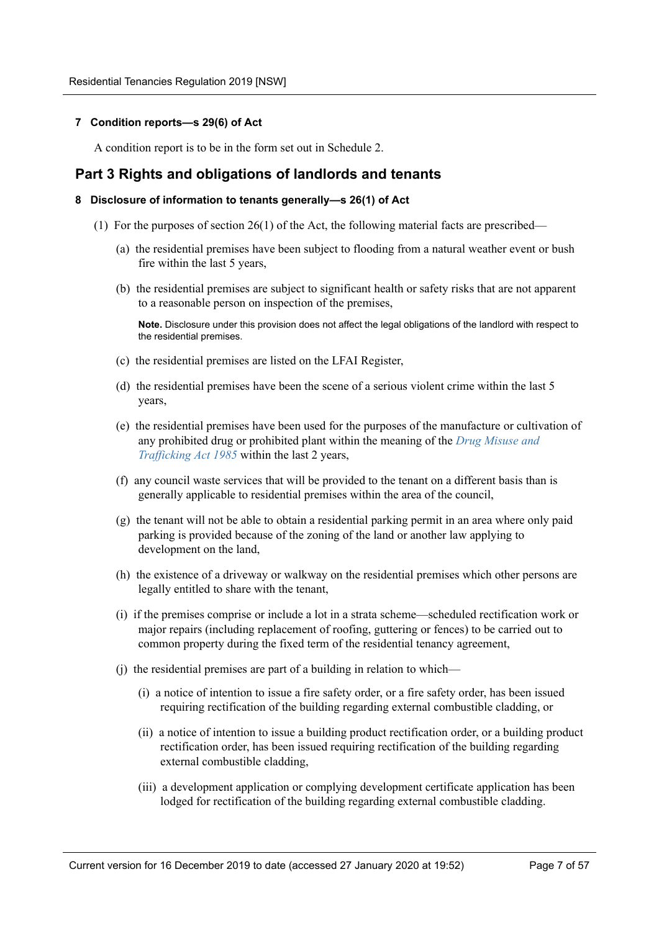### <span id="page-6-0"></span>**7 Condition reports—s 29(6) of Act**

A condition report is to be in the form set out in Schedule 2.

## <span id="page-6-1"></span>**Part 3 Rights and obligations of landlords and tenants**

### <span id="page-6-2"></span>**8 Disclosure of information to tenants generally—s 26(1) of Act**

- (1) For the purposes of section 26(1) of the Act, the following material facts are prescribed—
	- (a) the residential premises have been subject to flooding from a natural weather event or bush fire within the last 5 years,
	- (b) the residential premises are subject to significant health or safety risks that are not apparent to a reasonable person on inspection of the premises,

**Note.** Disclosure under this provision does not affect the legal obligations of the landlord with respect to the residential premises.

- (c) the residential premises are listed on the LFAI Register,
- (d) the residential premises have been the scene of a serious violent crime within the last 5 years,
- (e) the residential premises have been used for the purposes of the manufacture or cultivation of any prohibited drug or prohibited plant within the meaning of the *Drug Misuse and Trafficking Act 1985* within the last 2 years,
- (f) any council waste services that will be provided to the tenant on a different basis than is generally applicable to residential premises within the area of the council,
- (g) the tenant will not be able to obtain a residential parking permit in an area where only paid parking is provided because of the zoning of the land or another law applying to development on the land,
- (h) the existence of a driveway or walkway on the residential premises which other persons are legally entitled to share with the tenant,
- (i) if the premises comprise or include a lot in a strata scheme—scheduled rectification work or major repairs (including replacement of roofing, guttering or fences) to be carried out to common property during the fixed term of the residential tenancy agreement,
- (j) the residential premises are part of a building in relation to which—
	- (i) a notice of intention to issue a fire safety order, or a fire safety order, has been issued requiring rectification of the building regarding external combustible cladding, or
	- (ii) a notice of intention to issue a building product rectification order, or a building product rectification order, has been issued requiring rectification of the building regarding external combustible cladding,
	- (iii) a development application or complying development certificate application has been lodged for rectification of the building regarding external combustible cladding.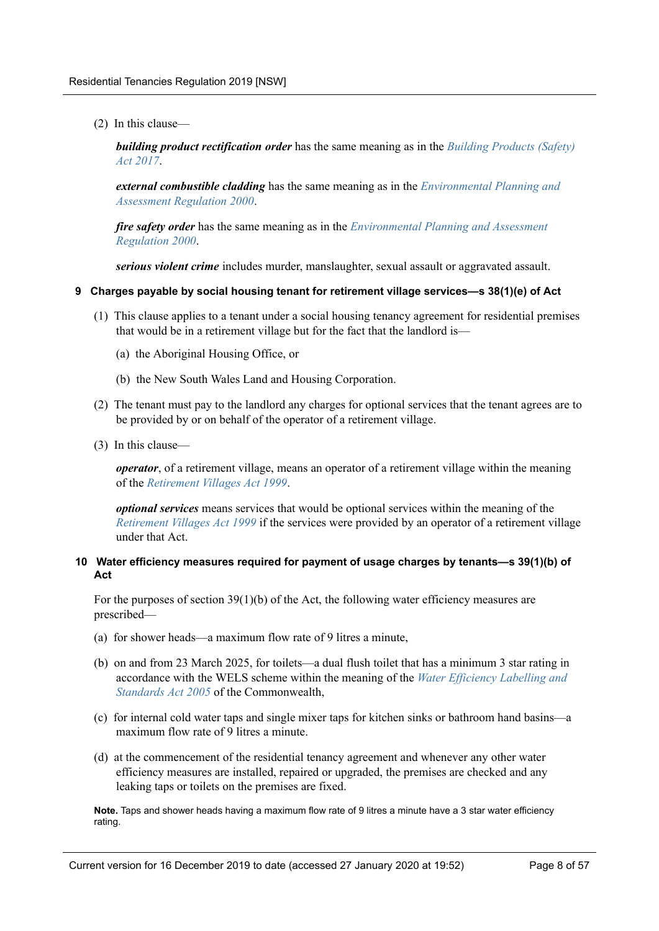(2) In this clause—

*building product rectification order* has the same meaning as in the *Building Products (Safety) Act 2017*.

*external combustible cladding* has the same meaning as in the *Environmental Planning and Assessment Regulation 2000*.

*fire safety order* has the same meaning as in the *Environmental Planning and Assessment Regulation 2000*.

*serious violent crime* includes murder, manslaughter, sexual assault or aggravated assault.

### <span id="page-7-0"></span>**9 Charges payable by social housing tenant for retirement village services—s 38(1)(e) of Act**

- (1) This clause applies to a tenant under a social housing tenancy agreement for residential premises that would be in a retirement village but for the fact that the landlord is—
	- (a) the Aboriginal Housing Office, or
	- (b) the New South Wales Land and Housing Corporation.
- (2) The tenant must pay to the landlord any charges for optional services that the tenant agrees are to be provided by or on behalf of the operator of a retirement village.
- (3) In this clause—

*operator*, of a retirement village, means an operator of a retirement village within the meaning of the *Retirement Villages Act 1999*.

*optional services* means services that would be optional services within the meaning of the *Retirement Villages Act 1999* if the services were provided by an operator of a retirement village under that Act.

### <span id="page-7-1"></span>**10 Water efficiency measures required for payment of usage charges by tenants—s 39(1)(b) of Act**

For the purposes of section 39(1)(b) of the Act, the following water efficiency measures are prescribed—

- (a) for shower heads—a maximum flow rate of 9 litres a minute,
- (b) on and from 23 March 2025, for toilets—a dual flush toilet that has a minimum 3 star rating in accordance with the WELS scheme within the meaning of the *Water Efficiency Labelling and Standards Act 2005* of the Commonwealth,
- (c) for internal cold water taps and single mixer taps for kitchen sinks or bathroom hand basins—a maximum flow rate of 9 litres a minute.
- (d) at the commencement of the residential tenancy agreement and whenever any other water efficiency measures are installed, repaired or upgraded, the premises are checked and any leaking taps or toilets on the premises are fixed.

**Note.** Taps and shower heads having a maximum flow rate of 9 litres a minute have a 3 star water efficiency rating.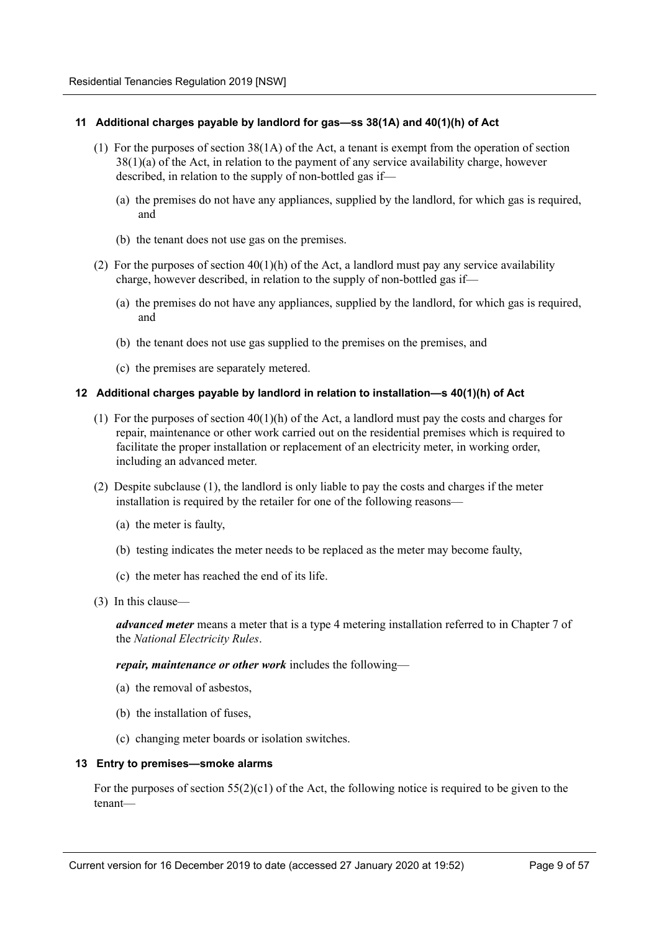### <span id="page-8-0"></span>**11 Additional charges payable by landlord for gas—ss 38(1A) and 40(1)(h) of Act**

- (1) For the purposes of section 38(1A) of the Act, a tenant is exempt from the operation of section 38(1)(a) of the Act, in relation to the payment of any service availability charge, however described, in relation to the supply of non-bottled gas if—
	- (a) the premises do not have any appliances, supplied by the landlord, for which gas is required, and
	- (b) the tenant does not use gas on the premises.
- (2) For the purposes of section  $40(1)(h)$  of the Act, a landlord must pay any service availability charge, however described, in relation to the supply of non-bottled gas if—
	- (a) the premises do not have any appliances, supplied by the landlord, for which gas is required, and
	- (b) the tenant does not use gas supplied to the premises on the premises, and
	- (c) the premises are separately metered.

### <span id="page-8-1"></span>**12 Additional charges payable by landlord in relation to installation—s 40(1)(h) of Act**

- (1) For the purposes of section 40(1)(h) of the Act, a landlord must pay the costs and charges for repair, maintenance or other work carried out on the residential premises which is required to facilitate the proper installation or replacement of an electricity meter, in working order, including an advanced meter.
- (2) Despite subclause (1), the landlord is only liable to pay the costs and charges if the meter installation is required by the retailer for one of the following reasons—
	- (a) the meter is faulty,
	- (b) testing indicates the meter needs to be replaced as the meter may become faulty,
	- (c) the meter has reached the end of its life.
- (3) In this clause—

*advanced meter* means a meter that is a type 4 metering installation referred to in Chapter 7 of the *National Electricity Rules*.

*repair, maintenance or other work* includes the following—

- (a) the removal of asbestos,
- (b) the installation of fuses,
- (c) changing meter boards or isolation switches.

### <span id="page-8-2"></span>**13 Entry to premises—smoke alarms**

For the purposes of section  $55(2)(c1)$  of the Act, the following notice is required to be given to the tenant—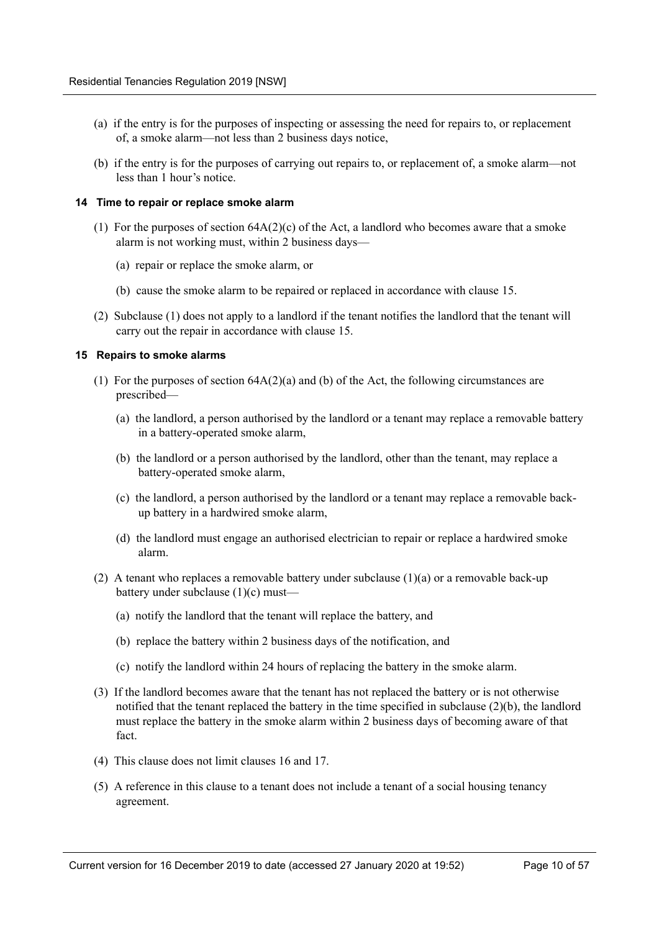- (a) if the entry is for the purposes of inspecting or assessing the need for repairs to, or replacement of, a smoke alarm—not less than 2 business days notice,
- (b) if the entry is for the purposes of carrying out repairs to, or replacement of, a smoke alarm—not less than 1 hour's notice.

### <span id="page-9-0"></span>**14 Time to repair or replace smoke alarm**

- (1) For the purposes of section  $64A(2)(c)$  of the Act, a landlord who becomes aware that a smoke alarm is not working must, within 2 business days—
	- (a) repair or replace the smoke alarm, or
	- (b) cause the smoke alarm to be repaired or replaced in accordance with clause 15.
- (2) Subclause (1) does not apply to a landlord if the tenant notifies the landlord that the tenant will carry out the repair in accordance with clause 15.

### <span id="page-9-1"></span>**15 Repairs to smoke alarms**

- (1) For the purposes of section 64A(2)(a) and (b) of the Act, the following circumstances are prescribed—
	- (a) the landlord, a person authorised by the landlord or a tenant may replace a removable battery in a battery-operated smoke alarm,
	- (b) the landlord or a person authorised by the landlord, other than the tenant, may replace a battery-operated smoke alarm,
	- (c) the landlord, a person authorised by the landlord or a tenant may replace a removable backup battery in a hardwired smoke alarm,
	- (d) the landlord must engage an authorised electrician to repair or replace a hardwired smoke alarm.
- (2) A tenant who replaces a removable battery under subclause (1)(a) or a removable back-up battery under subclause (1)(c) must—
	- (a) notify the landlord that the tenant will replace the battery, and
	- (b) replace the battery within 2 business days of the notification, and
	- (c) notify the landlord within 24 hours of replacing the battery in the smoke alarm.
- (3) If the landlord becomes aware that the tenant has not replaced the battery or is not otherwise notified that the tenant replaced the battery in the time specified in subclause (2)(b), the landlord must replace the battery in the smoke alarm within 2 business days of becoming aware of that fact.
- (4) This clause does not limit clauses 16 and 17.
- (5) A reference in this clause to a tenant does not include a tenant of a social housing tenancy agreement.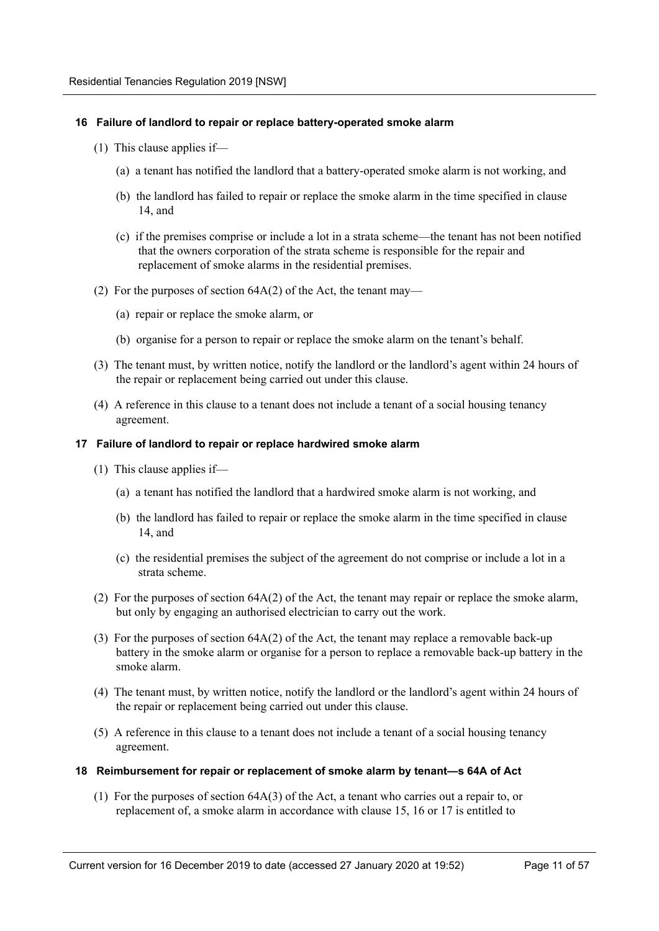### <span id="page-10-0"></span>**16 Failure of landlord to repair or replace battery-operated smoke alarm**

- (1) This clause applies if—
	- (a) a tenant has notified the landlord that a battery-operated smoke alarm is not working, and
	- (b) the landlord has failed to repair or replace the smoke alarm in the time specified in clause 14, and
	- (c) if the premises comprise or include a lot in a strata scheme—the tenant has not been notified that the owners corporation of the strata scheme is responsible for the repair and replacement of smoke alarms in the residential premises.
- (2) For the purposes of section 64A(2) of the Act, the tenant may—
	- (a) repair or replace the smoke alarm, or
	- (b) organise for a person to repair or replace the smoke alarm on the tenant's behalf.
- (3) The tenant must, by written notice, notify the landlord or the landlord's agent within 24 hours of the repair or replacement being carried out under this clause.
- (4) A reference in this clause to a tenant does not include a tenant of a social housing tenancy agreement.

### <span id="page-10-1"></span>**17 Failure of landlord to repair or replace hardwired smoke alarm**

- (1) This clause applies if—
	- (a) a tenant has notified the landlord that a hardwired smoke alarm is not working, and
	- (b) the landlord has failed to repair or replace the smoke alarm in the time specified in clause 14, and
	- (c) the residential premises the subject of the agreement do not comprise or include a lot in a strata scheme.
- (2) For the purposes of section 64A(2) of the Act, the tenant may repair or replace the smoke alarm, but only by engaging an authorised electrician to carry out the work.
- (3) For the purposes of section 64A(2) of the Act, the tenant may replace a removable back-up battery in the smoke alarm or organise for a person to replace a removable back-up battery in the smoke alarm.
- (4) The tenant must, by written notice, notify the landlord or the landlord's agent within 24 hours of the repair or replacement being carried out under this clause.
- (5) A reference in this clause to a tenant does not include a tenant of a social housing tenancy agreement.

### <span id="page-10-2"></span>**18 Reimbursement for repair or replacement of smoke alarm by tenant—s 64A of Act**

(1) For the purposes of section 64A(3) of the Act, a tenant who carries out a repair to, or replacement of, a smoke alarm in accordance with clause 15, 16 or 17 is entitled to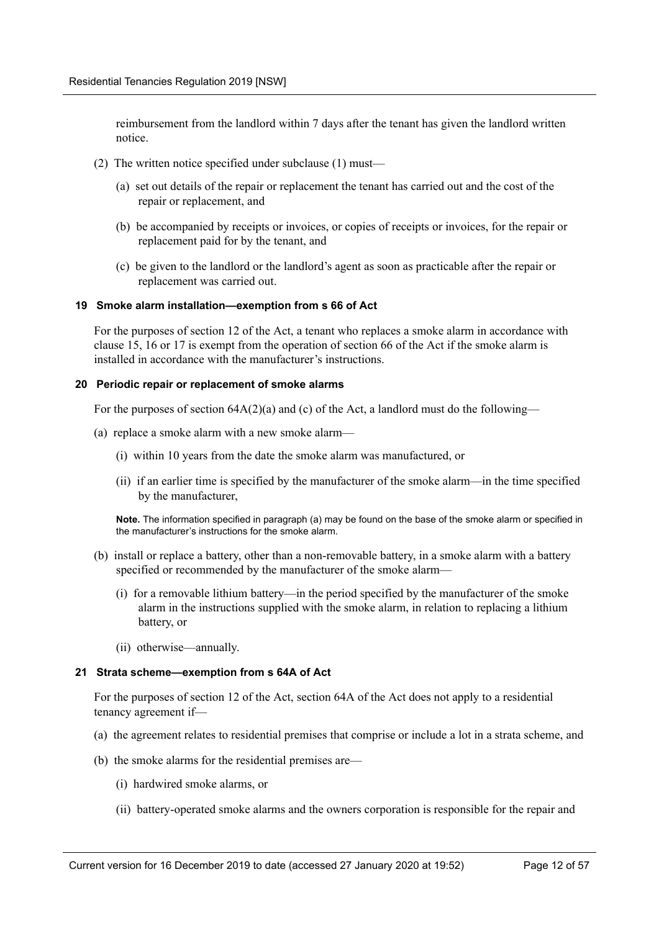reimbursement from the landlord within 7 days after the tenant has given the landlord written notice.

- (2) The written notice specified under subclause (1) must—
	- (a) set out details of the repair or replacement the tenant has carried out and the cost of the repair or replacement, and
	- (b) be accompanied by receipts or invoices, or copies of receipts or invoices, for the repair or replacement paid for by the tenant, and
	- (c) be given to the landlord or the landlord's agent as soon as practicable after the repair or replacement was carried out.

### <span id="page-11-0"></span>**19 Smoke alarm installation—exemption from s 66 of Act**

For the purposes of section 12 of the Act, a tenant who replaces a smoke alarm in accordance with clause 15, 16 or 17 is exempt from the operation of section 66 of the Act if the smoke alarm is installed in accordance with the manufacturer's instructions.

### <span id="page-11-1"></span>**20 Periodic repair or replacement of smoke alarms**

For the purposes of section  $64A(2)(a)$  and (c) of the Act, a landlord must do the following—

- (a) replace a smoke alarm with a new smoke alarm—
	- (i) within 10 years from the date the smoke alarm was manufactured, or
	- (ii) if an earlier time is specified by the manufacturer of the smoke alarm—in the time specified by the manufacturer,

**Note.** The information specified in paragraph (a) may be found on the base of the smoke alarm or specified in the manufacturer's instructions for the smoke alarm.

- (b) install or replace a battery, other than a non-removable battery, in a smoke alarm with a battery specified or recommended by the manufacturer of the smoke alarm—
	- (i) for a removable lithium battery—in the period specified by the manufacturer of the smoke alarm in the instructions supplied with the smoke alarm, in relation to replacing a lithium battery, or
	- (ii) otherwise—annually.

### <span id="page-11-2"></span>**21 Strata scheme—exemption from s 64A of Act**

For the purposes of section 12 of the Act, section 64A of the Act does not apply to a residential tenancy agreement if—

- (a) the agreement relates to residential premises that comprise or include a lot in a strata scheme, and
- (b) the smoke alarms for the residential premises are—
	- (i) hardwired smoke alarms, or
	- (ii) battery-operated smoke alarms and the owners corporation is responsible for the repair and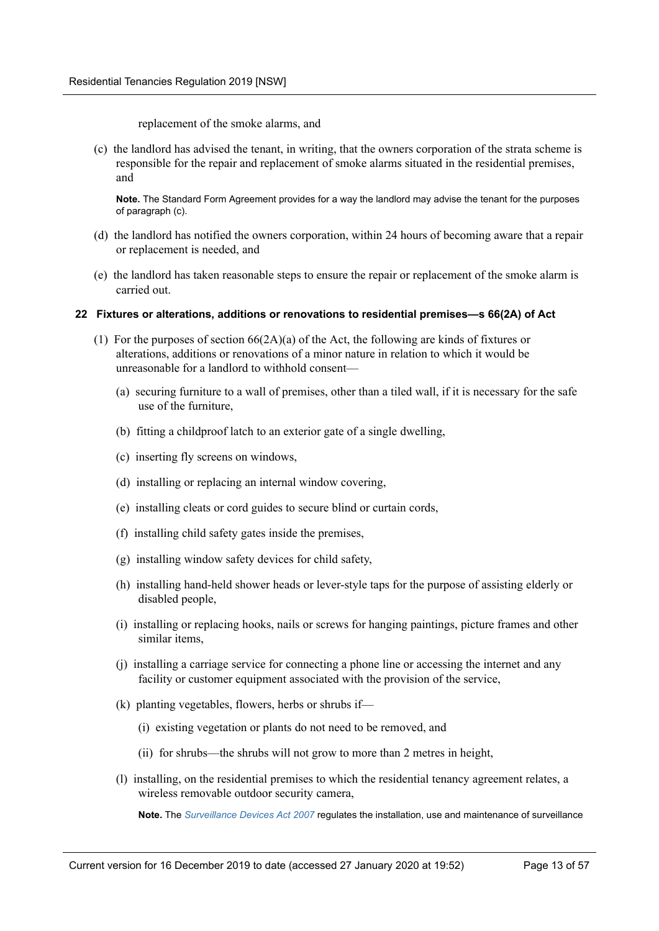replacement of the smoke alarms, and

(c) the landlord has advised the tenant, in writing, that the owners corporation of the strata scheme is responsible for the repair and replacement of smoke alarms situated in the residential premises, and

**Note.** The Standard Form Agreement provides for a way the landlord may advise the tenant for the purposes of paragraph (c).

- (d) the landlord has notified the owners corporation, within 24 hours of becoming aware that a repair or replacement is needed, and
- (e) the landlord has taken reasonable steps to ensure the repair or replacement of the smoke alarm is carried out.

### <span id="page-12-0"></span>**22 Fixtures or alterations, additions or renovations to residential premises—s 66(2A) of Act**

- (1) For the purposes of section  $66(2A)(a)$  of the Act, the following are kinds of fixtures or alterations, additions or renovations of a minor nature in relation to which it would be unreasonable for a landlord to withhold consent—
	- (a) securing furniture to a wall of premises, other than a tiled wall, if it is necessary for the safe use of the furniture,
	- (b) fitting a childproof latch to an exterior gate of a single dwelling,
	- (c) inserting fly screens on windows,
	- (d) installing or replacing an internal window covering,
	- (e) installing cleats or cord guides to secure blind or curtain cords,
	- (f) installing child safety gates inside the premises,
	- (g) installing window safety devices for child safety,
	- (h) installing hand-held shower heads or lever-style taps for the purpose of assisting elderly or disabled people,
	- (i) installing or replacing hooks, nails or screws for hanging paintings, picture frames and other similar items,
	- (j) installing a carriage service for connecting a phone line or accessing the internet and any facility or customer equipment associated with the provision of the service,
	- (k) planting vegetables, flowers, herbs or shrubs if—
		- (i) existing vegetation or plants do not need to be removed, and
		- (ii) for shrubs—the shrubs will not grow to more than 2 metres in height,
	- (l) installing, on the residential premises to which the residential tenancy agreement relates, a wireless removable outdoor security camera,

**Note.** The *Surveillance Devices Act 2007* regulates the installation, use and maintenance of surveillance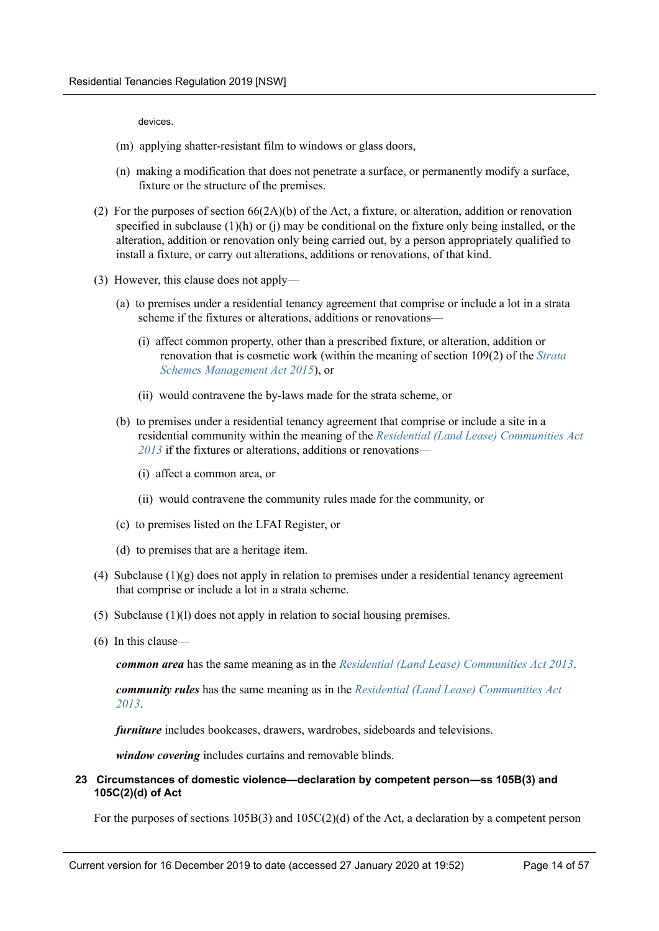devices.

- (m) applying shatter-resistant film to windows or glass doors,
- (n) making a modification that does not penetrate a surface, or permanently modify a surface, fixture or the structure of the premises.
- (2) For the purposes of section 66(2A)(b) of the Act, a fixture, or alteration, addition or renovation specified in subclause  $(1)(h)$  or  $(i)$  may be conditional on the fixture only being installed, or the alteration, addition or renovation only being carried out, by a person appropriately qualified to install a fixture, or carry out alterations, additions or renovations, of that kind.
- (3) However, this clause does not apply—
	- (a) to premises under a residential tenancy agreement that comprise or include a lot in a strata scheme if the fixtures or alterations, additions or renovations—
		- (i) affect common property, other than a prescribed fixture, or alteration, addition or renovation that is cosmetic work (within the meaning of section 109(2) of the *Strata Schemes Management Act 2015*), or
		- (ii) would contravene the by-laws made for the strata scheme, or
	- (b) to premises under a residential tenancy agreement that comprise or include a site in a residential community within the meaning of the *Residential (Land Lease) Communities Act 2013* if the fixtures or alterations, additions or renovations—
		- (i) affect a common area, or
		- (ii) would contravene the community rules made for the community, or
	- (c) to premises listed on the LFAI Register, or
	- (d) to premises that are a heritage item.
- (4) Subclause  $(1)(g)$  does not apply in relation to premises under a residential tenancy agreement that comprise or include a lot in a strata scheme.
- (5) Subclause (1)(l) does not apply in relation to social housing premises.
- (6) In this clause—

*common area* has the same meaning as in the *Residential (Land Lease) Communities Act 2013*.

*community rules* has the same meaning as in the *Residential (Land Lease) Communities Act 2013*.

*furniture* includes bookcases, drawers, wardrobes, sideboards and televisions.

*window covering* includes curtains and removable blinds.

### <span id="page-13-0"></span>**23 Circumstances of domestic violence—declaration by competent person—ss 105B(3) and 105C(2)(d) of Act**

For the purposes of sections  $105B(3)$  and  $105C(2)(d)$  of the Act, a declaration by a competent person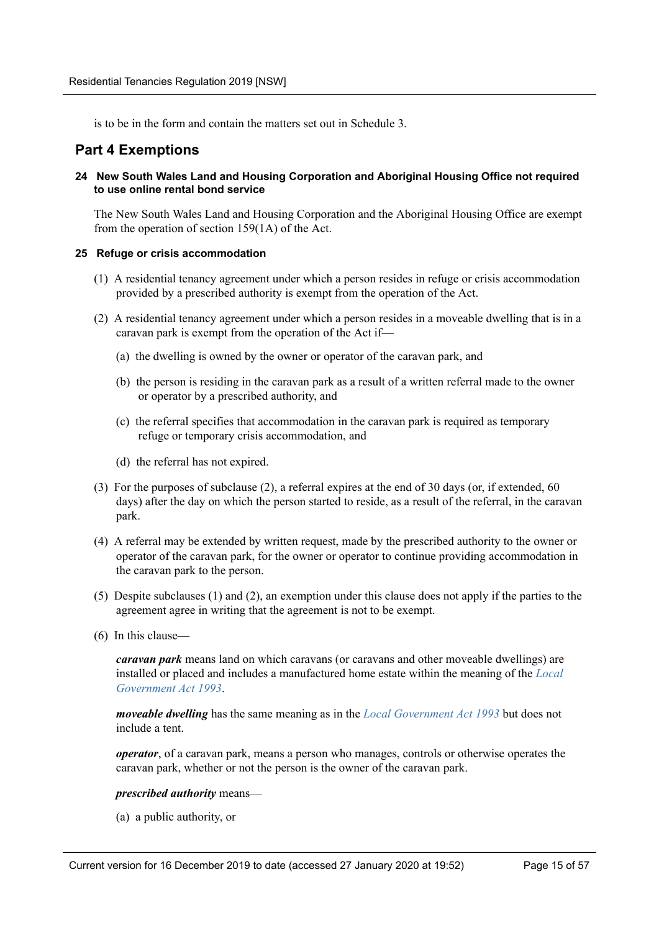is to be in the form and contain the matters set out in Schedule 3.

## <span id="page-14-0"></span>**Part 4 Exemptions**

<span id="page-14-1"></span>**24 New South Wales Land and Housing Corporation and Aboriginal Housing Office not required to use online rental bond service**

The New South Wales Land and Housing Corporation and the Aboriginal Housing Office are exempt from the operation of section 159(1A) of the Act.

### <span id="page-14-2"></span>**25 Refuge or crisis accommodation**

- (1) A residential tenancy agreement under which a person resides in refuge or crisis accommodation provided by a prescribed authority is exempt from the operation of the Act.
- (2) A residential tenancy agreement under which a person resides in a moveable dwelling that is in a caravan park is exempt from the operation of the Act if—
	- (a) the dwelling is owned by the owner or operator of the caravan park, and
	- (b) the person is residing in the caravan park as a result of a written referral made to the owner or operator by a prescribed authority, and
	- (c) the referral specifies that accommodation in the caravan park is required as temporary refuge or temporary crisis accommodation, and
	- (d) the referral has not expired.
- (3) For the purposes of subclause (2), a referral expires at the end of 30 days (or, if extended, 60 days) after the day on which the person started to reside, as a result of the referral, in the caravan park.
- (4) A referral may be extended by written request, made by the prescribed authority to the owner or operator of the caravan park, for the owner or operator to continue providing accommodation in the caravan park to the person.
- (5) Despite subclauses (1) and (2), an exemption under this clause does not apply if the parties to the agreement agree in writing that the agreement is not to be exempt.
- (6) In this clause—

*caravan park* means land on which caravans (or caravans and other moveable dwellings) are installed or placed and includes a manufactured home estate within the meaning of the *Local Government Act 1993*.

*moveable dwelling* has the same meaning as in the *Local Government Act 1993* but does not include a tent.

*operator*, of a caravan park, means a person who manages, controls or otherwise operates the caravan park, whether or not the person is the owner of the caravan park.

### *prescribed authority* means—

(a) a public authority, or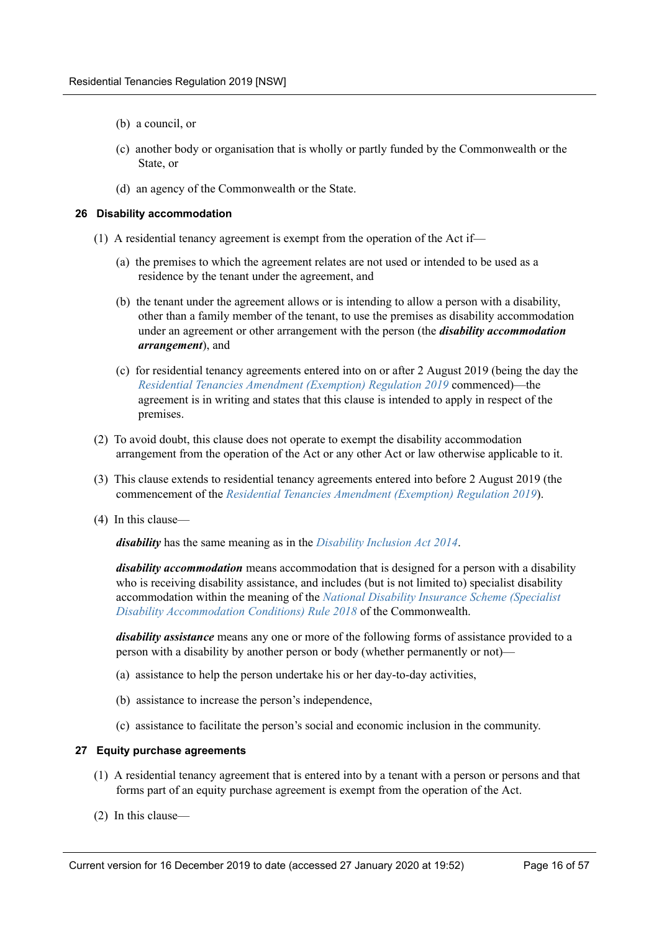- (b) a council, or
- (c) another body or organisation that is wholly or partly funded by the Commonwealth or the State, or
- (d) an agency of the Commonwealth or the State.

### <span id="page-15-0"></span>**26 Disability accommodation**

- (1) A residential tenancy agreement is exempt from the operation of the Act if—
	- (a) the premises to which the agreement relates are not used or intended to be used as a residence by the tenant under the agreement, and
	- (b) the tenant under the agreement allows or is intending to allow a person with a disability, other than a family member of the tenant, to use the premises as disability accommodation under an agreement or other arrangement with the person (the *disability accommodation arrangement*), and
	- (c) for residential tenancy agreements entered into on or after 2 August 2019 (being the day the *Residential Tenancies Amendment (Exemption) Regulation 2019* commenced)—the agreement is in writing and states that this clause is intended to apply in respect of the premises.
- (2) To avoid doubt, this clause does not operate to exempt the disability accommodation arrangement from the operation of the Act or any other Act or law otherwise applicable to it.
- (3) This clause extends to residential tenancy agreements entered into before 2 August 2019 (the commencement of the *Residential Tenancies Amendment (Exemption) Regulation 2019*).
- (4) In this clause—

*disability* has the same meaning as in the *Disability Inclusion Act 2014*.

*disability accommodation* means accommodation that is designed for a person with a disability who is receiving disability assistance, and includes (but is not limited to) specialist disability accommodation within the meaning of the *National Disability Insurance Scheme (Specialist Disability Accommodation Conditions) Rule 2018* of the Commonwealth.

*disability assistance* means any one or more of the following forms of assistance provided to a person with a disability by another person or body (whether permanently or not)—

- (a) assistance to help the person undertake his or her day-to-day activities,
- (b) assistance to increase the person's independence,
- (c) assistance to facilitate the person's social and economic inclusion in the community.

### <span id="page-15-1"></span>**27 Equity purchase agreements**

- (1) A residential tenancy agreement that is entered into by a tenant with a person or persons and that forms part of an equity purchase agreement is exempt from the operation of the Act.
- (2) In this clause—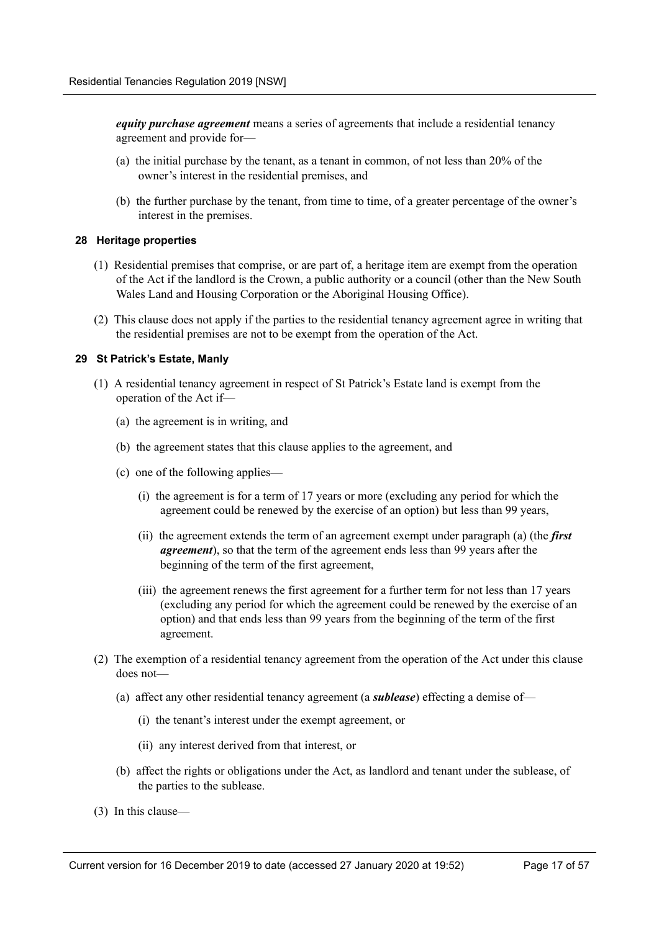*equity purchase agreement* means a series of agreements that include a residential tenancy agreement and provide for—

- (a) the initial purchase by the tenant, as a tenant in common, of not less than 20% of the owner's interest in the residential premises, and
- (b) the further purchase by the tenant, from time to time, of a greater percentage of the owner's interest in the premises.

### <span id="page-16-0"></span>**28 Heritage properties**

- (1) Residential premises that comprise, or are part of, a heritage item are exempt from the operation of the Act if the landlord is the Crown, a public authority or a council (other than the New South Wales Land and Housing Corporation or the Aboriginal Housing Office).
- (2) This clause does not apply if the parties to the residential tenancy agreement agree in writing that the residential premises are not to be exempt from the operation of the Act.

### <span id="page-16-1"></span>**29 St Patrick's Estate, Manly**

- (1) A residential tenancy agreement in respect of St Patrick's Estate land is exempt from the operation of the Act if—
	- (a) the agreement is in writing, and
	- (b) the agreement states that this clause applies to the agreement, and
	- (c) one of the following applies—
		- (i) the agreement is for a term of 17 years or more (excluding any period for which the agreement could be renewed by the exercise of an option) but less than 99 years,
		- (ii) the agreement extends the term of an agreement exempt under paragraph (a) (the *first agreement*), so that the term of the agreement ends less than 99 years after the beginning of the term of the first agreement,
		- (iii) the agreement renews the first agreement for a further term for not less than 17 years (excluding any period for which the agreement could be renewed by the exercise of an option) and that ends less than 99 years from the beginning of the term of the first agreement.
- (2) The exemption of a residential tenancy agreement from the operation of the Act under this clause does not—
	- (a) affect any other residential tenancy agreement (a *sublease*) effecting a demise of—
		- (i) the tenant's interest under the exempt agreement, or
		- (ii) any interest derived from that interest, or
	- (b) affect the rights or obligations under the Act, as landlord and tenant under the sublease, of the parties to the sublease.
- (3) In this clause—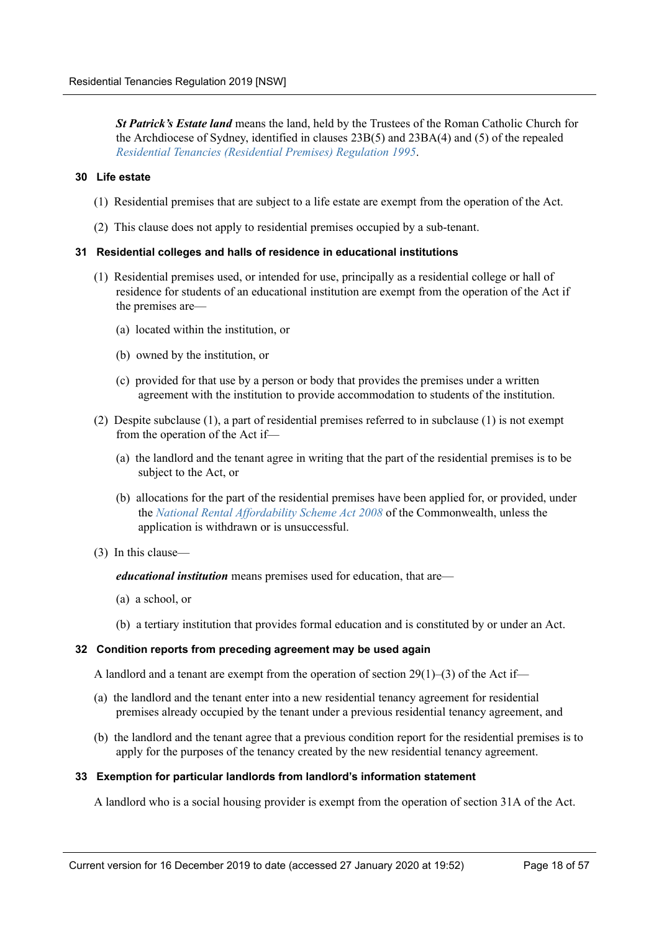*St Patrick's Estate land* means the land, held by the Trustees of the Roman Catholic Church for the Archdiocese of Sydney, identified in clauses 23B(5) and 23BA(4) and (5) of the repealed *Residential Tenancies (Residential Premises) Regulation 1995*.

### <span id="page-17-0"></span>**30 Life estate**

- (1) Residential premises that are subject to a life estate are exempt from the operation of the Act.
- (2) This clause does not apply to residential premises occupied by a sub-tenant.

### <span id="page-17-1"></span>**31 Residential colleges and halls of residence in educational institutions**

- (1) Residential premises used, or intended for use, principally as a residential college or hall of residence for students of an educational institution are exempt from the operation of the Act if the premises are—
	- (a) located within the institution, or
	- (b) owned by the institution, or
	- (c) provided for that use by a person or body that provides the premises under a written agreement with the institution to provide accommodation to students of the institution.
- (2) Despite subclause (1), a part of residential premises referred to in subclause (1) is not exempt from the operation of the Act if—
	- (a) the landlord and the tenant agree in writing that the part of the residential premises is to be subject to the Act, or
	- (b) allocations for the part of the residential premises have been applied for, or provided, under the *National Rental Affordability Scheme Act 2008* of the Commonwealth, unless the application is withdrawn or is unsuccessful.
- (3) In this clause—

### *educational institution* means premises used for education, that are—

- (a) a school, or
- (b) a tertiary institution that provides formal education and is constituted by or under an Act.

### <span id="page-17-2"></span>**32 Condition reports from preceding agreement may be used again**

A landlord and a tenant are exempt from the operation of section  $29(1)$ –(3) of the Act if–

- (a) the landlord and the tenant enter into a new residential tenancy agreement for residential premises already occupied by the tenant under a previous residential tenancy agreement, and
- (b) the landlord and the tenant agree that a previous condition report for the residential premises is to apply for the purposes of the tenancy created by the new residential tenancy agreement.

### <span id="page-17-3"></span>**33 Exemption for particular landlords from landlord's information statement**

A landlord who is a social housing provider is exempt from the operation of section 31A of the Act.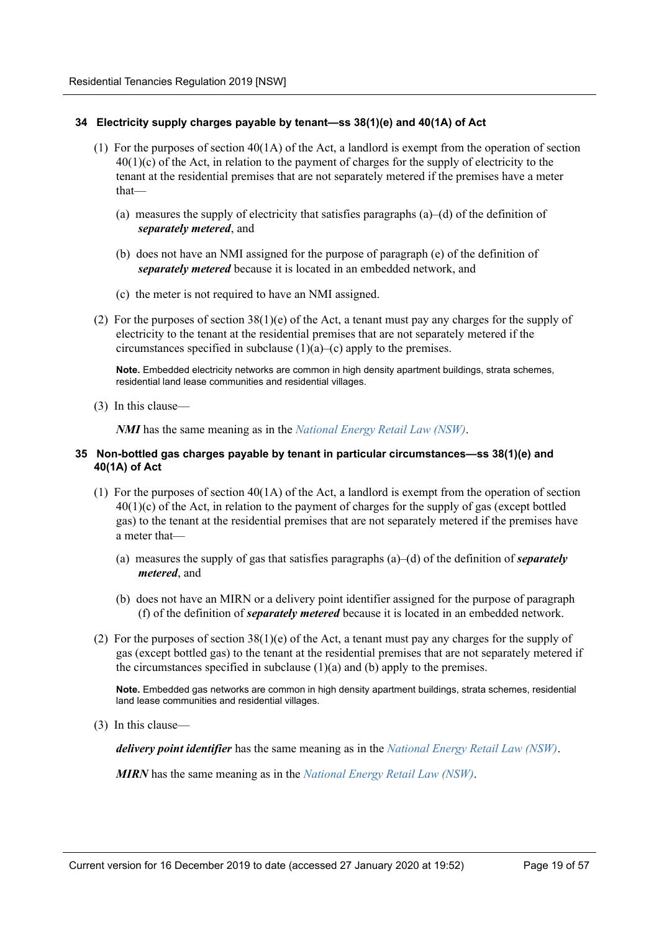### <span id="page-18-0"></span>**34 Electricity supply charges payable by tenant—ss 38(1)(e) and 40(1A) of Act**

- (1) For the purposes of section 40(1A) of the Act, a landlord is exempt from the operation of section 40(1)(c) of the Act, in relation to the payment of charges for the supply of electricity to the tenant at the residential premises that are not separately metered if the premises have a meter that—
	- (a) measures the supply of electricity that satisfies paragraphs (a)–(d) of the definition of *separately metered*, and
	- (b) does not have an NMI assigned for the purpose of paragraph (e) of the definition of *separately metered* because it is located in an embedded network, and
	- (c) the meter is not required to have an NMI assigned.
- (2) For the purposes of section 38(1)(e) of the Act, a tenant must pay any charges for the supply of electricity to the tenant at the residential premises that are not separately metered if the circumstances specified in subclause (1)(a)–(c) apply to the premises.

**Note.** Embedded electricity networks are common in high density apartment buildings, strata schemes, residential land lease communities and residential villages.

(3) In this clause—

*NMI* has the same meaning as in the *National Energy Retail Law (NSW)*.

### <span id="page-18-1"></span>**35 Non-bottled gas charges payable by tenant in particular circumstances—ss 38(1)(e) and 40(1A) of Act**

- (1) For the purposes of section  $40(1)$  of the Act, a landlord is exempt from the operation of section 40(1)(c) of the Act, in relation to the payment of charges for the supply of gas (except bottled gas) to the tenant at the residential premises that are not separately metered if the premises have a meter that—
	- (a) measures the supply of gas that satisfies paragraphs (a)–(d) of the definition of *separately metered*, and
	- (b) does not have an MIRN or a delivery point identifier assigned for the purpose of paragraph (f) of the definition of *separately metered* because it is located in an embedded network.
- (2) For the purposes of section 38(1)(e) of the Act, a tenant must pay any charges for the supply of gas (except bottled gas) to the tenant at the residential premises that are not separately metered if the circumstances specified in subclause (1)(a) and (b) apply to the premises.

**Note.** Embedded gas networks are common in high density apartment buildings, strata schemes, residential land lease communities and residential villages.

(3) In this clause—

*delivery point identifier* has the same meaning as in the *National Energy Retail Law (NSW)*.

*MIRN* has the same meaning as in the *National Energy Retail Law (NSW)*.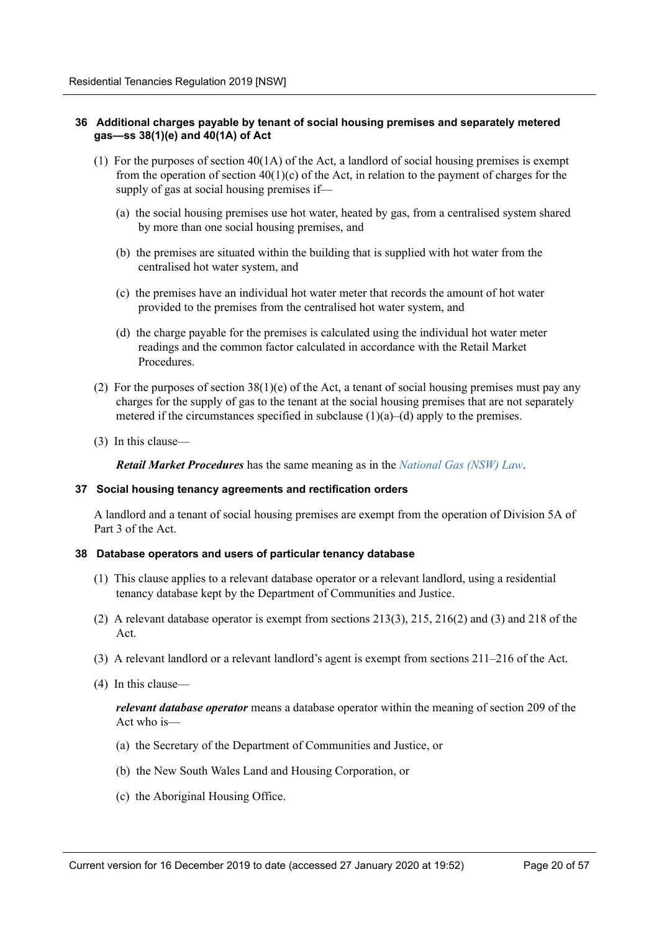### <span id="page-19-0"></span>**36 Additional charges payable by tenant of social housing premises and separately metered gas—ss 38(1)(e) and 40(1A) of Act**

- (1) For the purposes of section  $40(1\text{A})$  of the Act, a landlord of social housing premises is exempt from the operation of section  $40(1)(c)$  of the Act, in relation to the payment of charges for the supply of gas at social housing premises if—
	- (a) the social housing premises use hot water, heated by gas, from a centralised system shared by more than one social housing premises, and
	- (b) the premises are situated within the building that is supplied with hot water from the centralised hot water system, and
	- (c) the premises have an individual hot water meter that records the amount of hot water provided to the premises from the centralised hot water system, and
	- (d) the charge payable for the premises is calculated using the individual hot water meter readings and the common factor calculated in accordance with the Retail Market **Procedures**
- (2) For the purposes of section  $38(1)(e)$  of the Act, a tenant of social housing premises must pay any charges for the supply of gas to the tenant at the social housing premises that are not separately metered if the circumstances specified in subclause  $(1)(a)$ – $(d)$  apply to the premises.
- (3) In this clause—

*Retail Market Procedures* has the same meaning as in the *National Gas (NSW) Law*.

### <span id="page-19-1"></span>**37 Social housing tenancy agreements and rectification orders**

A landlord and a tenant of social housing premises are exempt from the operation of Division 5A of Part 3 of the Act.

### <span id="page-19-2"></span>**38 Database operators and users of particular tenancy database**

- (1) This clause applies to a relevant database operator or a relevant landlord, using a residential tenancy database kept by the Department of Communities and Justice.
- (2) A relevant database operator is exempt from sections 213(3), 215, 216(2) and (3) and 218 of the Act.
- (3) A relevant landlord or a relevant landlord's agent is exempt from sections 211–216 of the Act.
- (4) In this clause—

*relevant database operator* means a database operator within the meaning of section 209 of the Act who is—

- (a) the Secretary of the Department of Communities and Justice, or
- (b) the New South Wales Land and Housing Corporation, or
- (c) the Aboriginal Housing Office.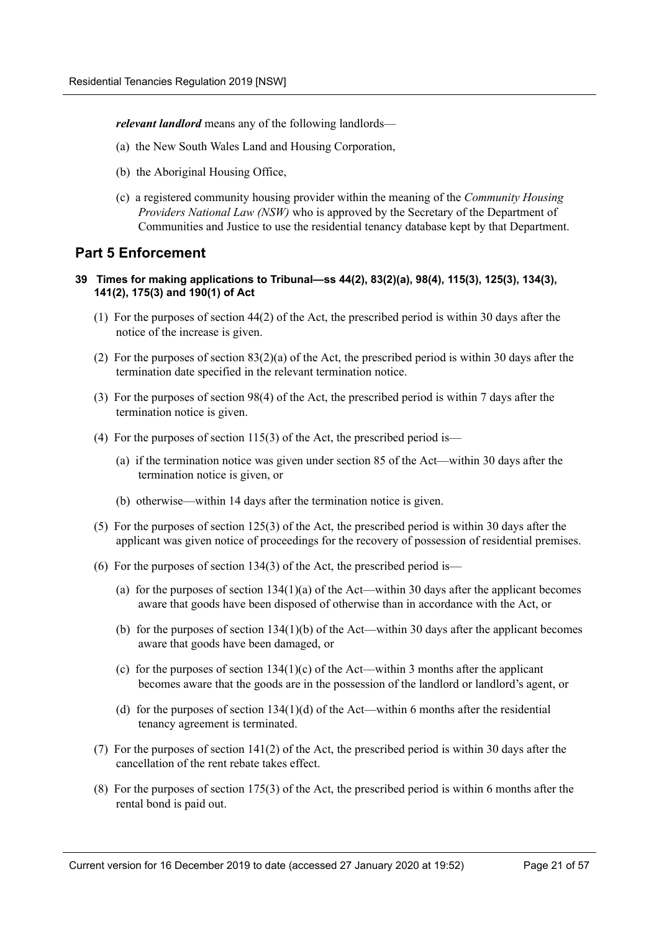*relevant landlord* means any of the following landlords—

- (a) the New South Wales Land and Housing Corporation,
- (b) the Aboriginal Housing Office,
- (c) a registered community housing provider within the meaning of the *Community Housing Providers National Law (NSW)* who is approved by the Secretary of the Department of Communities and Justice to use the residential tenancy database kept by that Department.

## <span id="page-20-0"></span>**Part 5 Enforcement**

- <span id="page-20-1"></span>**39 Times for making applications to Tribunal—ss 44(2), 83(2)(a), 98(4), 115(3), 125(3), 134(3), 141(2), 175(3) and 190(1) of Act**
	- (1) For the purposes of section 44(2) of the Act, the prescribed period is within 30 days after the notice of the increase is given.
	- (2) For the purposes of section 83(2)(a) of the Act, the prescribed period is within 30 days after the termination date specified in the relevant termination notice.
	- (3) For the purposes of section 98(4) of the Act, the prescribed period is within 7 days after the termination notice is given.
	- (4) For the purposes of section 115(3) of the Act, the prescribed period is—
		- (a) if the termination notice was given under section 85 of the Act—within 30 days after the termination notice is given, or
		- (b) otherwise—within 14 days after the termination notice is given.
	- (5) For the purposes of section 125(3) of the Act, the prescribed period is within 30 days after the applicant was given notice of proceedings for the recovery of possession of residential premises.
	- (6) For the purposes of section 134(3) of the Act, the prescribed period is—
		- (a) for the purposes of section  $134(1)(a)$  of the Act—within 30 days after the applicant becomes aware that goods have been disposed of otherwise than in accordance with the Act, or
		- (b) for the purposes of section  $134(1)(b)$  of the Act—within 30 days after the applicant becomes aware that goods have been damaged, or
		- (c) for the purposes of section  $134(1)(c)$  of the Act—within 3 months after the applicant becomes aware that the goods are in the possession of the landlord or landlord's agent, or
		- (d) for the purposes of section  $134(1)(d)$  of the Act—within 6 months after the residential tenancy agreement is terminated.
	- (7) For the purposes of section 141(2) of the Act, the prescribed period is within 30 days after the cancellation of the rent rebate takes effect.
	- (8) For the purposes of section 175(3) of the Act, the prescribed period is within 6 months after the rental bond is paid out.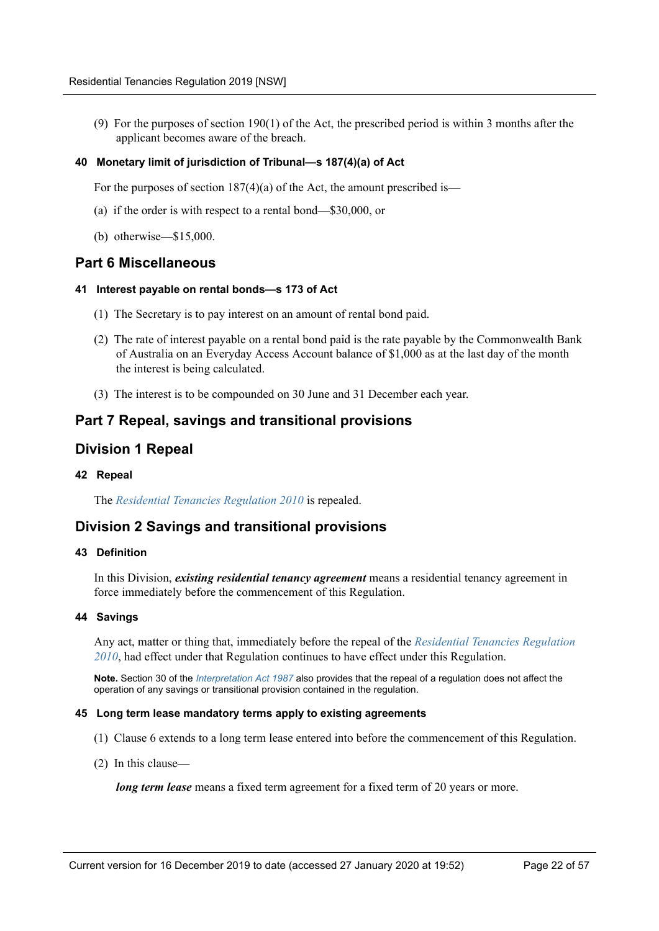(9) For the purposes of section 190(1) of the Act, the prescribed period is within 3 months after the applicant becomes aware of the breach.

### <span id="page-21-0"></span>**40 Monetary limit of jurisdiction of Tribunal—s 187(4)(a) of Act**

For the purposes of section 187(4)(a) of the Act, the amount prescribed is—

- (a) if the order is with respect to a rental bond—\$30,000, or
- (b) otherwise—\$15,000.

## <span id="page-21-1"></span>**Part 6 Miscellaneous**

### <span id="page-21-2"></span>**41 Interest payable on rental bonds—s 173 of Act**

- (1) The Secretary is to pay interest on an amount of rental bond paid.
- (2) The rate of interest payable on a rental bond paid is the rate payable by the Commonwealth Bank of Australia on an Everyday Access Account balance of \$1,000 as at the last day of the month the interest is being calculated.
- (3) The interest is to be compounded on 30 June and 31 December each year.

## <span id="page-21-3"></span>**Part 7 Repeal, savings and transitional provisions**

## <span id="page-21-4"></span>**Division 1 Repeal**

### <span id="page-21-5"></span>**42 Repeal**

The *Residential Tenancies Regulation 2010* is repealed.

## <span id="page-21-6"></span>**Division 2 Savings and transitional provisions**

### <span id="page-21-7"></span>**43 Definition**

In this Division, *existing residential tenancy agreement* means a residential tenancy agreement in force immediately before the commencement of this Regulation.

### <span id="page-21-8"></span>**44 Savings**

Any act, matter or thing that, immediately before the repeal of the *Residential Tenancies Regulation 2010*, had effect under that Regulation continues to have effect under this Regulation.

**Note.** Section 30 of the *Interpretation Act 1987* also provides that the repeal of a regulation does not affect the operation of any savings or transitional provision contained in the regulation.

### <span id="page-21-9"></span>**45 Long term lease mandatory terms apply to existing agreements**

- (1) Clause 6 extends to a long term lease entered into before the commencement of this Regulation.
- (2) In this clause—

*long term lease* means a fixed term agreement for a fixed term of 20 years or more.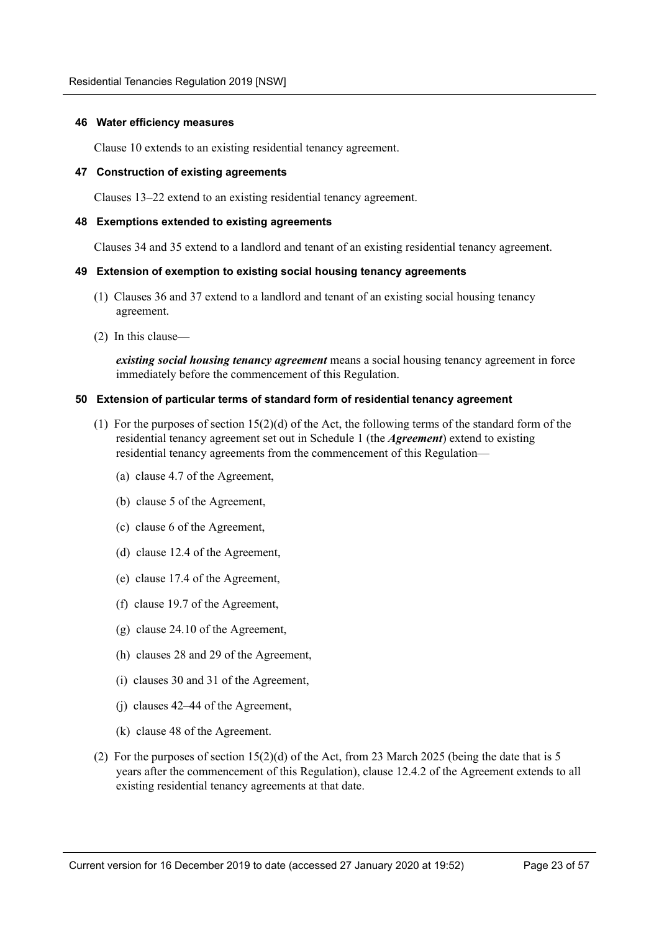### <span id="page-22-0"></span>**46 Water efficiency measures**

Clause 10 extends to an existing residential tenancy agreement.

### <span id="page-22-1"></span>**47 Construction of existing agreements**

Clauses 13–22 extend to an existing residential tenancy agreement.

### <span id="page-22-2"></span>**48 Exemptions extended to existing agreements**

Clauses 34 and 35 extend to a landlord and tenant of an existing residential tenancy agreement.

### <span id="page-22-3"></span>**49 Extension of exemption to existing social housing tenancy agreements**

- (1) Clauses 36 and 37 extend to a landlord and tenant of an existing social housing tenancy agreement.
- (2) In this clause—

*existing social housing tenancy agreement* means a social housing tenancy agreement in force immediately before the commencement of this Regulation.

### <span id="page-22-4"></span>**50 Extension of particular terms of standard form of residential tenancy agreement**

- (1) For the purposes of section 15(2)(d) of the Act, the following terms of the standard form of the residential tenancy agreement set out in Schedule 1 (the *Agreement*) extend to existing residential tenancy agreements from the commencement of this Regulation—
	- (a) clause 4.7 of the Agreement,
	- (b) clause 5 of the Agreement,
	- (c) clause 6 of the Agreement,
	- (d) clause 12.4 of the Agreement,
	- (e) clause 17.4 of the Agreement,
	- (f) clause 19.7 of the Agreement,
	- (g) clause 24.10 of the Agreement,
	- (h) clauses 28 and 29 of the Agreement,
	- (i) clauses 30 and 31 of the Agreement,
	- (j) clauses 42–44 of the Agreement,
	- (k) clause 48 of the Agreement.
- (2) For the purposes of section 15(2)(d) of the Act, from 23 March 2025 (being the date that is 5 years after the commencement of this Regulation), clause 12.4.2 of the Agreement extends to all existing residential tenancy agreements at that date.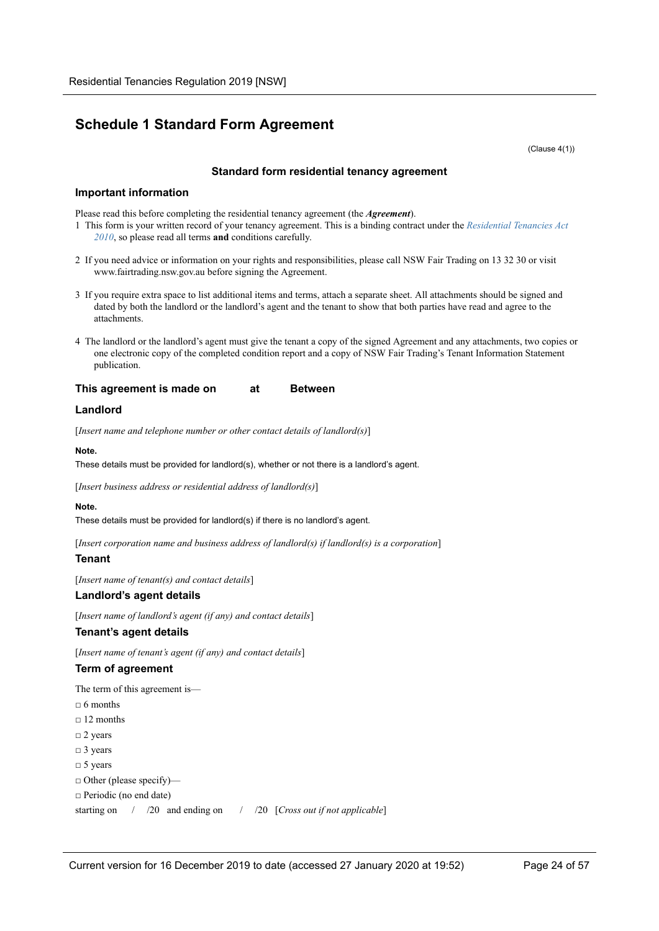## <span id="page-23-0"></span>**Schedule 1 Standard Form Agreement**

(Clause 4(1))

### **Standard form residential tenancy agreement**

### **Important information**

Please read this before completing the residential tenancy agreement (the *Agreement*).

- 1 This form is your written record of your tenancy agreement. This is a binding contract under the *Residential Tenancies Act 2010*, so please read all terms **and** conditions carefully.
- 2 If you need advice or information on your rights and responsibilities, please call NSW Fair Trading on 13 32 30 or visit www.fairtrading.nsw.gov.au before signing the Agreement.
- 3 If you require extra space to list additional items and terms, attach a separate sheet. All attachments should be signed and dated by both the landlord or the landlord's agent and the tenant to show that both parties have read and agree to the attachments.
- 4 The landlord or the landlord's agent must give the tenant a copy of the signed Agreement and any attachments, two copies or one electronic copy of the completed condition report and a copy of NSW Fair Trading's Tenant Information Statement publication.

### **This agreement is made on at Between**

### **Landlord**

[*Insert name and telephone number or other contact details of landlord(s)*]

#### **Note.**

These details must be provided for landlord(s), whether or not there is a landlord's agent.

[*Insert business address or residential address of landlord(s)*]

### **Note.**

These details must be provided for landlord(s) if there is no landlord's agent.

[*Insert corporation name and business address of landlord(s) if landlord(s) is a corporation*]

### **Tenant**

[*Insert name of tenant(s) and contact details*]

### **Landlord's agent details**

[*Insert name of landlord's agent (if any) and contact details*]

### **Tenant's agent details**

[*Insert name of tenant's agent (if any) and contact details*]

### **Term of agreement**

The term of this agreement is—

- $\Box$  6 months
- $\Box$  12 months
- □ 2 years
- □ 3 years
- □ 5 years
- □ Other (please specify)—
- □ Periodic (no end date)

starting on / /20 and ending on / /20 [*Cross out if not applicable*]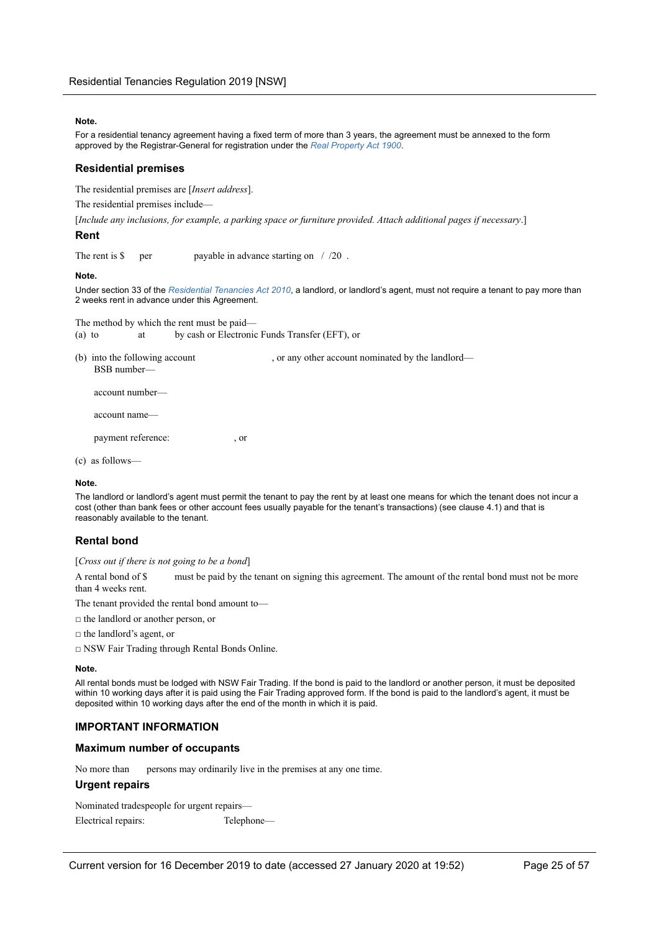#### **Note.**

For a residential tenancy agreement having a fixed term of more than 3 years, the agreement must be annexed to the form approved by the Registrar-General for registration under the *Real Property Act 1900*.

### **Residential premises**

The residential premises are [*Insert address*].

The residential premises include—

[*Include any inclusions, for example, a parking space or furniture provided. Attach additional pages if necessary*.]

### **Rent**

The rent is  $\frac{1}{20}$  per payable in advance starting on  $\frac{1}{20}$ .

#### **Note.**

Under section 33 of the *Residential Tenancies Act 2010*, a landlord, or landlord's agent, must not require a tenant to pay more than 2 weeks rent in advance under this Agreement.

The method by which the rent must be paid— (a) to at by cash or Electronic Funds Transfer (EFT), or

(b) into the following account  $\alpha$ , or any other account nominated by the landlord— BSB number—

account number—

account name—

payment reference:  $\qquad \qquad$ , or

(c) as follows—

#### **Note.**

The landlord or landlord's agent must permit the tenant to pay the rent by at least one means for which the tenant does not incur a cost (other than bank fees or other account fees usually payable for the tenant's transactions) (see clause 4.1) and that is reasonably available to the tenant.

### **Rental bond**

[*Cross out if there is not going to be a bond*]

A rental bond of \$ must be paid by the tenant on signing this agreement. The amount of the rental bond must not be more than 4 weeks rent.

The tenant provided the rental bond amount to—

- □ the landlord or another person, or
- □ the landlord's agent, or

□ NSW Fair Trading through Rental Bonds Online.

#### **Note.**

All rental bonds must be lodged with NSW Fair Trading. If the bond is paid to the landlord or another person, it must be deposited within 10 working days after it is paid using the Fair Trading approved form. If the bond is paid to the landlord's agent, it must be deposited within 10 working days after the end of the month in which it is paid.

### **IMPORTANT INFORMATION**

### **Maximum number of occupants**

No more than persons may ordinarily live in the premises at any one time.

### **Urgent repairs**

Nominated tradespeople for urgent repairs— Electrical repairs: Telephone—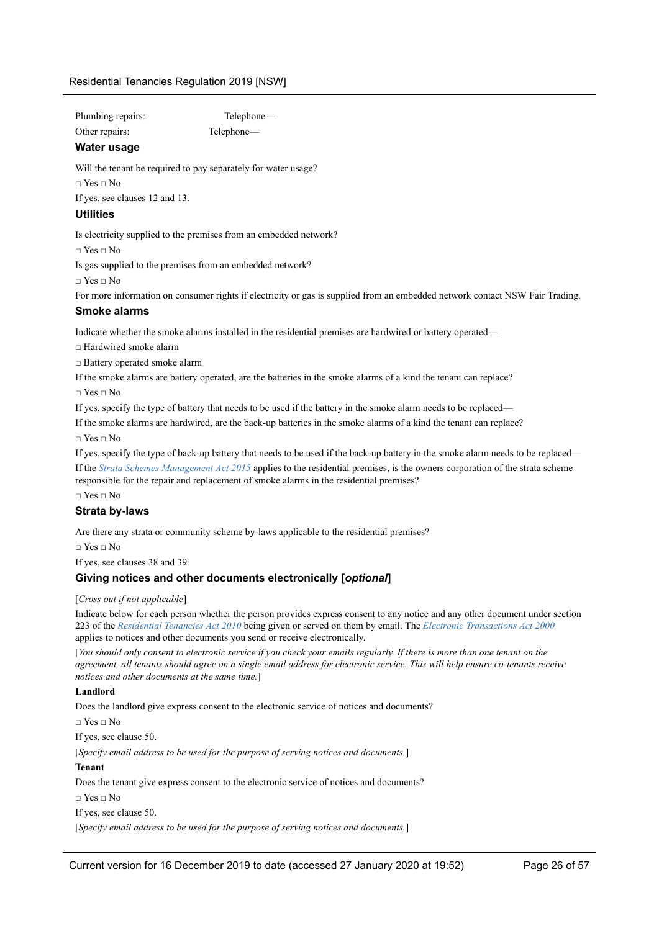| Plumbing repairs: | <b>Telephor</b> |
|-------------------|-----------------|
| Other repairs:    | Telephone-      |

Telephone—

### **Water usage**

Will the tenant be required to pay separately for water usage?

 $\Box$  Yes  $\Box$  No

If yes, see clauses 12 and 13.

### **Utilities**

Is electricity supplied to the premises from an embedded network?

□ Yes □ No

Is gas supplied to the premises from an embedded network?

□ Yes □ No

For more information on consumer rights if electricity or gas is supplied from an embedded network contact NSW Fair Trading.

### **Smoke alarms**

Indicate whether the smoke alarms installed in the residential premises are hardwired or battery operated—

 $\Box$  Hardwired smoke alarm

□ Battery operated smoke alarm

If the smoke alarms are battery operated, are the batteries in the smoke alarms of a kind the tenant can replace?

□ Yes □ No

If yes, specify the type of battery that needs to be used if the battery in the smoke alarm needs to be replaced—

If the smoke alarms are hardwired, are the back-up batteries in the smoke alarms of a kind the tenant can replace?

 $\Box$  Yes  $\Box$  No

If yes, specify the type of back-up battery that needs to be used if the back-up battery in the smoke alarm needs to be replaced— If the *Strata Schemes Management Act 2015* applies to the residential premises, is the owners corporation of the strata scheme responsible for the repair and replacement of smoke alarms in the residential premises?

 $\Box$  Yes  $\Box$  No

### **Strata by-laws**

Are there any strata or community scheme by-laws applicable to the residential premises?

 $\Box$  Yes  $\Box$  No

If yes, see clauses 38 and 39.

### **Giving notices and other documents electronically [***optional***]**

### [*Cross out if not applicable*]

Indicate below for each person whether the person provides express consent to any notice and any other document under section 223 of the *Residential Tenancies Act 2010* being given or served on them by email. The *Electronic Transactions Act 2000* applies to notices and other documents you send or receive electronically.

[*You should only consent to electronic service if you check your emails regularly. If there is more than one tenant on the agreement, all tenants should agree on a single email address for electronic service. This will help ensure co-tenants receive notices and other documents at the same time.*]

### **Landlord**

Does the landlord give express consent to the electronic service of notices and documents?

□ Yes □ No

If yes, see clause 50.

[*Specify email address to be used for the purpose of serving notices and documents.*]

### **Tenant**

Does the tenant give express consent to the electronic service of notices and documents?  $\Box$  Yes  $\Box$  No If yes, see clause 50.

[*Specify email address to be used for the purpose of serving notices and documents.*]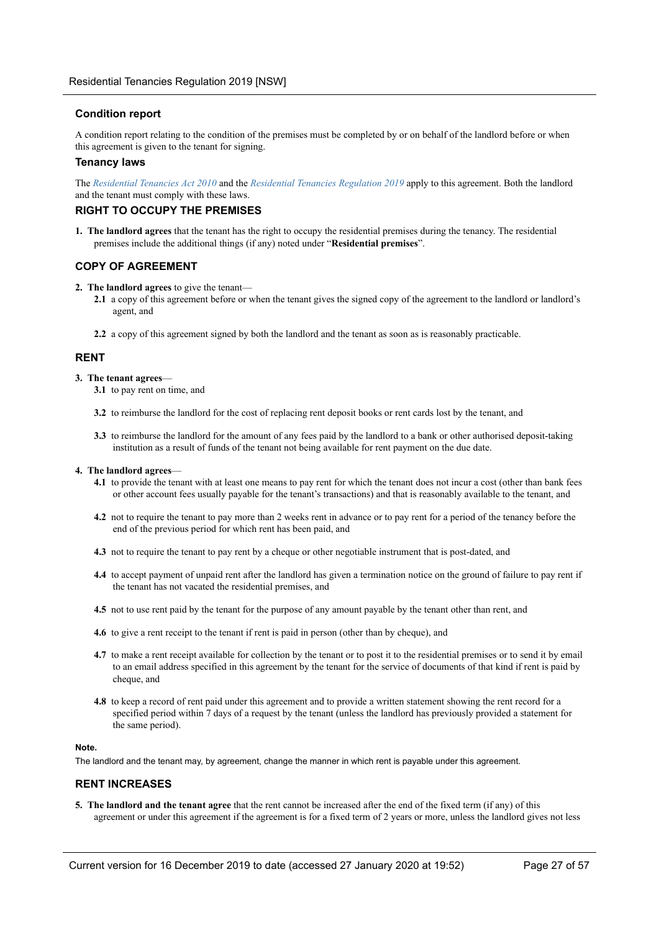### **Condition report**

A condition report relating to the condition of the premises must be completed by or on behalf of the landlord before or when this agreement is given to the tenant for signing.

### **Tenancy laws**

The *Residential Tenancies Act 2010* and the *Residential Tenancies Regulation 2019* apply to this agreement. Both the landlord and the tenant must comply with these laws.

### **RIGHT TO OCCUPY THE PREMISES**

**1. The landlord agrees** that the tenant has the right to occupy the residential premises during the tenancy. The residential premises include the additional things (if any) noted under "**Residential premises**".

### **COPY OF AGREEMENT**

- **2. The landlord agrees** to give the tenant—
	- **2.1** a copy of this agreement before or when the tenant gives the signed copy of the agreement to the landlord or landlord's agent, and
	- **2.2** a copy of this agreement signed by both the landlord and the tenant as soon as is reasonably practicable.

### **RENT**

#### **3. The tenant agrees**—

- **3.1** to pay rent on time, and
- **3.2** to reimburse the landlord for the cost of replacing rent deposit books or rent cards lost by the tenant, and
- **3.3** to reimburse the landlord for the amount of any fees paid by the landlord to a bank or other authorised deposit-taking institution as a result of funds of the tenant not being available for rent payment on the due date.

#### **4. The landlord agrees**—

- **4.1** to provide the tenant with at least one means to pay rent for which the tenant does not incur a cost (other than bank fees or other account fees usually payable for the tenant's transactions) and that is reasonably available to the tenant, and
- **4.2** not to require the tenant to pay more than 2 weeks rent in advance or to pay rent for a period of the tenancy before the end of the previous period for which rent has been paid, and
- **4.3** not to require the tenant to pay rent by a cheque or other negotiable instrument that is post-dated, and
- **4.4** to accept payment of unpaid rent after the landlord has given a termination notice on the ground of failure to pay rent if the tenant has not vacated the residential premises, and
- **4.5** not to use rent paid by the tenant for the purpose of any amount payable by the tenant other than rent, and
- **4.6** to give a rent receipt to the tenant if rent is paid in person (other than by cheque), and
- **4.7** to make a rent receipt available for collection by the tenant or to post it to the residential premises or to send it by email to an email address specified in this agreement by the tenant for the service of documents of that kind if rent is paid by cheque, and
- **4.8** to keep a record of rent paid under this agreement and to provide a written statement showing the rent record for a specified period within 7 days of a request by the tenant (unless the landlord has previously provided a statement for the same period).

### **Note.**

The landlord and the tenant may, by agreement, change the manner in which rent is payable under this agreement.

### **RENT INCREASES**

**5. The landlord and the tenant agree** that the rent cannot be increased after the end of the fixed term (if any) of this agreement or under this agreement if the agreement is for a fixed term of 2 years or more, unless the landlord gives not less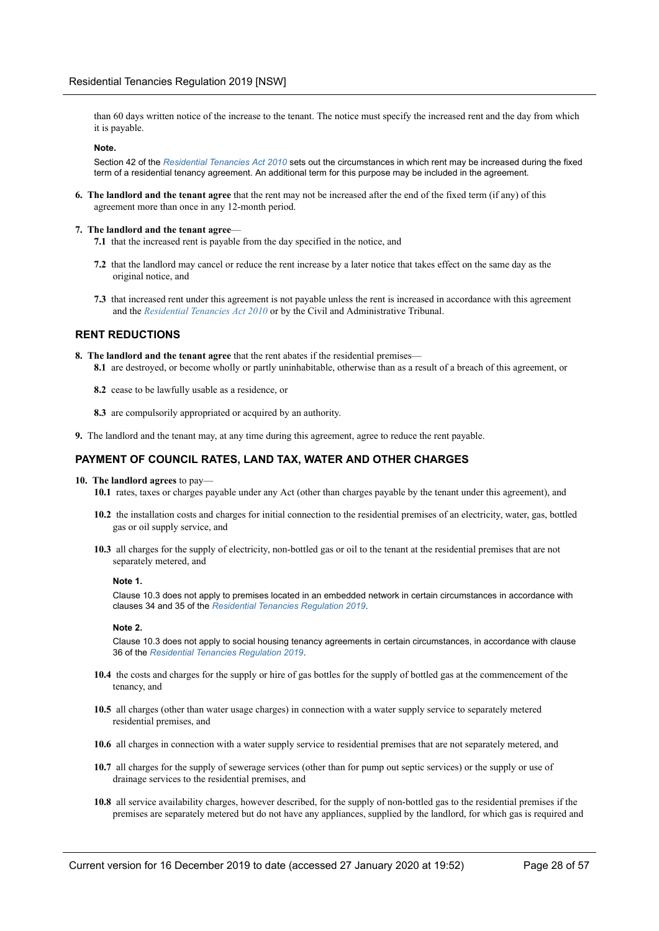than 60 days written notice of the increase to the tenant. The notice must specify the increased rent and the day from which it is payable.

#### **Note.**

Section 42 of the *Residential Tenancies Act 2010* sets out the circumstances in which rent may be increased during the fixed term of a residential tenancy agreement. An additional term for this purpose may be included in the agreement.

**6. The landlord and the tenant agree** that the rent may not be increased after the end of the fixed term (if any) of this agreement more than once in any 12-month period.

#### **7. The landlord and the tenant agree**—

- **7.1** that the increased rent is payable from the day specified in the notice, and
- **7.2** that the landlord may cancel or reduce the rent increase by a later notice that takes effect on the same day as the original notice, and
- **7.3** that increased rent under this agreement is not payable unless the rent is increased in accordance with this agreement and the *Residential Tenancies Act 2010* or by the Civil and Administrative Tribunal.

### **RENT REDUCTIONS**

- **8. The landlord and the tenant agree** that the rent abates if the residential premises— **8.1** are destroyed, or become wholly or partly uninhabitable, otherwise than as a result of a breach of this agreement, or
	- **8.2** cease to be lawfully usable as a residence, or
	- **8.3** are compulsorily appropriated or acquired by an authority.
- **9.** The landlord and the tenant may, at any time during this agreement, agree to reduce the rent payable.

### **PAYMENT OF COUNCIL RATES, LAND TAX, WATER AND OTHER CHARGES**

- **10. The landlord agrees** to pay—
	- **10.1** rates, taxes or charges payable under any Act (other than charges payable by the tenant under this agreement), and
	- **10.2** the installation costs and charges for initial connection to the residential premises of an electricity, water, gas, bottled gas or oil supply service, and
	- **10.3** all charges for the supply of electricity, non-bottled gas or oil to the tenant at the residential premises that are not separately metered, and

#### **Note 1.**

Clause 10.3 does not apply to premises located in an embedded network in certain circumstances in accordance with clauses 34 and 35 of the *Residential Tenancies Regulation 2019*.

#### **Note 2.**

Clause 10.3 does not apply to social housing tenancy agreements in certain circumstances, in accordance with clause 36 of the *Residential Tenancies Regulation 2019*.

- **10.4** the costs and charges for the supply or hire of gas bottles for the supply of bottled gas at the commencement of the tenancy, and
- **10.5** all charges (other than water usage charges) in connection with a water supply service to separately metered residential premises, and
- **10.6** all charges in connection with a water supply service to residential premises that are not separately metered, and
- **10.7** all charges for the supply of sewerage services (other than for pump out septic services) or the supply or use of drainage services to the residential premises, and
- **10.8** all service availability charges, however described, for the supply of non-bottled gas to the residential premises if the premises are separately metered but do not have any appliances, supplied by the landlord, for which gas is required and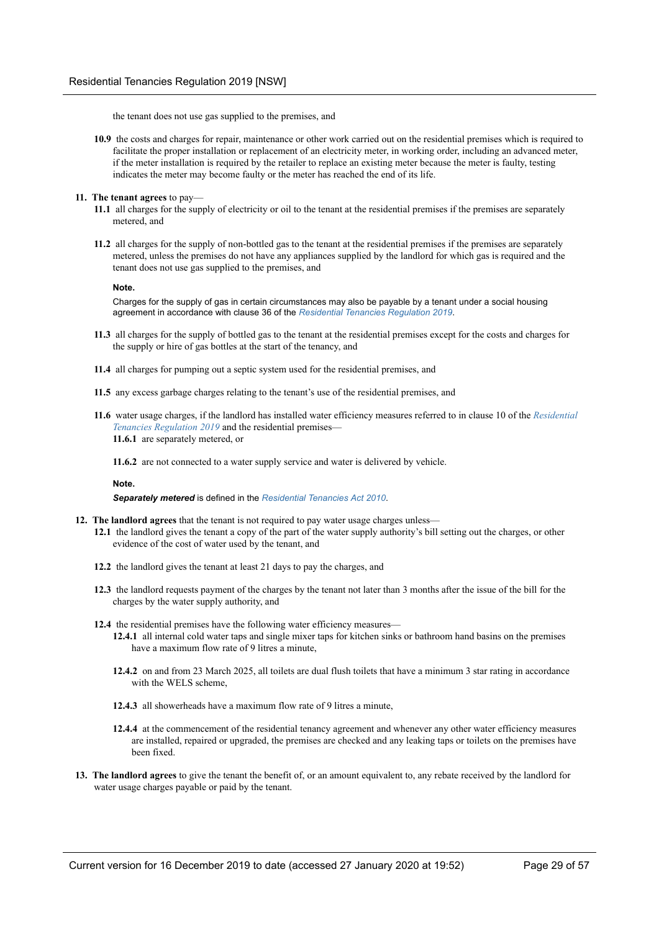the tenant does not use gas supplied to the premises, and

- **10.9** the costs and charges for repair, maintenance or other work carried out on the residential premises which is required to facilitate the proper installation or replacement of an electricity meter, in working order, including an advanced meter, if the meter installation is required by the retailer to replace an existing meter because the meter is faulty, testing indicates the meter may become faulty or the meter has reached the end of its life.
- **11. The tenant agrees** to pay—
	- **11.1** all charges for the supply of electricity or oil to the tenant at the residential premises if the premises are separately metered, and
	- **11.2** all charges for the supply of non-bottled gas to the tenant at the residential premises if the premises are separately metered, unless the premises do not have any appliances supplied by the landlord for which gas is required and the tenant does not use gas supplied to the premises, and

#### **Note.**

Charges for the supply of gas in certain circumstances may also be payable by a tenant under a social housing agreement in accordance with clause 36 of the *Residential Tenancies Regulation 2019*.

- **11.3** all charges for the supply of bottled gas to the tenant at the residential premises except for the costs and charges for the supply or hire of gas bottles at the start of the tenancy, and
- **11.4** all charges for pumping out a septic system used for the residential premises, and
- **11.5** any excess garbage charges relating to the tenant's use of the residential premises, and
- **11.6** water usage charges, if the landlord has installed water efficiency measures referred to in clause 10 of the *Residential Tenancies Regulation 2019* and the residential premises— **11.6.1** are separately metered, or
	- **11.6.2** are not connected to a water supply service and water is delivered by vehicle.

#### **Note.**

#### *Separately metered* is defined in the *Residential Tenancies Act 2010*.

- **12. The landlord agrees** that the tenant is not required to pay water usage charges unless— **12.1** the landlord gives the tenant a copy of the part of the water supply authority's bill setting out the charges, or other evidence of the cost of water used by the tenant, and
	- **12.2** the landlord gives the tenant at least 21 days to pay the charges, and
	- **12.3** the landlord requests payment of the charges by the tenant not later than 3 months after the issue of the bill for the charges by the water supply authority, and
	- **12.4** the residential premises have the following water efficiency measures—
		- **12.4.1** all internal cold water taps and single mixer taps for kitchen sinks or bathroom hand basins on the premises have a maximum flow rate of 9 litres a minute,
		- **12.4.2** on and from 23 March 2025, all toilets are dual flush toilets that have a minimum 3 star rating in accordance with the WELS scheme,
		- **12.4.3** all showerheads have a maximum flow rate of 9 litres a minute,
		- **12.4.4** at the commencement of the residential tenancy agreement and whenever any other water efficiency measures are installed, repaired or upgraded, the premises are checked and any leaking taps or toilets on the premises have been fixed.
- **13. The landlord agrees** to give the tenant the benefit of, or an amount equivalent to, any rebate received by the landlord for water usage charges payable or paid by the tenant.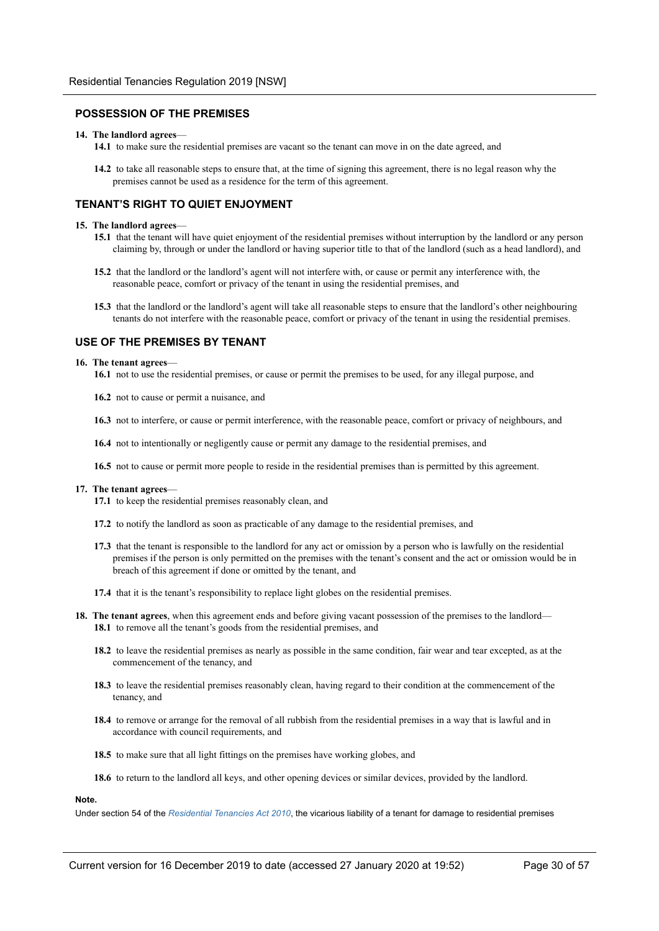### **POSSESSION OF THE PREMISES**

#### **14. The landlord agrees**—

**14.1** to make sure the residential premises are vacant so the tenant can move in on the date agreed, and

**14.2** to take all reasonable steps to ensure that, at the time of signing this agreement, there is no legal reason why the premises cannot be used as a residence for the term of this agreement.

### **TENANT'S RIGHT TO QUIET ENJOYMENT**

#### **15. The landlord agrees**—

- **15.1** that the tenant will have quiet enjoyment of the residential premises without interruption by the landlord or any person claiming by, through or under the landlord or having superior title to that of the landlord (such as a head landlord), and
- **15.2** that the landlord or the landlord's agent will not interfere with, or cause or permit any interference with, the reasonable peace, comfort or privacy of the tenant in using the residential premises, and
- **15.3** that the landlord or the landlord's agent will take all reasonable steps to ensure that the landlord's other neighbouring tenants do not interfere with the reasonable peace, comfort or privacy of the tenant in using the residential premises.

### **USE OF THE PREMISES BY TENANT**

#### **16. The tenant agrees**—

- **16.1** not to use the residential premises, or cause or permit the premises to be used, for any illegal purpose, and
- **16.2** not to cause or permit a nuisance, and
- **16.3** not to interfere, or cause or permit interference, with the reasonable peace, comfort or privacy of neighbours, and
- **16.4** not to intentionally or negligently cause or permit any damage to the residential premises, and
- **16.5** not to cause or permit more people to reside in the residential premises than is permitted by this agreement.

#### **17. The tenant agrees**—

- **17.1** to keep the residential premises reasonably clean, and
- **17.2** to notify the landlord as soon as practicable of any damage to the residential premises, and
- **17.3** that the tenant is responsible to the landlord for any act or omission by a person who is lawfully on the residential premises if the person is only permitted on the premises with the tenant's consent and the act or omission would be in breach of this agreement if done or omitted by the tenant, and
- **17.4** that it is the tenant's responsibility to replace light globes on the residential premises.
- **18. The tenant agrees**, when this agreement ends and before giving vacant possession of the premises to the landlord— **18.1** to remove all the tenant's goods from the residential premises, and
	- **18.2** to leave the residential premises as nearly as possible in the same condition, fair wear and tear excepted, as at the commencement of the tenancy, and
	- **18.3** to leave the residential premises reasonably clean, having regard to their condition at the commencement of the tenancy, and
	- **18.4** to remove or arrange for the removal of all rubbish from the residential premises in a way that is lawful and in accordance with council requirements, and
	- **18.5** to make sure that all light fittings on the premises have working globes, and
	- **18.6** to return to the landlord all keys, and other opening devices or similar devices, provided by the landlord.

### **Note.**

Under section 54 of the *Residential Tenancies Act 2010*, the vicarious liability of a tenant for damage to residential premises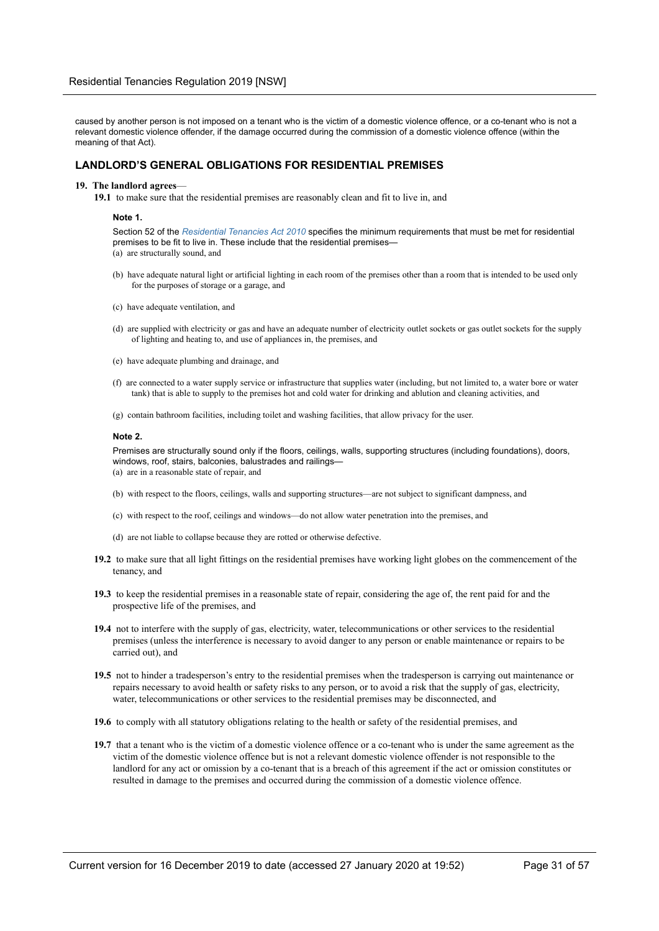caused by another person is not imposed on a tenant who is the victim of a domestic violence offence, or a co-tenant who is not a relevant domestic violence offender, if the damage occurred during the commission of a domestic violence offence (within the meaning of that Act).

### **LANDLORD'S GENERAL OBLIGATIONS FOR RESIDENTIAL PREMISES**

#### **19. The landlord agrees**—

**19.1** to make sure that the residential premises are reasonably clean and fit to live in, and

#### **Note 1.**

Section 52 of the *Residential Tenancies Act 2010* specifies the minimum requirements that must be met for residential premises to be fit to live in. These include that the residential premises— (a) are structurally sound, and

- (b) have adequate natural light or artificial lighting in each room of the premises other than a room that is intended to be used only for the purposes of storage or a garage, and
- (c) have adequate ventilation, and
- (d) are supplied with electricity or gas and have an adequate number of electricity outlet sockets or gas outlet sockets for the supply of lighting and heating to, and use of appliances in, the premises, and
- (e) have adequate plumbing and drainage, and
- (f) are connected to a water supply service or infrastructure that supplies water (including, but not limited to, a water bore or water tank) that is able to supply to the premises hot and cold water for drinking and ablution and cleaning activities, and
- (g) contain bathroom facilities, including toilet and washing facilities, that allow privacy for the user.

#### **Note 2.**

Premises are structurally sound only if the floors, ceilings, walls, supporting structures (including foundations), doors, windows, roof, stairs, balconies, balustrades and railings— (a) are in a reasonable state of repair, and

- (b) with respect to the floors, ceilings, walls and supporting structures—are not subject to significant dampness, and
- (c) with respect to the roof, ceilings and windows—do not allow water penetration into the premises, and
- (d) are not liable to collapse because they are rotted or otherwise defective.
- **19.2** to make sure that all light fittings on the residential premises have working light globes on the commencement of the tenancy, and
- **19.3** to keep the residential premises in a reasonable state of repair, considering the age of, the rent paid for and the prospective life of the premises, and
- **19.4** not to interfere with the supply of gas, electricity, water, telecommunications or other services to the residential premises (unless the interference is necessary to avoid danger to any person or enable maintenance or repairs to be carried out), and
- **19.5** not to hinder a tradesperson's entry to the residential premises when the tradesperson is carrying out maintenance or repairs necessary to avoid health or safety risks to any person, or to avoid a risk that the supply of gas, electricity, water, telecommunications or other services to the residential premises may be disconnected, and
- **19.6** to comply with all statutory obligations relating to the health or safety of the residential premises, and
- **19.7** that a tenant who is the victim of a domestic violence offence or a co-tenant who is under the same agreement as the victim of the domestic violence offence but is not a relevant domestic violence offender is not responsible to the landlord for any act or omission by a co-tenant that is a breach of this agreement if the act or omission constitutes or resulted in damage to the premises and occurred during the commission of a domestic violence offence.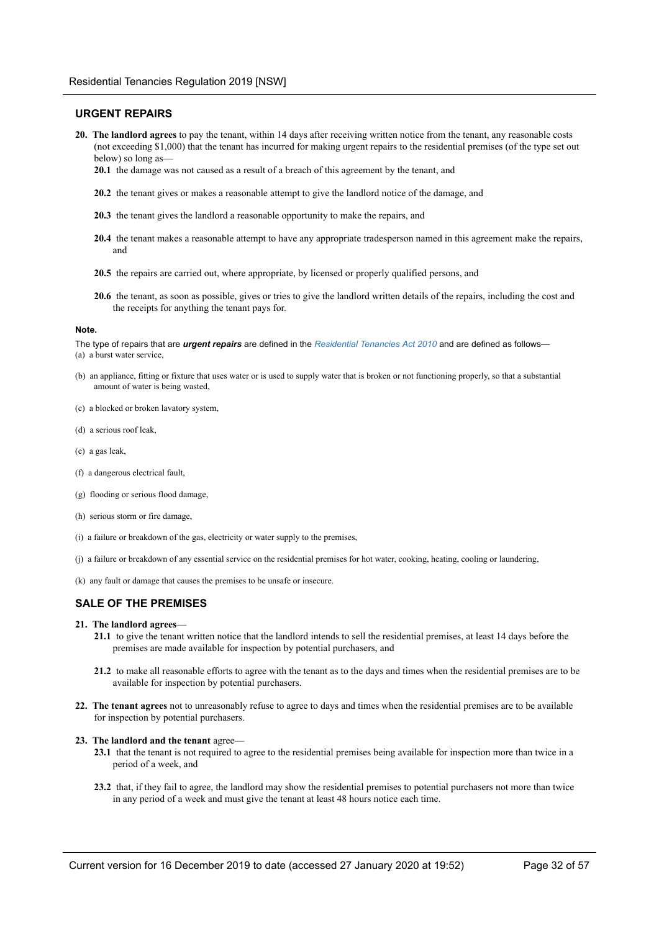### **URGENT REPAIRS**

- **20. The landlord agrees** to pay the tenant, within 14 days after receiving written notice from the tenant, any reasonable costs (not exceeding \$1,000) that the tenant has incurred for making urgent repairs to the residential premises (of the type set out below) so long as—
	- **20.1** the damage was not caused as a result of a breach of this agreement by the tenant, and
	- **20.2** the tenant gives or makes a reasonable attempt to give the landlord notice of the damage, and
	- **20.3** the tenant gives the landlord a reasonable opportunity to make the repairs, and
	- **20.4** the tenant makes a reasonable attempt to have any appropriate tradesperson named in this agreement make the repairs, and
	- **20.5** the repairs are carried out, where appropriate, by licensed or properly qualified persons, and
	- **20.6** the tenant, as soon as possible, gives or tries to give the landlord written details of the repairs, including the cost and the receipts for anything the tenant pays for.

#### **Note.**

The type of repairs that are *urgent repairs* are defined in the *Residential Tenancies Act 2010* and are defined as follows— (a) a burst water service,

- (b) an appliance, fitting or fixture that uses water or is used to supply water that is broken or not functioning properly, so that a substantial amount of water is being wasted,
- (c) a blocked or broken lavatory system,
- (d) a serious roof leak,
- (e) a gas leak,
- (f) a dangerous electrical fault,
- (g) flooding or serious flood damage,
- (h) serious storm or fire damage,
- (i) a failure or breakdown of the gas, electricity or water supply to the premises,
- (j) a failure or breakdown of any essential service on the residential premises for hot water, cooking, heating, cooling or laundering,
- (k) any fault or damage that causes the premises to be unsafe or insecure.

### **SALE OF THE PREMISES**

- **21. The landlord agrees**
	- **21.1** to give the tenant written notice that the landlord intends to sell the residential premises, at least 14 days before the premises are made available for inspection by potential purchasers, and
	- **21.2** to make all reasonable efforts to agree with the tenant as to the days and times when the residential premises are to be available for inspection by potential purchasers.
- **22. The tenant agrees** not to unreasonably refuse to agree to days and times when the residential premises are to be available for inspection by potential purchasers.
- **23. The landlord and the tenant** agree—
	- **23.1** that the tenant is not required to agree to the residential premises being available for inspection more than twice in a period of a week, and
	- **23.2** that, if they fail to agree, the landlord may show the residential premises to potential purchasers not more than twice in any period of a week and must give the tenant at least 48 hours notice each time.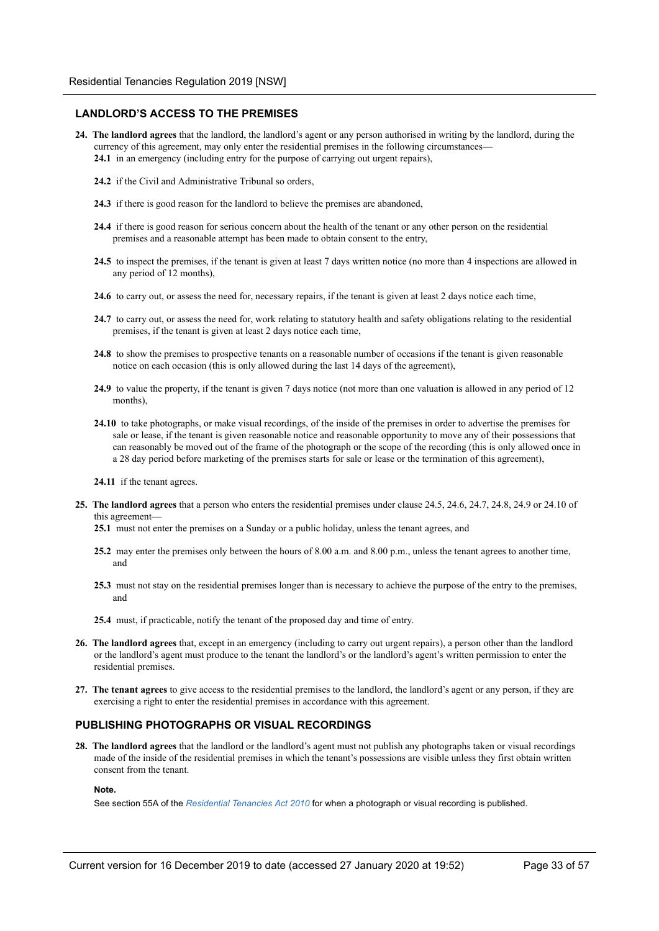### **LANDLORD'S ACCESS TO THE PREMISES**

- **24. The landlord agrees** that the landlord, the landlord's agent or any person authorised in writing by the landlord, during the currency of this agreement, may only enter the residential premises in the following circumstances—
	- **24.1** in an emergency (including entry for the purpose of carrying out urgent repairs),
	- **24.2** if the Civil and Administrative Tribunal so orders,
	- **24.3** if there is good reason for the landlord to believe the premises are abandoned,
	- **24.4** if there is good reason for serious concern about the health of the tenant or any other person on the residential premises and a reasonable attempt has been made to obtain consent to the entry,
	- **24.5** to inspect the premises, if the tenant is given at least 7 days written notice (no more than 4 inspections are allowed in any period of 12 months),
	- **24.6** to carry out, or assess the need for, necessary repairs, if the tenant is given at least 2 days notice each time,
	- **24.7** to carry out, or assess the need for, work relating to statutory health and safety obligations relating to the residential premises, if the tenant is given at least 2 days notice each time,
	- **24.8** to show the premises to prospective tenants on a reasonable number of occasions if the tenant is given reasonable notice on each occasion (this is only allowed during the last 14 days of the agreement),
	- **24.9** to value the property, if the tenant is given 7 days notice (not more than one valuation is allowed in any period of 12 months),
	- **24.10** to take photographs, or make visual recordings, of the inside of the premises in order to advertise the premises for sale or lease, if the tenant is given reasonable notice and reasonable opportunity to move any of their possessions that can reasonably be moved out of the frame of the photograph or the scope of the recording (this is only allowed once in a 28 day period before marketing of the premises starts for sale or lease or the termination of this agreement),
	- **24.11** if the tenant agrees.
- **25. The landlord agrees** that a person who enters the residential premises under clause 24.5, 24.6, 24.7, 24.8, 24.9 or 24.10 of this agreement—
	- **25.1** must not enter the premises on a Sunday or a public holiday, unless the tenant agrees, and
	- **25.2** may enter the premises only between the hours of 8.00 a.m. and 8.00 p.m., unless the tenant agrees to another time, and
	- **25.3** must not stay on the residential premises longer than is necessary to achieve the purpose of the entry to the premises, and
	- **25.4** must, if practicable, notify the tenant of the proposed day and time of entry.
- **26. The landlord agrees** that, except in an emergency (including to carry out urgent repairs), a person other than the landlord or the landlord's agent must produce to the tenant the landlord's or the landlord's agent's written permission to enter the residential premises.
- **27. The tenant agrees** to give access to the residential premises to the landlord, the landlord's agent or any person, if they are exercising a right to enter the residential premises in accordance with this agreement.

### **PUBLISHING PHOTOGRAPHS OR VISUAL RECORDINGS**

**28. The landlord agrees** that the landlord or the landlord's agent must not publish any photographs taken or visual recordings made of the inside of the residential premises in which the tenant's possessions are visible unless they first obtain written consent from the tenant.

#### **Note.**

See section 55A of the *Residential Tenancies Act 2010* for when a photograph or visual recording is published.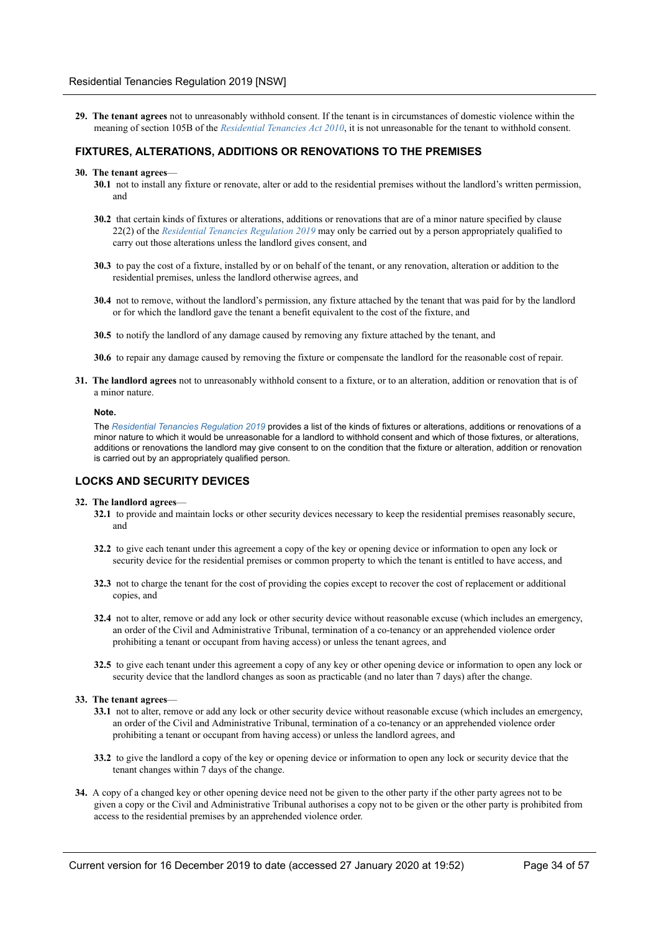**29. The tenant agrees** not to unreasonably withhold consent. If the tenant is in circumstances of domestic violence within the meaning of section 105B of the *Residential Tenancies Act 2010*, it is not unreasonable for the tenant to withhold consent.

### **FIXTURES, ALTERATIONS, ADDITIONS OR RENOVATIONS TO THE PREMISES**

#### **30. The tenant agrees**—

- **30.1** not to install any fixture or renovate, alter or add to the residential premises without the landlord's written permission, and
- **30.2** that certain kinds of fixtures or alterations, additions or renovations that are of a minor nature specified by clause 22(2) of the *Residential Tenancies Regulation 2019* may only be carried out by a person appropriately qualified to carry out those alterations unless the landlord gives consent, and
- **30.3** to pay the cost of a fixture, installed by or on behalf of the tenant, or any renovation, alteration or addition to the residential premises, unless the landlord otherwise agrees, and
- **30.4** not to remove, without the landlord's permission, any fixture attached by the tenant that was paid for by the landlord or for which the landlord gave the tenant a benefit equivalent to the cost of the fixture, and
- **30.5** to notify the landlord of any damage caused by removing any fixture attached by the tenant, and

**30.6** to repair any damage caused by removing the fixture or compensate the landlord for the reasonable cost of repair.

**31. The landlord agrees** not to unreasonably withhold consent to a fixture, or to an alteration, addition or renovation that is of a minor nature.

#### **Note.**

The *Residential Tenancies Regulation 2019* provides a list of the kinds of fixtures or alterations, additions or renovations of a minor nature to which it would be unreasonable for a landlord to withhold consent and which of those fixtures, or alterations, additions or renovations the landlord may give consent to on the condition that the fixture or alteration, addition or renovation is carried out by an appropriately qualified person.

### **LOCKS AND SECURITY DEVICES**

#### **32. The landlord agrees**—

- **32.1** to provide and maintain locks or other security devices necessary to keep the residential premises reasonably secure, and
- **32.2** to give each tenant under this agreement a copy of the key or opening device or information to open any lock or security device for the residential premises or common property to which the tenant is entitled to have access, and
- **32.3** not to charge the tenant for the cost of providing the copies except to recover the cost of replacement or additional copies, and
- **32.4** not to alter, remove or add any lock or other security device without reasonable excuse (which includes an emergency, an order of the Civil and Administrative Tribunal, termination of a co-tenancy or an apprehended violence order prohibiting a tenant or occupant from having access) or unless the tenant agrees, and
- **32.5** to give each tenant under this agreement a copy of any key or other opening device or information to open any lock or security device that the landlord changes as soon as practicable (and no later than 7 days) after the change.

#### **33. The tenant agrees**—

- **33.1** not to alter, remove or add any lock or other security device without reasonable excuse (which includes an emergency, an order of the Civil and Administrative Tribunal, termination of a co-tenancy or an apprehended violence order prohibiting a tenant or occupant from having access) or unless the landlord agrees, and
- **33.2** to give the landlord a copy of the key or opening device or information to open any lock or security device that the tenant changes within 7 days of the change.
- **34.** A copy of a changed key or other opening device need not be given to the other party if the other party agrees not to be given a copy or the Civil and Administrative Tribunal authorises a copy not to be given or the other party is prohibited from access to the residential premises by an apprehended violence order.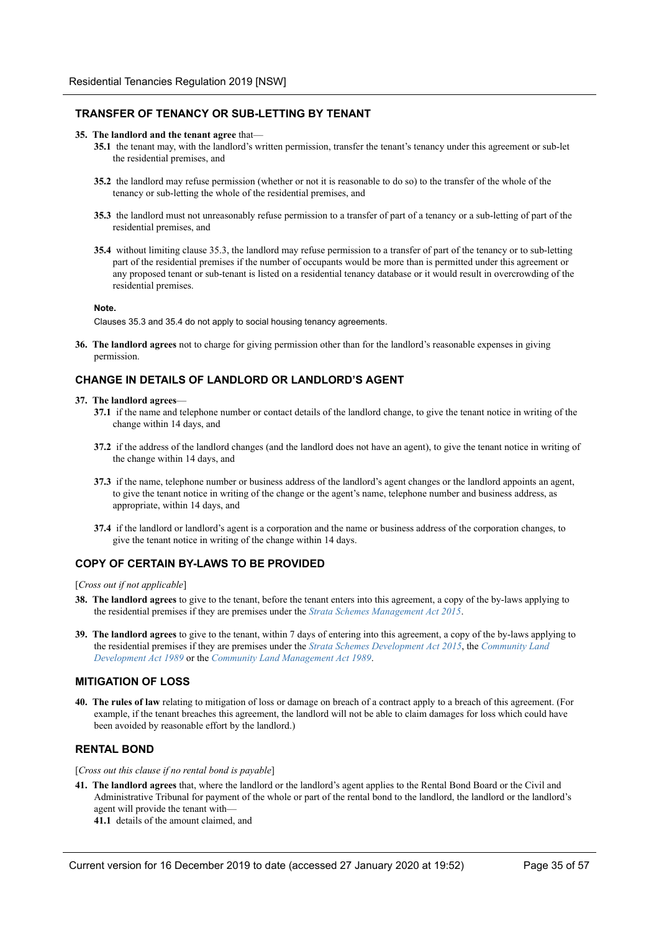### **TRANSFER OF TENANCY OR SUB-LETTING BY TENANT**

#### **35. The landlord and the tenant agree** that—

- **35.1** the tenant may, with the landlord's written permission, transfer the tenant's tenancy under this agreement or sub-let the residential premises, and
- **35.2** the landlord may refuse permission (whether or not it is reasonable to do so) to the transfer of the whole of the tenancy or sub-letting the whole of the residential premises, and
- **35.3** the landlord must not unreasonably refuse permission to a transfer of part of a tenancy or a sub-letting of part of the residential premises, and
- **35.4** without limiting clause 35.3, the landlord may refuse permission to a transfer of part of the tenancy or to sub-letting part of the residential premises if the number of occupants would be more than is permitted under this agreement or any proposed tenant or sub-tenant is listed on a residential tenancy database or it would result in overcrowding of the residential premises.

#### **Note.**

Clauses 35.3 and 35.4 do not apply to social housing tenancy agreements.

**36. The landlord agrees** not to charge for giving permission other than for the landlord's reasonable expenses in giving permission.

### **CHANGE IN DETAILS OF LANDLORD OR LANDLORD'S AGENT**

#### **37. The landlord agrees**—

- **37.1** if the name and telephone number or contact details of the landlord change, to give the tenant notice in writing of the change within 14 days, and
- **37.2** if the address of the landlord changes (and the landlord does not have an agent), to give the tenant notice in writing of the change within 14 days, and
- **37.3** if the name, telephone number or business address of the landlord's agent changes or the landlord appoints an agent, to give the tenant notice in writing of the change or the agent's name, telephone number and business address, as appropriate, within 14 days, and
- **37.4** if the landlord or landlord's agent is a corporation and the name or business address of the corporation changes, to give the tenant notice in writing of the change within 14 days.

### **COPY OF CERTAIN BY-LAWS TO BE PROVIDED**

[*Cross out if not applicable*]

- **38. The landlord agrees** to give to the tenant, before the tenant enters into this agreement, a copy of the by-laws applying to the residential premises if they are premises under the *Strata Schemes Management Act 2015*.
- **39. The landlord agrees** to give to the tenant, within 7 days of entering into this agreement, a copy of the by-laws applying to the residential premises if they are premises under the *Strata Schemes Development Act 2015*, the *Community Land Development Act 1989* or the *Community Land Management Act 1989*.

### **MITIGATION OF LOSS**

**40. The rules of law** relating to mitigation of loss or damage on breach of a contract apply to a breach of this agreement. (For example, if the tenant breaches this agreement, the landlord will not be able to claim damages for loss which could have been avoided by reasonable effort by the landlord.)

### **RENTAL BOND**

[*Cross out this clause if no rental bond is payable*]

- **41. The landlord agrees** that, where the landlord or the landlord's agent applies to the Rental Bond Board or the Civil and Administrative Tribunal for payment of the whole or part of the rental bond to the landlord, the landlord or the landlord's agent will provide the tenant with—
	- **41.1** details of the amount claimed, and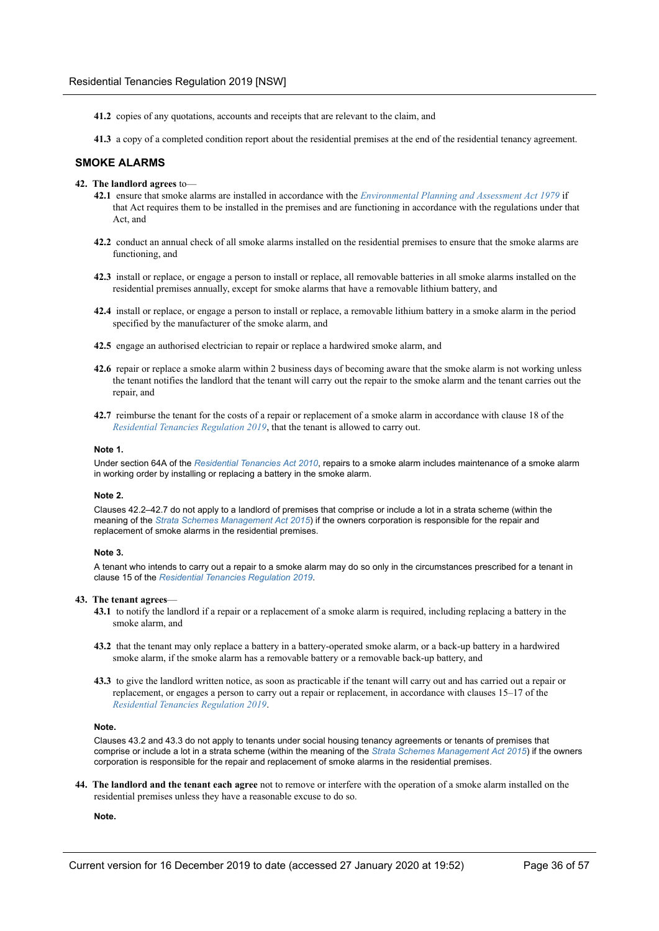- **41.2** copies of any quotations, accounts and receipts that are relevant to the claim, and
- **41.3** a copy of a completed condition report about the residential premises at the end of the residential tenancy agreement.

### **SMOKE ALARMS**

- **42. The landlord agrees** to—
	- **42.1** ensure that smoke alarms are installed in accordance with the *Environmental Planning and Assessment Act 1979* if that Act requires them to be installed in the premises and are functioning in accordance with the regulations under that Act, and
	- **42.2** conduct an annual check of all smoke alarms installed on the residential premises to ensure that the smoke alarms are functioning, and
	- **42.3** install or replace, or engage a person to install or replace, all removable batteries in all smoke alarms installed on the residential premises annually, except for smoke alarms that have a removable lithium battery, and
	- **42.4** install or replace, or engage a person to install or replace, a removable lithium battery in a smoke alarm in the period specified by the manufacturer of the smoke alarm, and
	- **42.5** engage an authorised electrician to repair or replace a hardwired smoke alarm, and
	- **42.6** repair or replace a smoke alarm within 2 business days of becoming aware that the smoke alarm is not working unless the tenant notifies the landlord that the tenant will carry out the repair to the smoke alarm and the tenant carries out the repair, and
	- **42.7** reimburse the tenant for the costs of a repair or replacement of a smoke alarm in accordance with clause 18 of the *Residential Tenancies Regulation 2019*, that the tenant is allowed to carry out.

#### **Note 1.**

Under section 64A of the *Residential Tenancies Act 2010*, repairs to a smoke alarm includes maintenance of a smoke alarm in working order by installing or replacing a battery in the smoke alarm.

#### **Note 2.**

Clauses 42.2–42.7 do not apply to a landlord of premises that comprise or include a lot in a strata scheme (within the meaning of the *Strata Schemes Management Act 2015*) if the owners corporation is responsible for the repair and replacement of smoke alarms in the residential premises.

#### **Note 3.**

A tenant who intends to carry out a repair to a smoke alarm may do so only in the circumstances prescribed for a tenant in clause 15 of the *Residential Tenancies Regulation 2019*.

#### **43. The tenant agrees**—

- **43.1** to notify the landlord if a repair or a replacement of a smoke alarm is required, including replacing a battery in the smoke alarm, and
- **43.2** that the tenant may only replace a battery in a battery-operated smoke alarm, or a back-up battery in a hardwired smoke alarm, if the smoke alarm has a removable battery or a removable back-up battery, and
- **43.3** to give the landlord written notice, as soon as practicable if the tenant will carry out and has carried out a repair or replacement, or engages a person to carry out a repair or replacement, in accordance with clauses 15–17 of the *Residential Tenancies Regulation 2019*.

#### **Note.**

Clauses 43.2 and 43.3 do not apply to tenants under social housing tenancy agreements or tenants of premises that comprise or include a lot in a strata scheme (within the meaning of the *Strata Schemes Management Act 2015*) if the owners corporation is responsible for the repair and replacement of smoke alarms in the residential premises.

**44. The landlord and the tenant each agree** not to remove or interfere with the operation of a smoke alarm installed on the residential premises unless they have a reasonable excuse to do so.

### **Note.**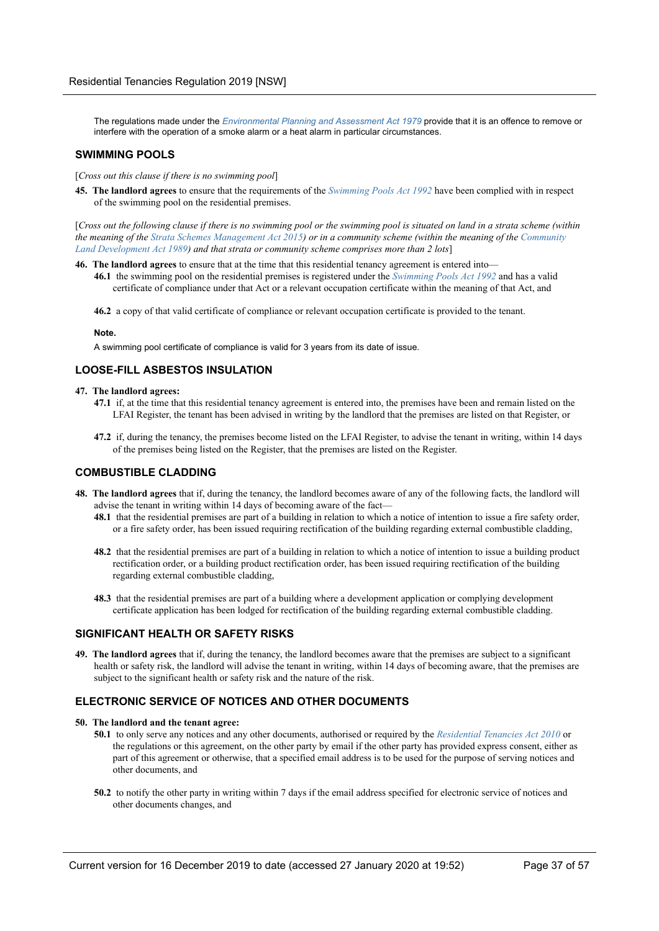The regulations made under the *Environmental Planning and Assessment Act 1979* provide that it is an offence to remove or interfere with the operation of a smoke alarm or a heat alarm in particular circumstances.

### **SWIMMING POOLS**

[*Cross out this clause if there is no swimming pool*]

**45. The landlord agrees** to ensure that the requirements of the *Swimming Pools Act 1992* have been complied with in respect of the swimming pool on the residential premises.

[*Cross out the following clause if there is no swimming pool or the swimming pool is situated on land in a strata scheme (within the meaning of the Strata Schemes Management Act 2015) or in a community scheme (within the meaning of the Community Land Development Act 1989) and that strata or community scheme comprises more than 2 lots*]

- **46. The landlord agrees** to ensure that at the time that this residential tenancy agreement is entered into—
	- **46.1** the swimming pool on the residential premises is registered under the *Swimming Pools Act 1992* and has a valid certificate of compliance under that Act or a relevant occupation certificate within the meaning of that Act, and

**46.2** a copy of that valid certificate of compliance or relevant occupation certificate is provided to the tenant.

#### **Note.**

A swimming pool certificate of compliance is valid for 3 years from its date of issue.

### **LOOSE-FILL ASBESTOS INSULATION**

#### **47. The landlord agrees:**

- **47.1** if, at the time that this residential tenancy agreement is entered into, the premises have been and remain listed on the LFAI Register, the tenant has been advised in writing by the landlord that the premises are listed on that Register, or
- **47.2** if, during the tenancy, the premises become listed on the LFAI Register, to advise the tenant in writing, within 14 days of the premises being listed on the Register, that the premises are listed on the Register.

### **COMBUSTIBLE CLADDING**

- **48. The landlord agrees** that if, during the tenancy, the landlord becomes aware of any of the following facts, the landlord will advise the tenant in writing within 14 days of becoming aware of the fact—
	- **48.1** that the residential premises are part of a building in relation to which a notice of intention to issue a fire safety order, or a fire safety order, has been issued requiring rectification of the building regarding external combustible cladding,
	- **48.2** that the residential premises are part of a building in relation to which a notice of intention to issue a building product rectification order, or a building product rectification order, has been issued requiring rectification of the building regarding external combustible cladding,
	- **48.3** that the residential premises are part of a building where a development application or complying development certificate application has been lodged for rectification of the building regarding external combustible cladding.

### **SIGNIFICANT HEALTH OR SAFETY RISKS**

**49. The landlord agrees** that if, during the tenancy, the landlord becomes aware that the premises are subject to a significant health or safety risk, the landlord will advise the tenant in writing, within 14 days of becoming aware, that the premises are subject to the significant health or safety risk and the nature of the risk.

### **ELECTRONIC SERVICE OF NOTICES AND OTHER DOCUMENTS**

#### **50. The landlord and the tenant agree:**

- **50.1** to only serve any notices and any other documents, authorised or required by the *Residential Tenancies Act 2010* or the regulations or this agreement, on the other party by email if the other party has provided express consent, either as part of this agreement or otherwise, that a specified email address is to be used for the purpose of serving notices and other documents, and
- **50.2** to notify the other party in writing within 7 days if the email address specified for electronic service of notices and other documents changes, and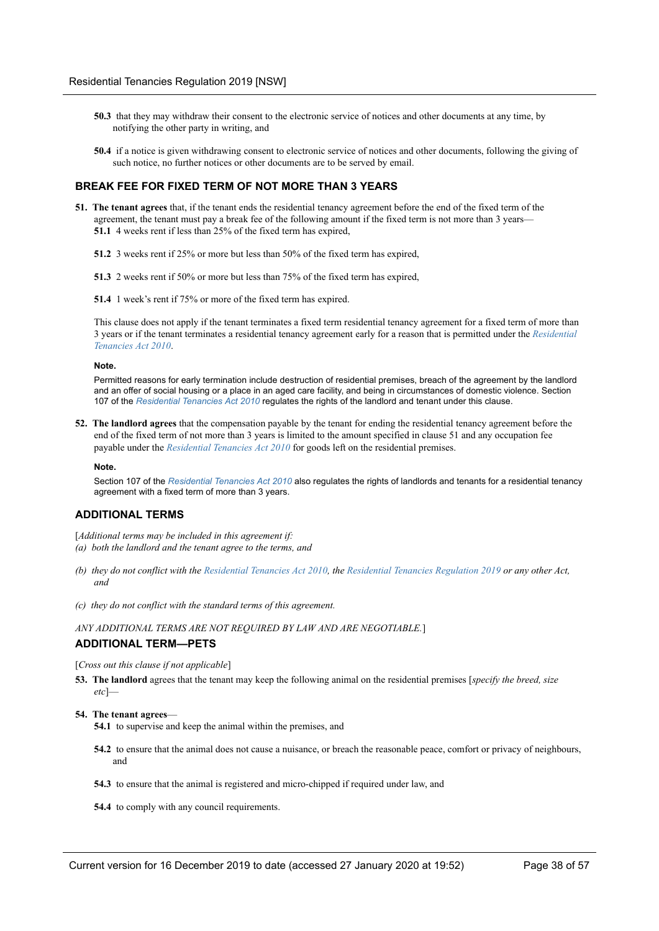- **50.3** that they may withdraw their consent to the electronic service of notices and other documents at any time, by notifying the other party in writing, and
- **50.4** if a notice is given withdrawing consent to electronic service of notices and other documents, following the giving of such notice, no further notices or other documents are to be served by email.

### **BREAK FEE FOR FIXED TERM OF NOT MORE THAN 3 YEARS**

- **51. The tenant agrees** that, if the tenant ends the residential tenancy agreement before the end of the fixed term of the agreement, the tenant must pay a break fee of the following amount if the fixed term is not more than 3 years— **51.1** 4 weeks rent if less than 25% of the fixed term has expired,
	- **51.2** 3 weeks rent if 25% or more but less than 50% of the fixed term has expired,
	- **51.3** 2 weeks rent if 50% or more but less than 75% of the fixed term has expired,
	- **51.4** 1 week's rent if 75% or more of the fixed term has expired.

This clause does not apply if the tenant terminates a fixed term residential tenancy agreement for a fixed term of more than 3 years or if the tenant terminates a residential tenancy agreement early for a reason that is permitted under the *Residential Tenancies Act 2010*.

#### **Note.**

Permitted reasons for early termination include destruction of residential premises, breach of the agreement by the landlord and an offer of social housing or a place in an aged care facility, and being in circumstances of domestic violence. Section 107 of the *Residential Tenancies Act 2010* regulates the rights of the landlord and tenant under this clause.

**52. The landlord agrees** that the compensation payable by the tenant for ending the residential tenancy agreement before the end of the fixed term of not more than 3 years is limited to the amount specified in clause 51 and any occupation fee payable under the *Residential Tenancies Act 2010* for goods left on the residential premises.

#### **Note.**

Section 107 of the *Residential Tenancies Act 2010* also regulates the rights of landlords and tenants for a residential tenancy agreement with a fixed term of more than 3 years.

### **ADDITIONAL TERMS**

[*Additional terms may be included in this agreement if: (a) both the landlord and the tenant agree to the terms, and*

- *(b) they do not conflict with the Residential Tenancies Act 2010, the Residential Tenancies Regulation 2019 or any other Act, and*
- *(c) they do not conflict with the standard terms of this agreement.*

*ANY ADDITIONAL TERMS ARE NOT REQUIRED BY LAW AND ARE NEGOTIABLE.*]

#### **ADDITIONAL TERM—PETS**

[*Cross out this clause if not applicable*]

**53. The landlord** agrees that the tenant may keep the following animal on the residential premises [*specify the breed, size etc*]—

#### **54. The tenant agrees**—

- **54.1** to supervise and keep the animal within the premises, and
- **54.2** to ensure that the animal does not cause a nuisance, or breach the reasonable peace, comfort or privacy of neighbours, and
- **54.3** to ensure that the animal is registered and micro-chipped if required under law, and
- **54.4** to comply with any council requirements.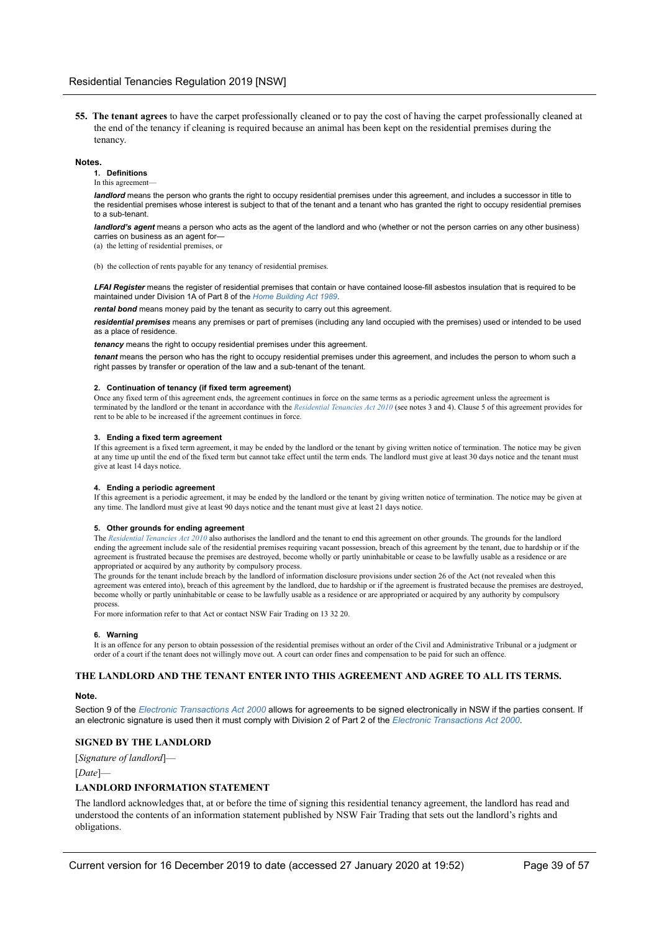**55. The tenant agrees** to have the carpet professionally cleaned or to pay the cost of having the carpet professionally cleaned at the end of the tenancy if cleaning is required because an animal has been kept on the residential premises during the tenancy.

#### **Notes.**

**1. Definitions**

### In this agreement-

*landlord* means the person who grants the right to occupy residential premises under this agreement, and includes a successor in title to the residential premises whose interest is subject to that of the tenant and a tenant who has granted the right to occupy residential premises to a sub-tenant.

*landlord's agent* means a person who acts as the agent of the landlord and who (whether or not the person carries on any other business) carries on business as an agent for—

(a) the letting of residential premises, or

(b) the collection of rents payable for any tenancy of residential premises.

**LFAI Register** means the register of residential premises that contain or have contained loose-fill asbestos insulation that is required to be maintained under Division 1A of Part 8 of the *Home Building Act 1989*.

*rental bond* means money paid by the tenant as security to carry out this agreement.

*residential premises* means any premises or part of premises (including any land occupied with the premises) used or intended to be used as a place of residence.

*tenancy* means the right to occupy residential premises under this agreement.

*tenant* means the person who has the right to occupy residential premises under this agreement, and includes the person to whom such a right passes by transfer or operation of the law and a sub-tenant of the tenant.

#### **2. Continuation of tenancy (if fixed term agreement)**

Once any fixed term of this agreement ends, the agreement continues in force on the same terms as a periodic agreement unless the agreement is terminated by the landlord or the tenant in accordance with the *Residential Tenancies Act 2010* (see notes 3 and 4). Clause 5 of this agreement provides for rent to be able to be increased if the agreement continues in force.

#### **3. Ending a fixed term agreement**

If this agreement is a fixed term agreement, it may be ended by the landlord or the tenant by giving written notice of termination. The notice may be given at any time up until the end of the fixed term but cannot take effect until the term ends. The landlord must give at least 30 days notice and the tenant must give at least 14 days notice.

#### **4. Ending a periodic agreement**

If this agreement is a periodic agreement, it may be ended by the landlord or the tenant by giving written notice of termination. The notice may be given at any time. The landlord must give at least 90 days notice and the tenant must give at least 21 days notice.

#### **5. Other grounds for ending agreement**

The *Residential Tenancies Act 2010* also authorises the landlord and the tenant to end this agreement on other grounds. The grounds for the landlord ending the agreement include sale of the residential premises requiring vacant possession, breach of this agreement by the tenant, due to hardship or if the agreement is frustrated because the premises are destroyed, become wholly or partly uninhabitable or cease to be lawfully usable as a residence or are appropriated or acquired by any authority by compulsory process.

The grounds for the tenant include breach by the landlord of information disclosure provisions under section 26 of the Act (not revealed when this agreement was entered into), breach of this agreement by the landlord, due to hardship or if the agreement is frustrated because the premises are destroyed, become wholly or partly uninhabitable or cease to be lawfully usable as a residence or are appropriated or acquired by any authority by compulsory process.

For more information refer to that Act or contact NSW Fair Trading on 13 32 20.

#### **6. Warning**

It is an offence for any person to obtain possession of the residential premises without an order of the Civil and Administrative Tribunal or a judgment or order of a court if the tenant does not willingly move out. A court can order fines and compensation to be paid for such an offence.

#### **THE LANDLORD AND THE TENANT ENTER INTO THIS AGREEMENT AND AGREE TO ALL ITS TERMS.**

### **Note.**

Section 9 of the *Electronic Transactions Act 2000* allows for agreements to be signed electronically in NSW if the parties consent. If an electronic signature is used then it must comply with Division 2 of Part 2 of the *Electronic Transactions Act 2000*.

### **SIGNED BY THE LANDLORD**

[*Signature of landlord*]—

[*Date*]—

#### **LANDLORD INFORMATION STATEMENT**

The landlord acknowledges that, at or before the time of signing this residential tenancy agreement, the landlord has read and understood the contents of an information statement published by NSW Fair Trading that sets out the landlord's rights and obligations.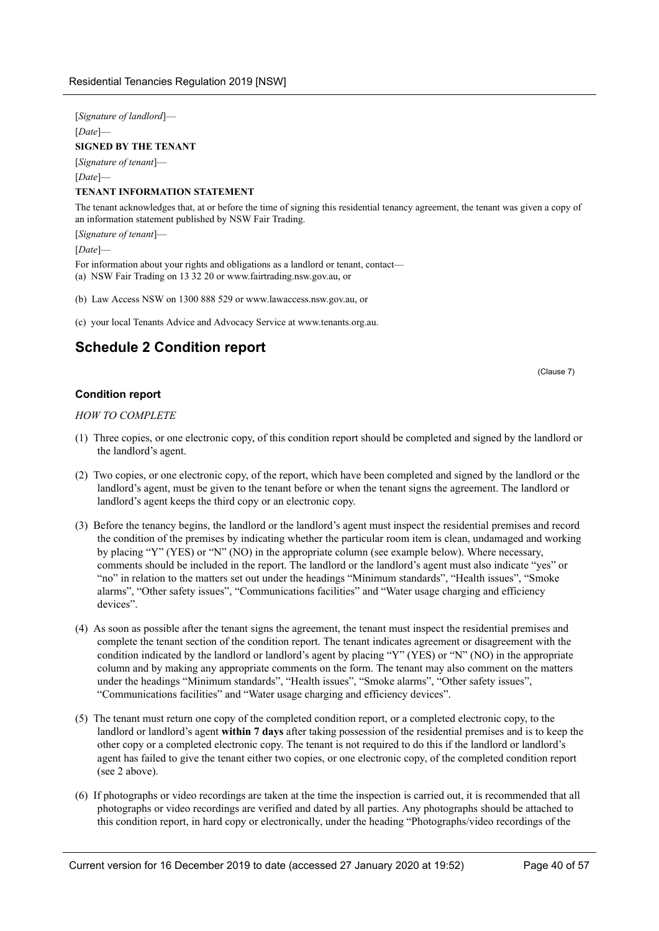[*Signature of landlord*]— [*Date*]— **SIGNED BY THE TENANT** [*Signature of tenant*]— [*Date*]—

### **TENANT INFORMATION STATEMENT**

The tenant acknowledges that, at or before the time of signing this residential tenancy agreement, the tenant was given a copy of an information statement published by NSW Fair Trading.

[*Signature of tenant*]—

[*Date*]—

- For information about your rights and obligations as a landlord or tenant, contact—
- (a) NSW Fair Trading on 13 32 20 or www.fairtrading.nsw.gov.au, or
- (b) Law Access NSW on 1300 888 529 or www.lawaccess.nsw.gov.au, or
- (c) your local Tenants Advice and Advocacy Service at www.tenants.org.au.

## <span id="page-39-0"></span>**Schedule 2 Condition report**

(Clause 7)

### **Condition report**

*HOW TO COMPLETE*

- (1) Three copies, or one electronic copy, of this condition report should be completed and signed by the landlord or the landlord's agent.
- (2) Two copies, or one electronic copy, of the report, which have been completed and signed by the landlord or the landlord's agent, must be given to the tenant before or when the tenant signs the agreement. The landlord or landlord's agent keeps the third copy or an electronic copy.
- (3) Before the tenancy begins, the landlord or the landlord's agent must inspect the residential premises and record the condition of the premises by indicating whether the particular room item is clean, undamaged and working by placing "Y" (YES) or "N" (NO) in the appropriate column (see example below). Where necessary, comments should be included in the report. The landlord or the landlord's agent must also indicate "yes" or "no" in relation to the matters set out under the headings "Minimum standards", "Health issues", "Smoke alarms", "Other safety issues", "Communications facilities" and "Water usage charging and efficiency devices".
- (4) As soon as possible after the tenant signs the agreement, the tenant must inspect the residential premises and complete the tenant section of the condition report. The tenant indicates agreement or disagreement with the condition indicated by the landlord or landlord's agent by placing "Y" (YES) or "N" (NO) in the appropriate column and by making any appropriate comments on the form. The tenant may also comment on the matters under the headings "Minimum standards", "Health issues", "Smoke alarms", "Other safety issues", "Communications facilities" and "Water usage charging and efficiency devices".
- (5) The tenant must return one copy of the completed condition report, or a completed electronic copy, to the landlord or landlord's agent **within 7 days** after taking possession of the residential premises and is to keep the other copy or a completed electronic copy. The tenant is not required to do this if the landlord or landlord's agent has failed to give the tenant either two copies, or one electronic copy, of the completed condition report (see 2 above).
- (6) If photographs or video recordings are taken at the time the inspection is carried out, it is recommended that all photographs or video recordings are verified and dated by all parties. Any photographs should be attached to this condition report, in hard copy or electronically, under the heading "Photographs/video recordings of the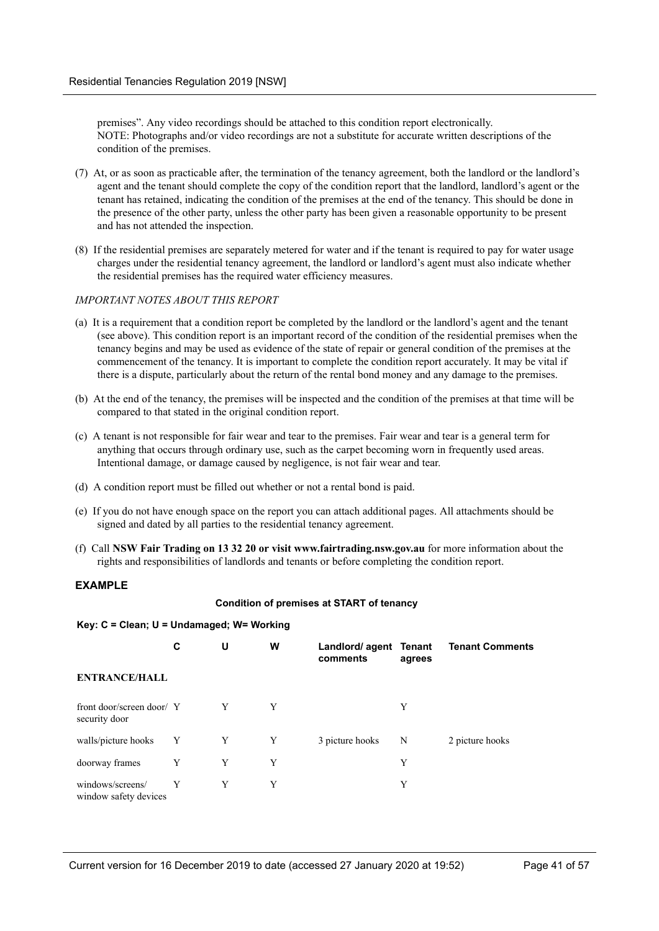premises". Any video recordings should be attached to this condition report electronically. NOTE: Photographs and/or video recordings are not a substitute for accurate written descriptions of the condition of the premises.

- (7) At, or as soon as practicable after, the termination of the tenancy agreement, both the landlord or the landlord's agent and the tenant should complete the copy of the condition report that the landlord, landlord's agent or the tenant has retained, indicating the condition of the premises at the end of the tenancy. This should be done in the presence of the other party, unless the other party has been given a reasonable opportunity to be present and has not attended the inspection.
- (8) If the residential premises are separately metered for water and if the tenant is required to pay for water usage charges under the residential tenancy agreement, the landlord or landlord's agent must also indicate whether the residential premises has the required water efficiency measures.

### *IMPORTANT NOTES ABOUT THIS REPORT*

- (a) It is a requirement that a condition report be completed by the landlord or the landlord's agent and the tenant (see above). This condition report is an important record of the condition of the residential premises when the tenancy begins and may be used as evidence of the state of repair or general condition of the premises at the commencement of the tenancy. It is important to complete the condition report accurately. It may be vital if there is a dispute, particularly about the return of the rental bond money and any damage to the premises.
- (b) At the end of the tenancy, the premises will be inspected and the condition of the premises at that time will be compared to that stated in the original condition report.
- (c) A tenant is not responsible for fair wear and tear to the premises. Fair wear and tear is a general term for anything that occurs through ordinary use, such as the carpet becoming worn in frequently used areas. Intentional damage, or damage caused by negligence, is not fair wear and tear.
- (d) A condition report must be filled out whether or not a rental bond is paid.
- (e) If you do not have enough space on the report you can attach additional pages. All attachments should be signed and dated by all parties to the residential tenancy agreement.
- (f) Call **NSW Fair Trading on 13 32 20 or visit www.fairtrading.nsw.gov.au** for more information about the rights and responsibilities of landlords and tenants or before completing the condition report.

### **EXAMPLE**

### **Condition of premises at START of tenancy**

### **Key: C = Clean; U = Undamaged; W= Working**

|                                            | С            | U | W | Landlord/ agent Tenant<br>comments | agrees | <b>Tenant Comments</b> |
|--------------------------------------------|--------------|---|---|------------------------------------|--------|------------------------|
| <b>ENTRANCE/HALL</b>                       |              |   |   |                                    |        |                        |
| front door/screen door/ Y<br>security door |              | Y | Y |                                    | Y      |                        |
| walls/picture hooks                        | $\mathbf{Y}$ | Y | Y | 3 picture hooks                    | N      | 2 picture hooks        |
| doorway frames                             | Y            | Y | Y |                                    | Y      |                        |
| windows/screens/<br>window safety devices  | Y            | Y | Y |                                    | Y      |                        |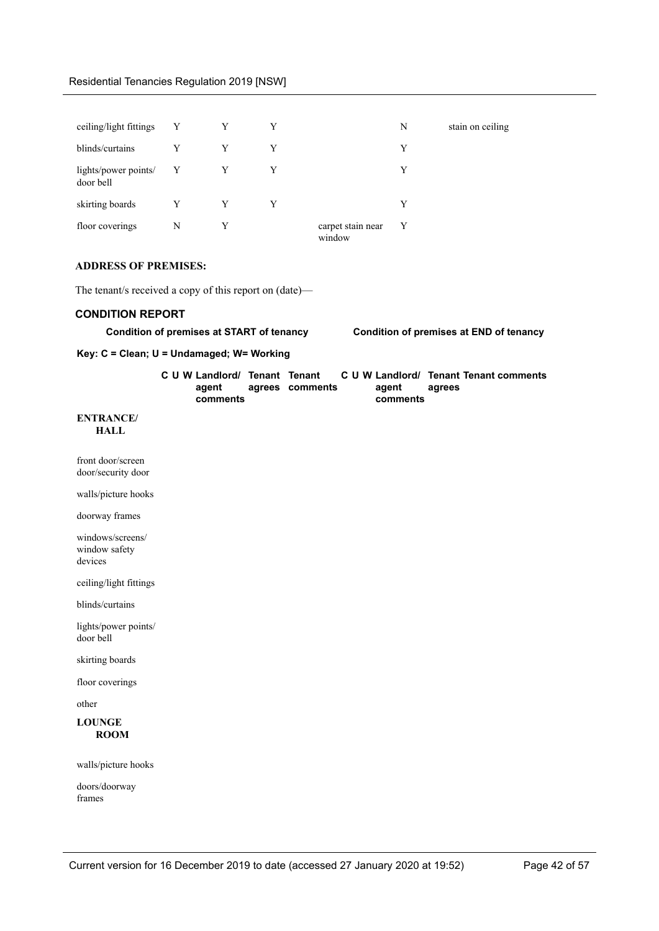| ceiling/light fittings Y          |              | Y | Y |                             | N | stain on ceiling |
|-----------------------------------|--------------|---|---|-----------------------------|---|------------------|
| blinds/curtains                   | Y            | Y | Y |                             | Y |                  |
| lights/power points/<br>door bell | $\mathbf{Y}$ | Y |   |                             | Y |                  |
| skirting boards                   | Y            | Y | Y |                             | Y |                  |
| floor coverings                   | N            | Y |   | carpet stain near<br>window | Y |                  |

### **ADDRESS OF PREMISES:**

The tenant/s received a copy of this report on (date)—

### **CONDITION REPORT**

**Condition of premises at START of tenancy Condition of premises at END of tenancy**

**Key: C = Clean; U = Undamaged; W= Working**

| C U W Landlord/ Tenant Tenant |                 |  | C U W Landlord/ Tenant Tenant comments |        |  |  |
|-------------------------------|-----------------|--|----------------------------------------|--------|--|--|
| agent                         | agrees comments |  | aɑent                                  | agrees |  |  |
| comments                      |                 |  | comments                               |        |  |  |

### **ENTRANCE/ HALL**

| front door/screen<br>door/security door      |  |  |
|----------------------------------------------|--|--|
| walls/picture hooks                          |  |  |
| doorway frames                               |  |  |
| windows/screens/<br>window safety<br>devices |  |  |
| ceiling/light fittings                       |  |  |
| blinds/curtains                              |  |  |
| lights/power points/<br>door bell            |  |  |
| skirting boards                              |  |  |
| floor coverings                              |  |  |
| other                                        |  |  |
| <b>LOUNGE</b><br><b>ROOM</b>                 |  |  |
| walls/picture hooks                          |  |  |
| doors/doorway<br>frames                      |  |  |
|                                              |  |  |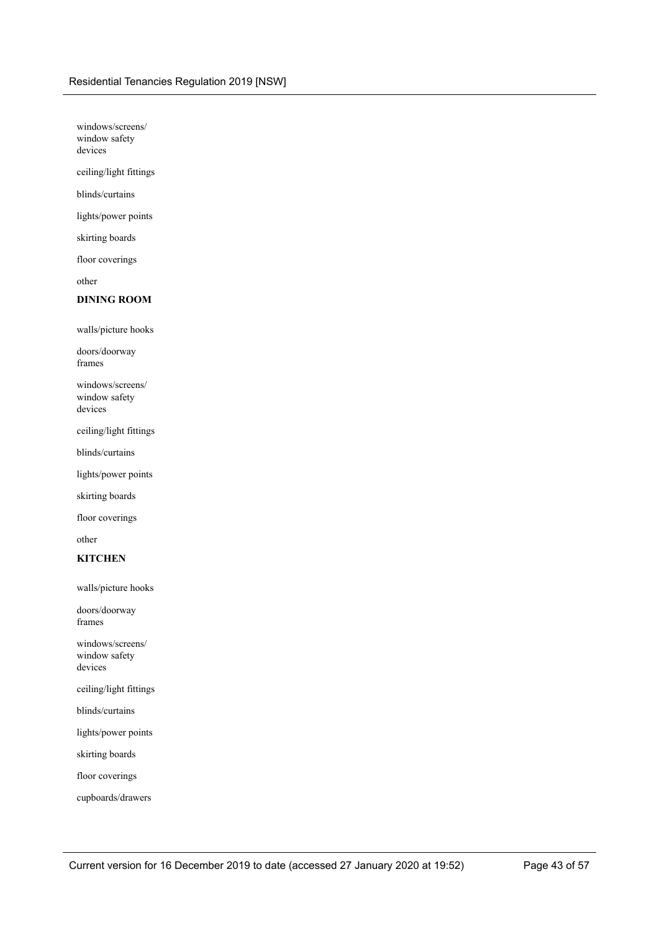windows/screens/ window safety devices

ceiling/light fittings

blinds/curtains

lights/power points

skirting boards

floor coverings

other

### **DINING ROOM**

walls/picture hooks

doors/doorway frames

windows/screens/ window safety devices

ceiling/light fittings

blinds/curtains

lights/power points

skirting boards

floor coverings

other

### **KITCHEN**

walls/picture hooks

doors/doorway frames

windows/screens/ window safety devices

ceiling/light fittings

blinds/curtains

lights/power points

skirting boards

floor coverings

cupboards/drawers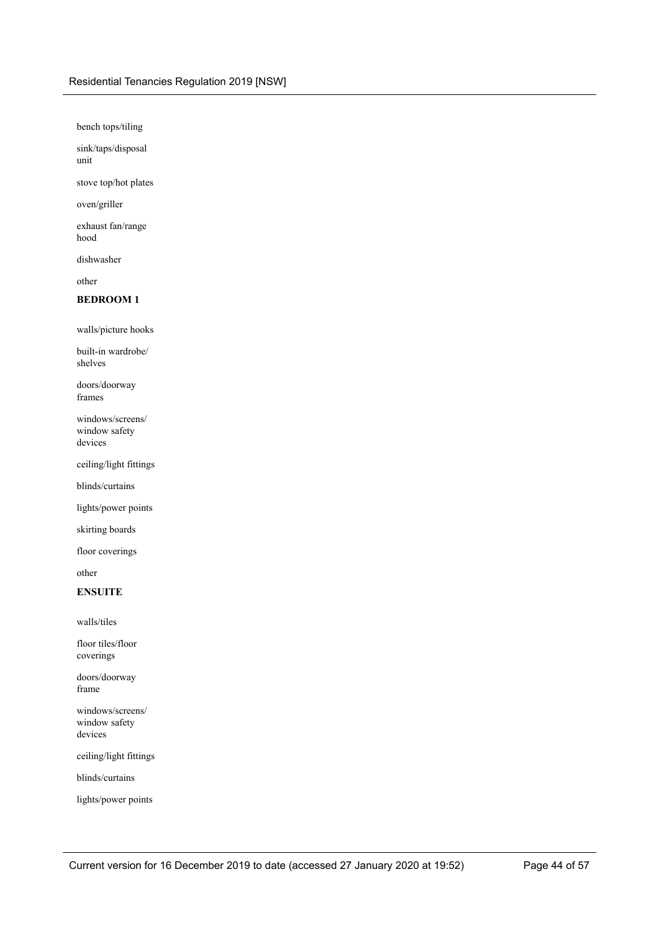bench tops/tiling

sink/taps/disposal unit

stove top/hot plates

oven/griller

exhaust fan/range hood

dishwasher

other

### **BEDROOM 1**

walls/picture hooks

built-in wardrobe/ shelves

doors/doorway frames

windows/screens/ window safety devices

ceiling/light fittings

blinds/curtains

lights/power points

skirting boards

floor coverings

other

### **ENSUITE**

walls/tiles

floor tiles/floor coverings

doors/doorway frame

windows/screens/ window safety devices

ceiling/light fittings

blinds/curtains

lights/power points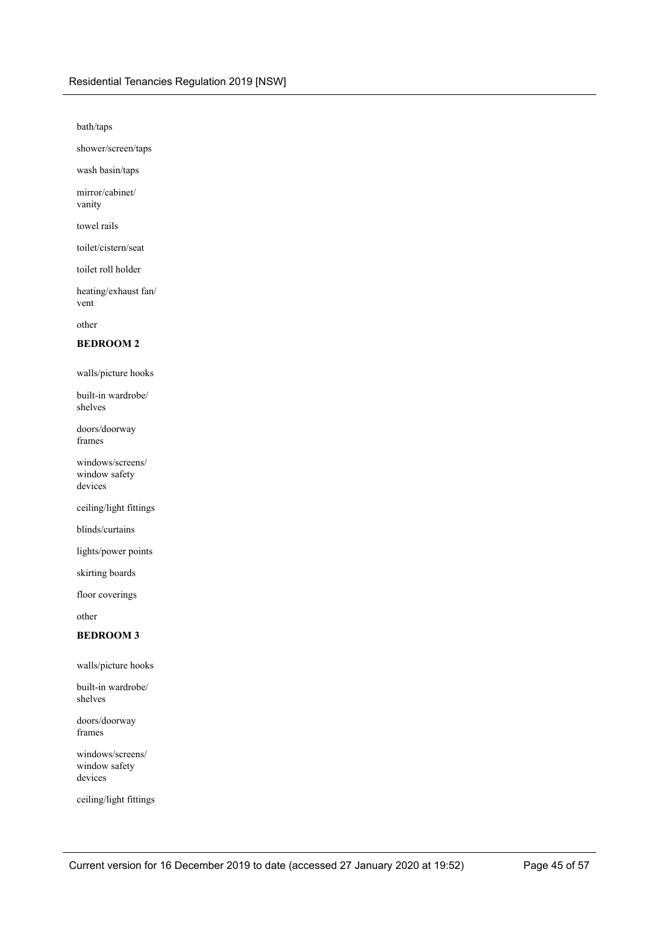bath/taps

shower/screen/taps

wash basin/taps

mirror/cabinet/ vanity

towel rails

toilet/cistern/seat

toilet roll holder

heating/exhaust fan/ vent

other

### **BEDROOM 2**

walls/picture hooks

built-in wardrobe/ shelves

doors/doorway frames

windows/screens/ window safety devices

ceiling/light fittings

blinds/curtains

lights/power points

skirting boards

floor coverings

other

### **BEDROOM 3**

walls/picture hooks

built-in wardrobe/ shelves

doors/doorway frames

windows/screens/ window safety devices

ceiling/light fittings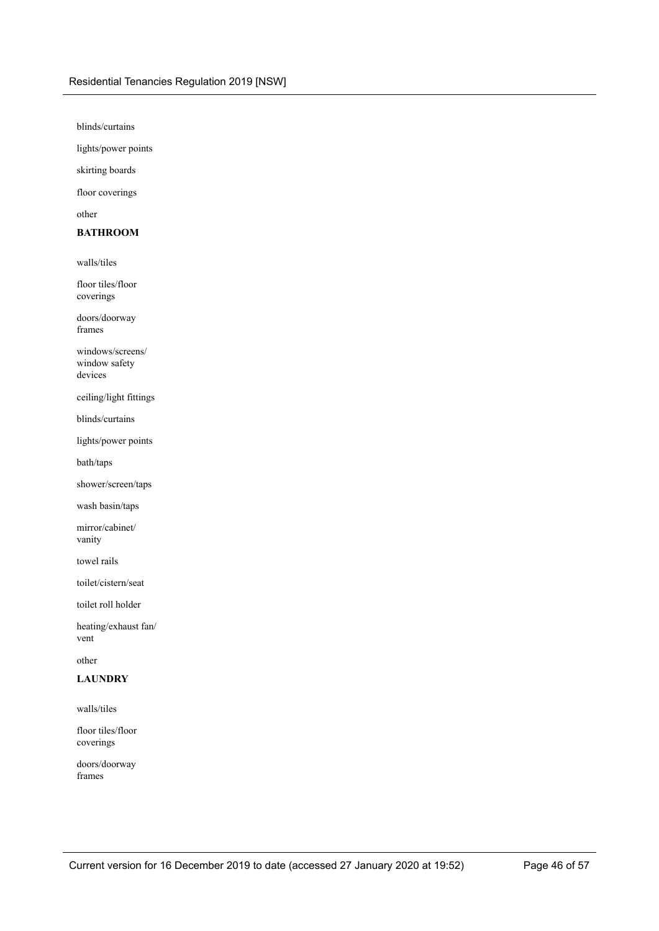blinds/curtains

lights/power points

skirting boards

floor coverings

other

### **BATHROOM**

walls/tiles

floor tiles/floor coverings

doors/doorway frames

windows/screens/ window safety devices

ceiling/light fittings

blinds/curtains

lights/power points

bath/taps

shower/screen/taps

wash basin/taps

mirror/cabinet/ vanity

towel rails

toilet/cistern/seat

toilet roll holder

heating/exhaust fan/ vent

other

### **LAUNDRY**

walls/tiles

floor tiles/floor coverings

doors/doorway frames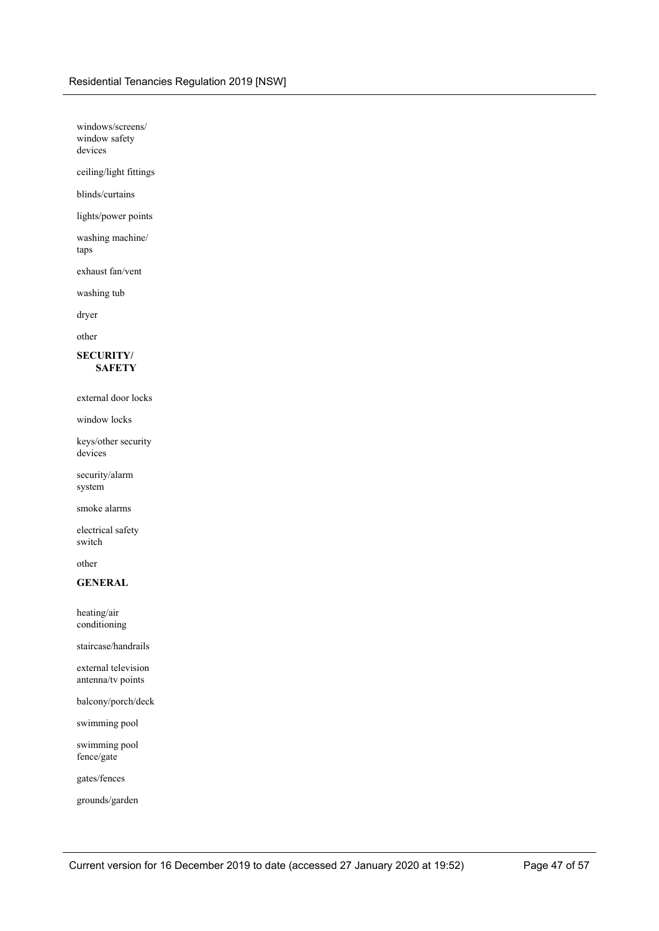windows/screens/ window safety devices

ceiling/light fittings

blinds/curtains

lights/power points

washing machine/ taps

exhaust fan/vent

washing tub

dryer

other

### **SECURITY/ SAFETY**

external door locks

window locks

keys/other security devices

security/alarm system

smoke alarms

electrical safety switch

other

### **GENERAL**

heating/air conditioning

staircase/handrails

external television antenna/tv points

balcony/porch/deck

swimming pool

swimming pool fence/gate

gates/fences

grounds/garden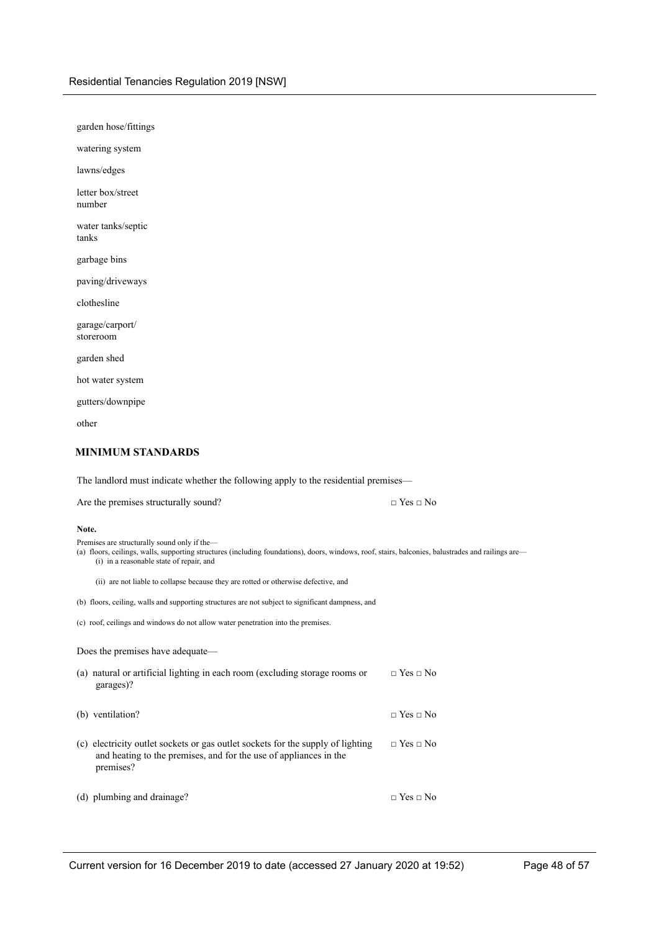| garden hose/fittings                                                                                                                                                        |                      |
|-----------------------------------------------------------------------------------------------------------------------------------------------------------------------------|----------------------|
| watering system                                                                                                                                                             |                      |
| lawns/edges                                                                                                                                                                 |                      |
| letter box/street<br>number                                                                                                                                                 |                      |
| water tanks/septic<br>tanks                                                                                                                                                 |                      |
| garbage bins                                                                                                                                                                |                      |
| paving/driveways                                                                                                                                                            |                      |
| clothesline                                                                                                                                                                 |                      |
| garage/carport/<br>storeroom                                                                                                                                                |                      |
| garden shed                                                                                                                                                                 |                      |
| hot water system                                                                                                                                                            |                      |
| gutters/downpipe                                                                                                                                                            |                      |
| other                                                                                                                                                                       |                      |
| <b>MINIMUM STANDARDS</b>                                                                                                                                                    |                      |
| The landlord must indicate whether the following apply to the residential premises-                                                                                         |                      |
| Are the premises structurally sound?                                                                                                                                        | $\Box$ Yes $\Box$ No |
| Note.<br>Premises are structurally sound only if the-<br>(a) floors ceilings walls supporting structures (including foundations) doors windows roof stairs balconies balust |                      |

(a) floors, ceilings, walls, supporting structures (including foundations), doors, windows, roof, stairs, balconies, balustrades and railings are— (i) in a reasonable state of repair, and<br>(i) in a reasonable state of repair, and

(ii) are not liable to collapse because they are rotted or otherwise defective, and

(b) floors, ceiling, walls and supporting structures are not subject to significant dampness, and

(c) roof, ceilings and windows do not allow water penetration into the premises.

Does the premises have adequate—

| (a) natural or artificial lighting in each room (excluding storage rooms or<br>garages)?                                                                          | $\Box$ Yes $\Box$ No |
|-------------------------------------------------------------------------------------------------------------------------------------------------------------------|----------------------|
| (b) ventilation?                                                                                                                                                  | $\Box$ Yes $\Box$ No |
| (c) electricity outlet sockets or gas outlet sockets for the supply of lighting<br>and heating to the premises, and for the use of appliances in the<br>premises? | $\Box$ Yes $\Box$ No |
| (d) plumbing and drainage?                                                                                                                                        | $\Box$ Yes $\Box$ No |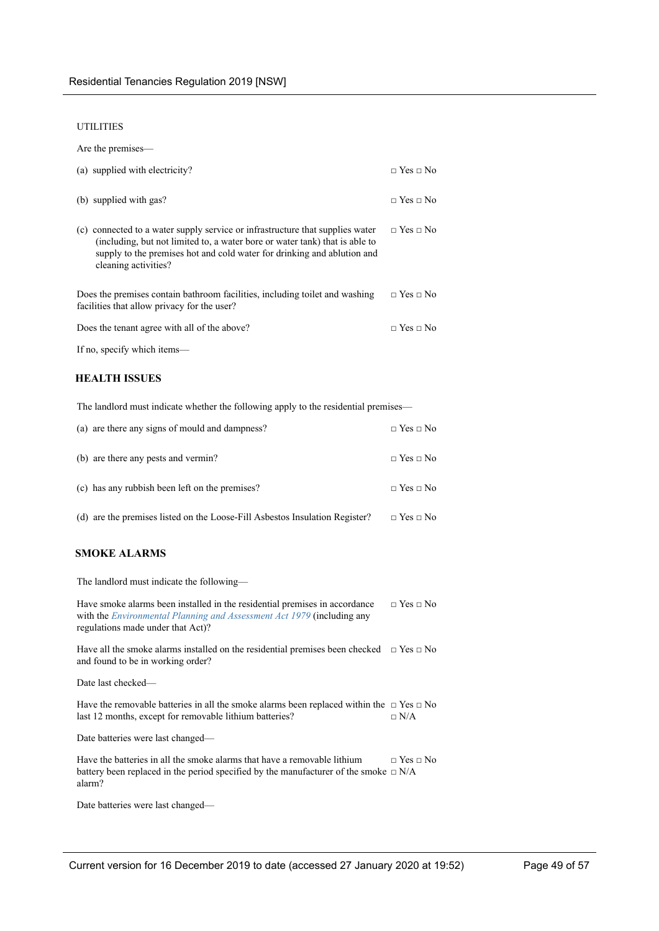#### UTILITIES

| Are the premises—                                                                                                                                                                                                                                               |                      |
|-----------------------------------------------------------------------------------------------------------------------------------------------------------------------------------------------------------------------------------------------------------------|----------------------|
| (a) supplied with electricity?                                                                                                                                                                                                                                  | $\Box$ Yes $\Box$ No |
| (b) supplied with gas?                                                                                                                                                                                                                                          | $\Box$ Yes $\Box$ No |
| (c) connected to a water supply service or infrastructure that supplies water<br>(including, but not limited to, a water bore or water tank) that is able to<br>supply to the premises hot and cold water for drinking and ablution and<br>cleaning activities? | $\Box$ Yes $\Box$ No |
| Does the premises contain bathroom facilities, including toilet and washing<br>facilities that allow privacy for the user?                                                                                                                                      | $\Box$ Yes $\Box$ No |
| Does the tenant agree with all of the above?                                                                                                                                                                                                                    | $\Box$ Yes $\Box$ No |
| If no, specify which items—                                                                                                                                                                                                                                     |                      |

### **HEALTH ISSUES**

The landlord must indicate whether the following apply to the residential premises—

| (a) are there any signs of mould and dampness?                              | $\Box$ Yes $\Box$ No |
|-----------------------------------------------------------------------------|----------------------|
| (b) are there any pests and vermin?                                         | $\Box$ Yes $\Box$ No |
| (c) has any rubbish been left on the premises?                              | $\Box$ Yes $\Box$ No |
| (d) are the premises listed on the Loose-Fill Asbestos Insulation Register? | $\Box$ Yes $\Box$ No |

### **SMOKE ALARMS**

The landlord must indicate the following—

Have smoke alarms been installed in the residential premises in accordance with the *Environmental Planning and Assessment Act 1979* (including any regulations made under that Act)? □ Yes □ No

Have all the smoke alarms installed on the residential premises been checked  $\Box$  Yes  $\Box$  No and found to be in working order?

Date last checked—

Have the removable batteries in all the smoke alarms been replaced within the  $\Box$  Yes  $\Box$  No last 12 months, except for removable lithium batteries?  $\square$  N/A

Date batteries were last changed—

Have the batteries in all the smoke alarms that have a removable lithium battery been replaced in the period specified by the manufacturer of the smoke  $\Box$  N/A alarm? □ Yes □ No

Date batteries were last changed—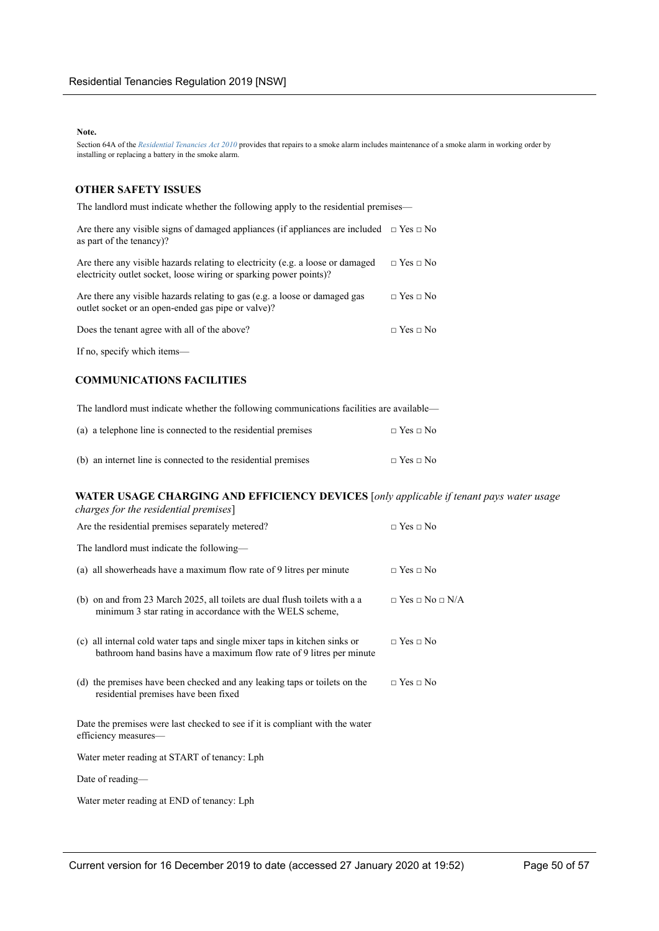#### **Note.**

Section 64A of the *Residential Tenancies Act 2010* provides that repairs to a smoke alarm includes maintenance of a smoke alarm in working order by installing or replacing a battery in the smoke alarm.

### **OTHER SAFETY ISSUES**

The landlord must indicate whether the following apply to the residential premises—

| Are there any visible signs of damaged appliances (if appliances are included $\Box$ Yes $\Box$ No<br>as part of the tenancy)?                       |                      |
|------------------------------------------------------------------------------------------------------------------------------------------------------|----------------------|
| Are there any visible hazards relating to electricity (e.g. a loose or damaged<br>electricity outlet socket, loose wiring or sparking power points)? | $\Box$ Yes $\Box$ No |
| Are there any visible hazards relating to gas (e.g. a loose or damaged gas<br>outlet socket or an open-ended gas pipe or valve)?                     | $\Box$ Yes $\Box$ No |
| Does the tenant agree with all of the above?                                                                                                         | $\Box$ Yes $\Box$ No |
|                                                                                                                                                      |                      |

If no, specify which items—

### **COMMUNICATIONS FACILITIES**

The landlord must indicate whether the following communications facilities are available—

| (a) a telephone line is connected to the residential premises |                      |
|---------------------------------------------------------------|----------------------|
| (b) an internet line is connected to the residential premises | $\Box$ Yes $\Box$ No |

### **WATER USAGE CHARGING AND EFFICIENCY DEVICES** [*only applicable if tenant pays water usage*

| charges for the residential premises]                                                                                                              |                                 |
|----------------------------------------------------------------------------------------------------------------------------------------------------|---------------------------------|
| Are the residential premises separately metered?                                                                                                   | $\Box$ Yes $\Box$ No            |
| The landlord must indicate the following—                                                                                                          |                                 |
| (a) all showerheads have a maximum flow rate of 9 litres per minute                                                                                | $\Box$ Yes $\Box$ No            |
| (b) on and from 23 March 2025, all toilets are dual flush toilets with a a<br>minimum 3 star rating in accordance with the WELS scheme,            | $\Box$ Yes $\Box$ No $\Box$ N/A |
| (c) all internal cold water taps and single mixer taps in kitchen sinks or<br>bathroom hand basins have a maximum flow rate of 9 litres per minute | $\Box$ Yes $\Box$ No            |
| (d) the premises have been checked and any leaking taps or toilets on the<br>residential premises have been fixed                                  | $\Box$ Yes $\Box$ No            |
| Date the premises were last checked to see if it is compliant with the water<br>efficiency measures—                                               |                                 |
| Water meter reading at START of tenancy: Lph                                                                                                       |                                 |
| Date of reading-                                                                                                                                   |                                 |
| Water meter reading at END of tenancy: Lph                                                                                                         |                                 |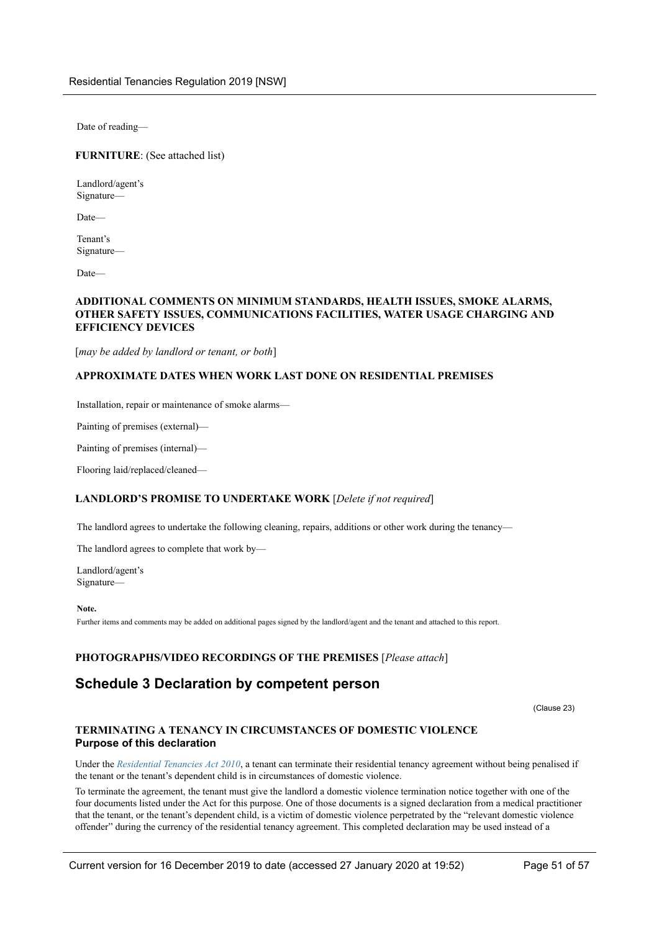Date of reading—

### **FURNITURE**: (See attached list)

Landlord/agent's Signature—

Date—

Tenant's Signature—

Date—

### **ADDITIONAL COMMENTS ON MINIMUM STANDARDS, HEALTH ISSUES, SMOKE ALARMS, OTHER SAFETY ISSUES, COMMUNICATIONS FACILITIES, WATER USAGE CHARGING AND EFFICIENCY DEVICES**

[*may be added by landlord or tenant, or both*]

### **APPROXIMATE DATES WHEN WORK LAST DONE ON RESIDENTIAL PREMISES**

Installation, repair or maintenance of smoke alarms—

Painting of premises (external)—

Painting of premises (internal)—

Flooring laid/replaced/cleaned—

### **LANDLORD'S PROMISE TO UNDERTAKE WORK** [*Delete if not required*]

The landlord agrees to undertake the following cleaning, repairs, additions or other work during the tenancy—

The landlord agrees to complete that work by—

Landlord/agent's Signature—

**Note.**

Further items and comments may be added on additional pages signed by the landlord/agent and the tenant and attached to this report.

### **PHOTOGRAPHS/VIDEO RECORDINGS OF THE PREMISES** [*Please attach*]

## <span id="page-50-0"></span>**Schedule 3 Declaration by competent person**

(Clause 23)

### **TERMINATING A TENANCY IN CIRCUMSTANCES OF DOMESTIC VIOLENCE Purpose of this declaration**

Under the *Residential Tenancies Act 2010*, a tenant can terminate their residential tenancy agreement without being penalised if the tenant or the tenant's dependent child is in circumstances of domestic violence.

To terminate the agreement, the tenant must give the landlord a domestic violence termination notice together with one of the four documents listed under the Act for this purpose. One of those documents is a signed declaration from a medical practitioner that the tenant, or the tenant's dependent child, is a victim of domestic violence perpetrated by the "relevant domestic violence offender" during the currency of the residential tenancy agreement. This completed declaration may be used instead of a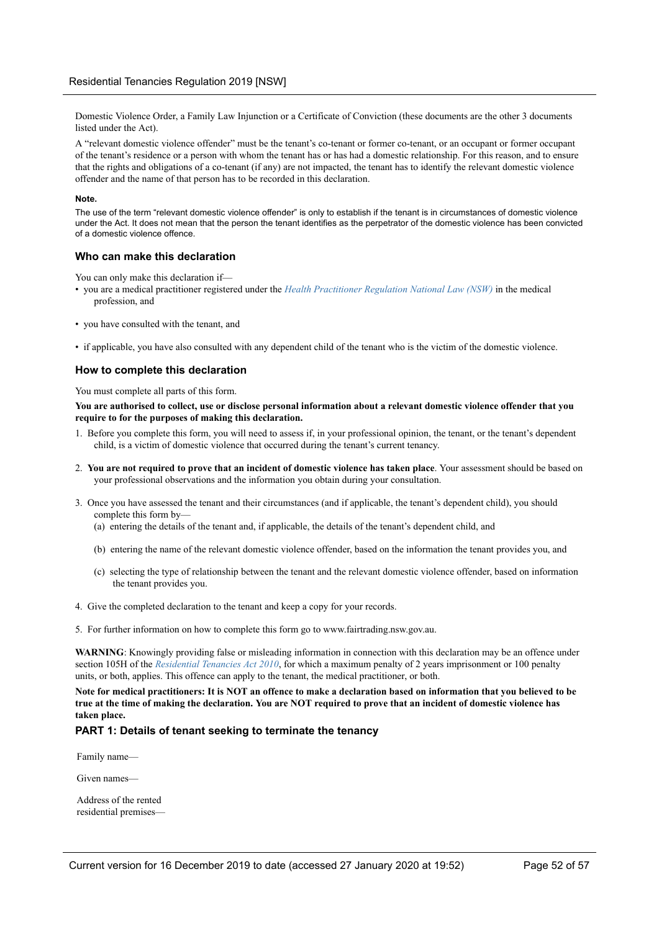Domestic Violence Order, a Family Law Injunction or a Certificate of Conviction (these documents are the other 3 documents listed under the Act).

A "relevant domestic violence offender" must be the tenant's co-tenant or former co-tenant, or an occupant or former occupant of the tenant's residence or a person with whom the tenant has or has had a domestic relationship. For this reason, and to ensure that the rights and obligations of a co-tenant (if any) are not impacted, the tenant has to identify the relevant domestic violence offender and the name of that person has to be recorded in this declaration.

#### **Note.**

The use of the term "relevant domestic violence offender" is only to establish if the tenant is in circumstances of domestic violence under the Act. It does not mean that the person the tenant identifies as the perpetrator of the domestic violence has been convicted of a domestic violence offence.

### **Who can make this declaration**

You can only make this declaration if—

- you are a medical practitioner registered under the *Health Practitioner Regulation National Law (NSW)* in the medical profession, and
- you have consulted with the tenant, and
- if applicable, you have also consulted with any dependent child of the tenant who is the victim of the domestic violence.

### **How to complete this declaration**

You must complete all parts of this form.

**You are authorised to collect, use or disclose personal information about a relevant domestic violence offender that you require to for the purposes of making this declaration.**

- 1. Before you complete this form, you will need to assess if, in your professional opinion, the tenant, or the tenant's dependent child, is a victim of domestic violence that occurred during the tenant's current tenancy.
- 2. **You are not required to prove that an incident of domestic violence has taken place**. Your assessment should be based on your professional observations and the information you obtain during your consultation.
- 3. Once you have assessed the tenant and their circumstances (and if applicable, the tenant's dependent child), you should complete this form by—
	- (a) entering the details of the tenant and, if applicable, the details of the tenant's dependent child, and
	- (b) entering the name of the relevant domestic violence offender, based on the information the tenant provides you, and
	- (c) selecting the type of relationship between the tenant and the relevant domestic violence offender, based on information the tenant provides you.
- 4. Give the completed declaration to the tenant and keep a copy for your records.
- 5. For further information on how to complete this form go to www.fairtrading.nsw.gov.au.

**WARNING**: Knowingly providing false or misleading information in connection with this declaration may be an offence under section 105H of the *Residential Tenancies Act 2010*, for which a maximum penalty of 2 years imprisonment or 100 penalty units, or both, applies. This offence can apply to the tenant, the medical practitioner, or both.

**Note for medical practitioners: It is NOT an offence to make a declaration based on information that you believed to be true at the time of making the declaration. You are NOT required to prove that an incident of domestic violence has taken place.**

### **PART 1: Details of tenant seeking to terminate the tenancy**

Family name—

Given names—

Address of the rented residential premises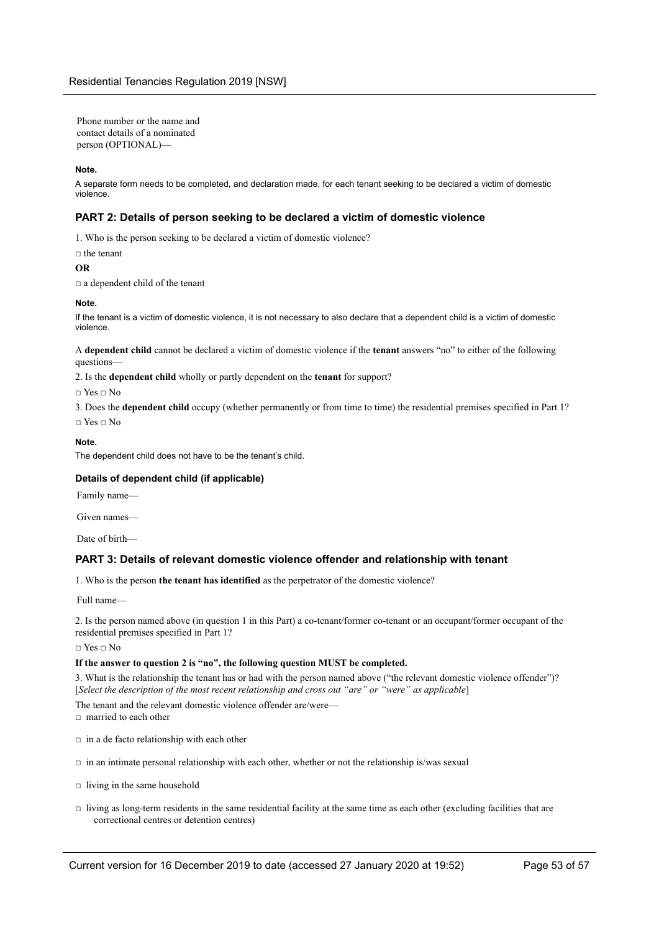Phone number or the name and contact details of a nominated person (OPTIONAL)—

#### **Note.**

A separate form needs to be completed, and declaration made, for each tenant seeking to be declared a victim of domestic violence.

### **PART 2: Details of person seeking to be declared a victim of domestic violence**

1. Who is the person seeking to be declared a victim of domestic violence?

### □ the tenant

#### **OR**

□ a dependent child of the tenant

#### **Note.**

If the tenant is a victim of domestic violence, it is not necessary to also declare that a dependent child is a victim of domestic violence.

A **dependent child** cannot be declared a victim of domestic violence if the **tenant** answers "no" to either of the following questions—

2. Is the **dependent child** wholly or partly dependent on the **tenant** for support?

□ Yes □ No

3. Does the **dependent child** occupy (whether permanently or from time to time) the residential premises specified in Part 1?

□ Yes □ No

### **Note.**

The dependent child does not have to be the tenant's child.

### **Details of dependent child (if applicable)**

Family name—

Given names—

Date of birth—

### **PART 3: Details of relevant domestic violence offender and relationship with tenant**

1. Who is the person **the tenant has identified** as the perpetrator of the domestic violence?

Full name—

2. Is the person named above (in question 1 in this Part) a co-tenant/former co-tenant or an occupant/former occupant of the residential premises specified in Part 1?

 $\Box$  Yes  $\Box$  No

### **If the answer to question 2 is "no", the following question MUST be completed.**

3. What is the relationship the tenant has or had with the person named above ("the relevant domestic violence offender")? [*Select the description of the most recent relationship and cross out "are" or "were" as applicable*]

The tenant and the relevant domestic violence offender are/were-

□ married to each other

- $\Box$  in a de facto relationship with each other
- $\Box$  in an intimate personal relationship with each other, whether or not the relationship is/was sexual
- $\Box$  living in the same household
- $\Box$  living as long-term residents in the same residential facility at the same time as each other (excluding facilities that are correctional centres or detention centres)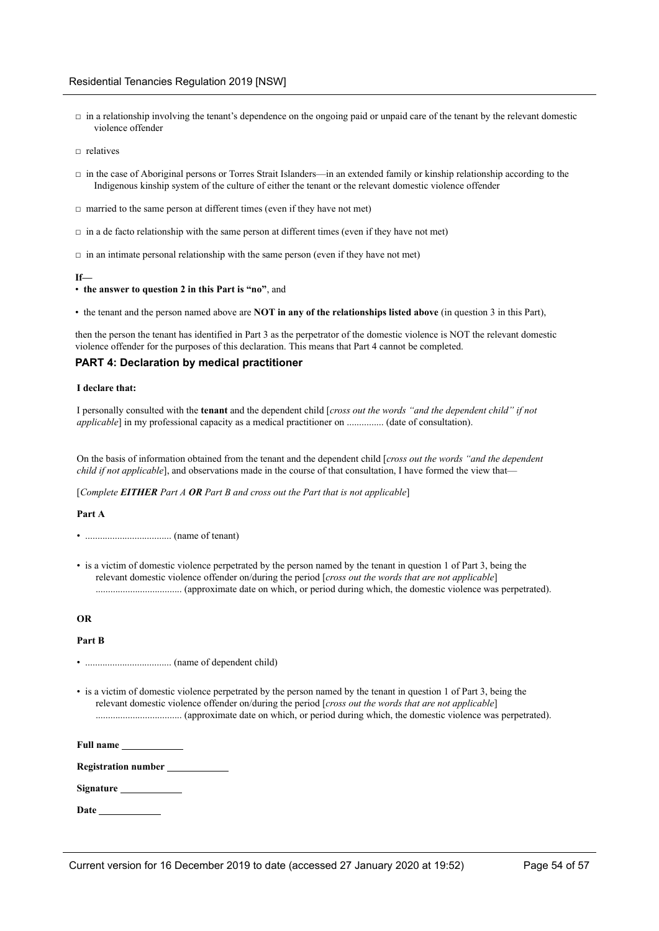- $\Box$  in a relationship involving the tenant's dependence on the ongoing paid or unpaid care of the tenant by the relevant domestic violence offender
- $\Box$  relatives
- $\Box$  in the case of Aboriginal persons or Torres Strait Islanders—in an extended family or kinship relationship according to the Indigenous kinship system of the culture of either the tenant or the relevant domestic violence offender
- $\Box$  married to the same person at different times (even if they have not met)
- $\Box$  in a de facto relationship with the same person at different times (even if they have not met)
- $\Box$  in an intimate personal relationship with the same person (even if they have not met)

#### **If—**

- **the answer to question 2 in this Part is "no"**, and
- the tenant and the person named above are **NOT in any of the relationships listed above** (in question 3 in this Part),

then the person the tenant has identified in Part 3 as the perpetrator of the domestic violence is NOT the relevant domestic violence offender for the purposes of this declaration. This means that Part 4 cannot be completed.

### **PART 4: Declaration by medical practitioner**

#### **I declare that:**

I personally consulted with the **tenant** and the dependent child [*cross out the words "and the dependent child" if not applicable*] in my professional capacity as a medical practitioner on ............... (date of consultation).

On the basis of information obtained from the tenant and the dependent child [*cross out the words "and the dependent child if not applicable*], and observations made in the course of that consultation, I have formed the view that—

[*Complete EITHER Part A OR Part B and cross out the Part that is not applicable*]

#### **Part A**

• ................................... (name of tenant)

• is a victim of domestic violence perpetrated by the person named by the tenant in question 1 of Part 3, being the relevant domestic violence offender on/during the period [*cross out the words that are not applicable*] ................................... (approximate date on which, or period during which, the domestic violence was perpetrated).

#### **OR**

**Part B**

• ................................... (name of dependent child)

• is a victim of domestic violence perpetrated by the person named by the tenant in question 1 of Part 3, being the relevant domestic violence offender on/during the period [*cross out the words that are not applicable*] ................................... (approximate date on which, or period during which, the domestic violence was perpetrated).

**Full name**

**Registration number**

**Signature**

**Date**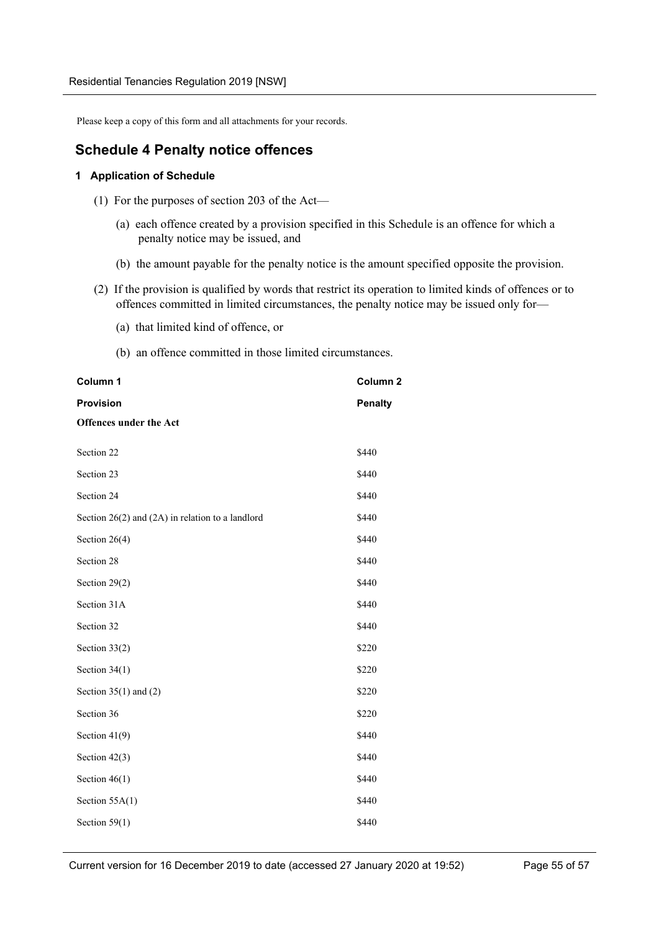Please keep a copy of this form and all attachments for your records.

## <span id="page-54-0"></span>**Schedule 4 Penalty notice offences**

### **1 Application of Schedule**

- (1) For the purposes of section 203 of the Act—
	- (a) each offence created by a provision specified in this Schedule is an offence for which a penalty notice may be issued, and
	- (b) the amount payable for the penalty notice is the amount specified opposite the provision.
- (2) If the provision is qualified by words that restrict its operation to limited kinds of offences or to offences committed in limited circumstances, the penalty notice may be issued only for—
	- (a) that limited kind of offence, or
	- (b) an offence committed in those limited circumstances.

| Column 1                                             | Column <sub>2</sub> |
|------------------------------------------------------|---------------------|
| <b>Provision</b>                                     | <b>Penalty</b>      |
| <b>Offences under the Act</b>                        |                     |
| Section 22                                           | \$440               |
| Section 23                                           | \$440               |
| Section 24                                           | \$440               |
| Section $26(2)$ and $(2A)$ in relation to a landlord | \$440               |
| Section 26(4)                                        | \$440               |
| Section 28                                           | \$440               |
| Section 29(2)                                        | \$440               |
| Section 31A                                          | \$440               |
| Section 32                                           | \$440               |
| Section $33(2)$                                      | \$220               |
| Section $34(1)$                                      | \$220               |
| Section $35(1)$ and $(2)$                            | \$220               |
| Section 36                                           | \$220               |
| Section $41(9)$                                      | \$440               |
| Section $42(3)$                                      | \$440               |
| Section $46(1)$                                      | \$440               |
| Section $55A(1)$                                     | \$440               |
| Section $59(1)$                                      | \$440               |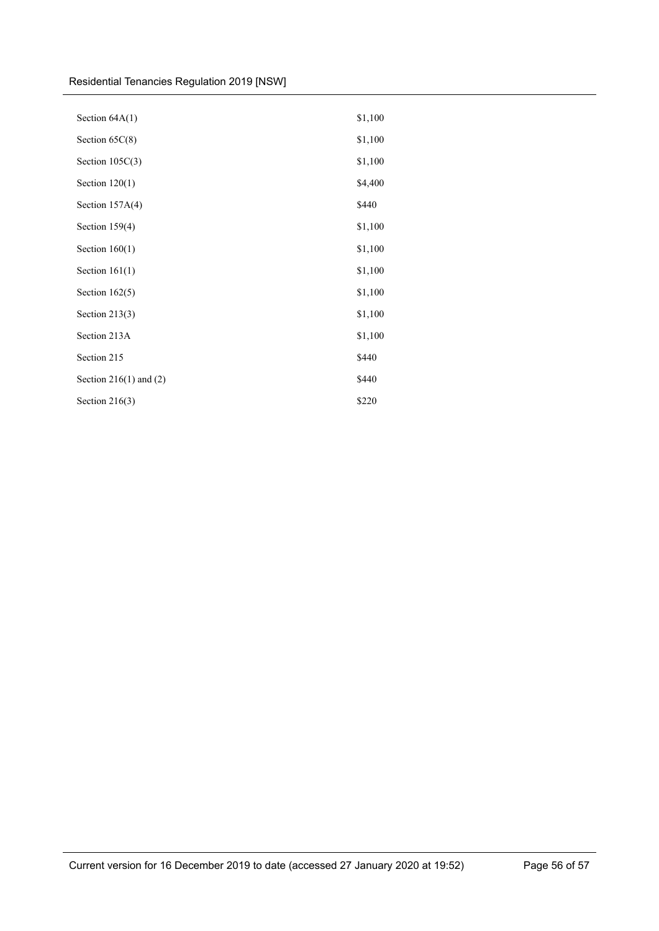Residential Tenancies Regulation 2019 [NSW]

| Section 64A(1)             | \$1,100 |
|----------------------------|---------|
| Section 65C(8)             | \$1,100 |
| Section $105C(3)$          | \$1,100 |
| Section $120(1)$           | \$4,400 |
| Section 157A(4)            | \$440   |
| Section $159(4)$           | \$1,100 |
| Section $160(1)$           | \$1,100 |
| Section $161(1)$           | \$1,100 |
| Section $162(5)$           | \$1,100 |
| Section $213(3)$           | \$1,100 |
| Section 213A               | \$1,100 |
| Section 215                | \$440   |
| Section $216(1)$ and $(2)$ | \$440   |
| Section $216(3)$           | \$220   |